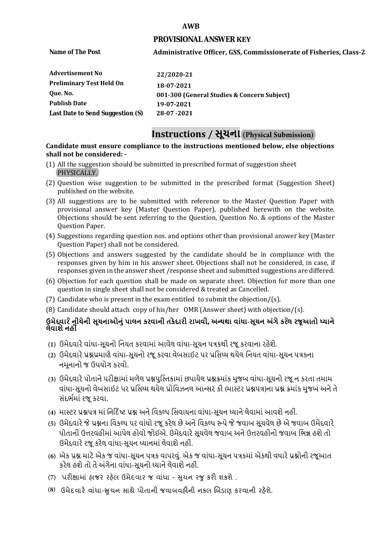#### **AWB**

### **PROVISIONAL ANSWER KEY**

**Name of The Post** 

### **Administrative Officer, GSS, Commissionerate of Fisheries, Class-2**

| Advertisement No                 | 22/2020-21                                  |
|----------------------------------|---------------------------------------------|
| <b>Preliminary Test Held On</b>  | 18-07-2021                                  |
| Oue. No.                         | 001-300 (General Studies & Concern Subject) |
| <b>Publish Date</b>              | 19-07-2021                                  |
| Last Date to Send Suggestion (S) | 28-07-2021                                  |

# **Instructions / સૂચના (Physical Submission)**

### **shall not be considered: - Candidate must ensure compliance to the instructions mentioned below, else objections**

- (1) All the suggestion should be submitted in prescribed format of suggestion sheet PHYSICALLY.
- (2) Question wise suggestion to be submitted in the prescribed format (Suggestion Sheet) published on the website.
- (3) All suggestions are to be submitted with reference to the Master Question Paper with provisional answer key (Master Question Paper), published herewith on the website. Objections should be sent referring to the Question, Question No. & options of the Master Question Paper.
- (4) Suggestions regarding question nos. and options other than provisional answer key (Master Question Paper) shall not be considered.
- (5) Objections and answers suggested by the candidate should be in compliance with the responses given by him in his answer sheet. Objections shall not be considered, in case, if responses given in the answer sheet /response sheet and submitted suggestions are differed.
- (6) Objection for each question shall be made on separate sheet. Objection for more than one question in single sheet shall not be considered & treated as Cancelled.
- (7) Candidate who is present in the exam entitled to submit the objection/ $(s)$ .
- (8) Candidate should attach copy of his/her OMR (Answer sheet) with objection/(s).

### **ઉમેદવાર ેનીચેની સૂચનાઓનું પાલન કરવાની તકેદારી રાખવી, અլયથા વાંધા-સૂચન અંગેકરલે રજૂઆતો իયાને લેવાશેનહીં**

- **(1)** ઉમેદવારેવાંધા**-**સૂચનો િનયત કરવામાં આવેલ વાંધા-સૂચન પԋકથી રજૂ કરવાના રહેશે**.**
- **(2)** ઉમેદવારેԐՇԐમાણે વાંધા**-**સૂચનો રજૂકરવા વેબસાઈટ પર Ԑિસիધ થયેલ િનયત વાંધા-સૂચન પԋકના નમૂનાનો જ ઉપયોગ કરવો**.**
- **(3)** ઉમેદવારેપોતાનેપરીԟામાંમળેલ ԐՇપુિչતકામાંછપાયેલ ԐՇԃમાંક મુજબ વાંધા**-**સૂચનો રજૂન કરતા તમામ વાંધા**-**સૂચનો વેબસાઈટ પર Ԑિસիધ થયેલ Ԑોિવઝનલ આլસર કી **(**માչટર ԐՇપԋ**)**ના ԐՇ ԃમાંક મુજબ અનેતે સંદભӪમાં રજૂકરવા**.**
- **(4)** માչટર ԐՇપԋ માં િન�દ�ષ્ટ ԐՇ અનેિવકճપ િસવાયના વાંધા**-**સૂચન իયાનેલેવામાંઆવશેનહીં**.**
- **(5)** ઉમેદવારેજેԐՇના િવકճપ પર વાંધો રજૂકરેલ છેઅનેિવકճપ ԁપેજેજવાબ સૂચવેલ છેએ જવાબ ઉમેદવારે પોતાની ઉԱરવહીમાંઆપેલ હોવો જોઈએ**.** ઉમેદવારેસૂચવેલ જવાબ અનેઉԱરવહીનો જવાબ િભՂ હશેતો ઉમેદવારેરજૂ કરેલ વાંધા**-**સૂચન իયાનમાંલેવાશેનહીં**.**
- **(6)** એક ԐՇ માટેએક જ વાંધા**-**સૂચન પԋક વાપરવું**.** એક જ વાંધા**-**સૂચન પԋકમાંએકથી વધારેԐՇોની રજૂઆત કરેલ હશેતો તેઅંગેના વાંધા**-**સૂચનો իયાનેલેવાશેનહીં**.**
- (7) પરીક્ષામાં હાજર રહેલ ઉમેદવાર જ વાંધા સુચન રજુ કરી શકશે .
- **(8)** ઉમેદવાર**�** વાંધા-**�**ુચન સાથે પોતાની જવાબવહ**�**ની નકલ **�**બડાણ કરવાની રહ**�**શે.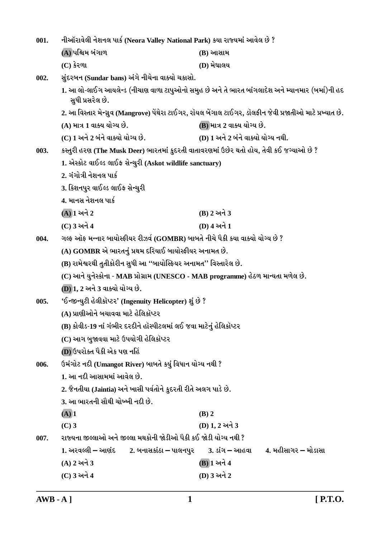| 001. | નીઑરાવેલી નેશનલ પાર્ક (Neora Valley National Park) કયા રાજ્યમાં આવેલ છે ?               |                                                                                                            |  |  |  |
|------|-----------------------------------------------------------------------------------------|------------------------------------------------------------------------------------------------------------|--|--|--|
|      | (A) પશ્ચિમ બંગાળ                                                                        | (B) આસામ                                                                                                   |  |  |  |
|      | $(C)$ કેરળા                                                                             | (D) મેઘાલય                                                                                                 |  |  |  |
| 002. | સુંદરબન (Sundar bans) અંગે નીચેના વાક્યો ચકાસો.                                         |                                                                                                            |  |  |  |
|      | સુધી પ્રસરેલ છે.                                                                        | 1. આ લો-લાઈગ આયલેન્ડ (નીચાણ વાળા ટાપુઓનો સમુહ છે અને તે ભારત બાંગલાદેશ અને મ્યાનમાર (બર્મા)ની હદ           |  |  |  |
|      |                                                                                         | 2. આ વિસ્તાર મેન્ગ્રુવ (Mangrove) પેંથેરા ટાઈગર, રૉયલ બેંગાલ ટાઈગર, ડૉલફીન જેવી પ્રજાતીઓ માટે પ્રખ્યાત છે. |  |  |  |
|      | (A) માત્ર 1 વાક્ય યોગ્ય છે.                                                             | (B) માત્ર 2 વાક્ય યોગ્ય છે.                                                                                |  |  |  |
|      | (C) 1 અને 2 બંને વાક્યો યોગ્ય છે.                                                       | (D) 1 અને 2 બંને વાક્યો યોગ્ય નથી.                                                                         |  |  |  |
| 003. | કસ્તુરી હરણ (The Musk Deer) ભારતમાં કુદરતી વાતાવરણમાં ઉછેર થતો હોય, તેવી કઈ જગ્યાઓ છે ? |                                                                                                            |  |  |  |
|      | 1. એસ્કોટ વાઈલ્ડ લાઈફ સેન્ચુરી (Askot wildlife sanctuary)                               |                                                                                                            |  |  |  |
|      | 2. ગંગોત્રી નેશનલ પાર્ક                                                                 |                                                                                                            |  |  |  |
|      | 3. કિશનપુર વાઈલ્ડ લાઈફ સેન્ચુરી                                                         |                                                                                                            |  |  |  |
|      | 4. માનસ નેશનલ પાર્ક                                                                     |                                                                                                            |  |  |  |
|      | $(A)$ ી અને $2$                                                                         | (B) 2 અને 3                                                                                                |  |  |  |
|      | (C) 3 અને 4                                                                             | (D) 4 અને 1                                                                                                |  |  |  |
| 004. | ગલ્ફ ઑફ મન્નાર બાયોસ્ફીયર રીઝર્વ (GOMBR) બાબતે નીચે પૈકી કયા વાક્યો યોગ્ય છે ?          |                                                                                                            |  |  |  |
|      | (A) GOMBR એ ભારતનું પ્રથમ દરિયાઈ બાયોસ્ફીયર અનામત છે.                                   |                                                                                                            |  |  |  |
|      | (B) રામેશ્વરથી તુતીકોરીન સુધી આ ''બાયોસ્ફિયર અનામત'' વિસ્તારેલ છે.                      |                                                                                                            |  |  |  |
|      | (C) આને યુનેસ્કોના - MAB પ્રોગ્રામ (UNESCO - MAB programme) હેઠળ માન્યતા મળેલ છે.       |                                                                                                            |  |  |  |
|      | (D) 1, 2 અને 3 વાક્યો યોગ્ય છે.                                                         |                                                                                                            |  |  |  |
| 005. | 'ઈન્જીન્યુટી હેલીકૉપ્ટર' (Ingenuity Helicopter) શું છે ?                                |                                                                                                            |  |  |  |
|      | (A) પ્રાણીઓને બચાવવા માટે હેલિકૉપ્ટર                                                    |                                                                                                            |  |  |  |
|      | (B) કોવીડ-19 નાં ગંભીર દરદીને હૉસ્પીટલમાં લઈ જવા માટેનું હેલિકૉપ્ટર                     |                                                                                                            |  |  |  |
|      | (C) આગ બુજાવવા માટે ઉપયોગી હેલિકૉપ્ટર                                                   |                                                                                                            |  |  |  |
|      | (D) ઉપરોક્ત પૈકી એક પણ નહિં                                                             |                                                                                                            |  |  |  |
| 006. | ઉમંગોટ નદી (Umangot River) બાબતે કયું વિધાન યોગ્ય નથી ?                                 |                                                                                                            |  |  |  |
|      | 1. આ નદી આસામમાં આવેલ છે.                                                               |                                                                                                            |  |  |  |
|      | 2. જૈનતીયા (Jaintia) અને ખાસી પર્વતોને કુદરતી રીતે અલગ પાડે છે.                         |                                                                                                            |  |  |  |
|      | 3. આ ભારતની સૌથી ચોખ્ખી નદી છે.                                                         |                                                                                                            |  |  |  |
|      | $(A)$ <sup>1</sup>                                                                      | $(B)$ 2                                                                                                    |  |  |  |
|      | $(C)$ 3                                                                                 | (D) 1, 2 અને 3                                                                                             |  |  |  |
| 007. | રાજ્યના જીલ્લાઓ અને જીલ્લા મથકોની જોડીઓ પૈકી કઈ જોડી યોગ્ય નથી ?                        |                                                                                                            |  |  |  |
|      | 1. અરવલ્લી – આણંદ        2. બનાસકાંઠા – પાલનપુર                                         | 4. મહીસાગર – મોડાસા<br><u>3. ડાંગ – આહવા</u>                                                               |  |  |  |
|      | (A) 2 અને 3                                                                             | (B) 1 અને 4                                                                                                |  |  |  |
|      | (C) 3 અને 4                                                                             | (D) 3 અને 2                                                                                                |  |  |  |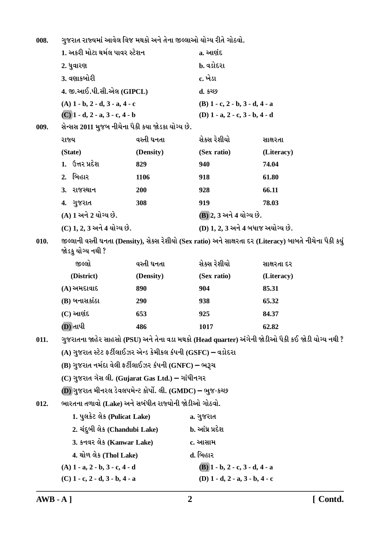ગુજરાત રાજ્યમાં આવેલ વિજ મથકો અને તેના જીલ્લાઓ યોગ્ય રીતે ગોઠવો. 008.

|      |                                          | 1. અકરી મોટા થર્મલ પાવર સ્ટેશન   |                                                               | a. આણંદ                                   |                                                                                                           |  |
|------|------------------------------------------|----------------------------------|---------------------------------------------------------------|-------------------------------------------|-----------------------------------------------------------------------------------------------------------|--|
|      | 2. ધુવારણ                                |                                  |                                                               | b. વડોદરા                                 |                                                                                                           |  |
|      | 3. વણાકબોરી<br>4. જી.આઈ.પી.સી.એલ (GIPCL) |                                  |                                                               | c. ખેડા                                   |                                                                                                           |  |
|      |                                          |                                  |                                                               | d. કચ્છ                                   |                                                                                                           |  |
|      |                                          | $(A)$ 1 - b, 2 - d, 3 - a, 4 - c |                                                               | $(B)$ 1 - c, 2 - b, 3 - d, 4 - a          |                                                                                                           |  |
|      |                                          | $(C)$ 1 - d, 2 - a, 3 - c, 4 - b |                                                               | (D) $1 - a$ , $2 - c$ , $3 - b$ , $4 - d$ |                                                                                                           |  |
| 009. |                                          |                                  | સેન્સસ 2011 મુજબ નીચેના પૈકી કયા જોડકા યોગ્ય છે.              |                                           |                                                                                                           |  |
|      | રાજ્ય                                    |                                  | વસ્તી ઘનતા                                                    | સેક્સ રેશીયો                              | સાક્ષરતા                                                                                                  |  |
|      | (State)                                  |                                  | (Density)                                                     | (Sex ratio)                               | (Literacy)                                                                                                |  |
|      |                                          | 1. ઉત્તર પ્રદેશ                  | 829                                                           | 940                                       | 74.04                                                                                                     |  |
|      | 2. બિહાર                                 |                                  | 1106                                                          | 918                                       | 61.80                                                                                                     |  |
|      | 3. રાજસ્થાન                              |                                  | 200                                                           | 928                                       | 66.11                                                                                                     |  |
|      | 4. ગુજરાત                                |                                  | 308                                                           | 919                                       | 78.03                                                                                                     |  |
|      |                                          | (A) 1 અને 2 યોગ્ય છે.            |                                                               | (B) 2, 3 અને 4 યોગ્ય છે.                  |                                                                                                           |  |
|      |                                          | (C) 1, 2, 3 અને 4 યોગ્ય છે.      |                                                               | (D) 1, 2, 3 અને 4 બધાજ અયોગ્ય છે.         |                                                                                                           |  |
| 010. |                                          | જોડકુ યોગ્ય નથી ?                |                                                               |                                           | જીલ્લાની વસ્તી ઘનતા (Density), સેક્સ રેશીયો (Sex ratio) અને સાક્ષરતા દર (Literacy) બાબતે નીચેના પૈકી કયું |  |
|      |                                          | જીલ્લો                           | વસ્તી ઘનતા                                                    | સેક્સ રેશીયો                              | સાક્ષરતા દર                                                                                               |  |
|      |                                          | (District)                       | (Density)                                                     | (Sex ratio)                               | (Literacy)                                                                                                |  |
|      |                                          | $(A)$ અમદાવાદ                    | 890                                                           | 904                                       | 85.31                                                                                                     |  |
|      |                                          | (B) બનાસકાંઠા                    | 290                                                           | 938                                       | 65.32                                                                                                     |  |
|      | $(C)$ આણંદ                               |                                  | 653                                                           | 925                                       | 84.37                                                                                                     |  |
|      | (D) તાપી                                 |                                  | 486                                                           | 1017                                      | 62.82                                                                                                     |  |
| 011. |                                          |                                  |                                                               |                                           | ગુજરાતના જાહેર સાહસો (PSU) અને તેના વડા મથકો (Head quarter) અંગેની જોડીઓ પૈકી કઈ જોડી યોગ્ય નથી ?         |  |
|      |                                          |                                  | (A) ગુજરાત સ્ટેટ ફર્ટીલાઈઝર એન્ડ કેમીકલ કંપની (GSFC) – વડોદરા |                                           |                                                                                                           |  |
|      |                                          |                                  | (B) ગુજરાત નર્મદા વેલી ફર્ટીલાઈઝર કંપની (GNFC) – ભરૂચ         |                                           |                                                                                                           |  |
|      |                                          |                                  | (C) ગુજરાત ગૅસ લી. (Gujarat Gas Ltd.) – ગાંધીનગર              |                                           |                                                                                                           |  |
|      |                                          |                                  | (D) ગુજરાત મીનરલ ડેવલપમેન્ટ કોર્પો. લી. (GMDC) – ભુજ-કચ્છ     |                                           |                                                                                                           |  |
| 012. |                                          |                                  | ભારતના તળાવો (Lake) અને સબંધીત રાજ્યોની જોડીઓ ગોઠવો.          |                                           |                                                                                                           |  |
|      |                                          | 1. પુલકેટ લેક (Pulicat Lake)     |                                                               | a. ગુજરાત                                 |                                                                                                           |  |
|      |                                          | 2. ચંદુબી લેક (Chandubi Lake)    |                                                               | b. આંધ્ર પ્રદેશ                           |                                                                                                           |  |
|      |                                          | 3. કનવર લેક (Kanwar Lake)        |                                                               | c. આસામ                                   |                                                                                                           |  |
|      |                                          | 4. થોળ લેક (Thol Lake)           |                                                               | d. બિહાર                                  |                                                                                                           |  |
|      |                                          | $(A)$ 1 - a, 2 - b, 3 - c, 4 - d |                                                               | $(B)$ 1 - b, 2 - c, 3 - d, 4 - a          |                                                                                                           |  |
|      |                                          | $(C)$ 1 - c, 2 - d, 3 - b, 4 - a |                                                               | (D) $1 - d$ , $2 - a$ , $3 - b$ , $4 - c$ |                                                                                                           |  |
|      |                                          |                                  |                                                               |                                           |                                                                                                           |  |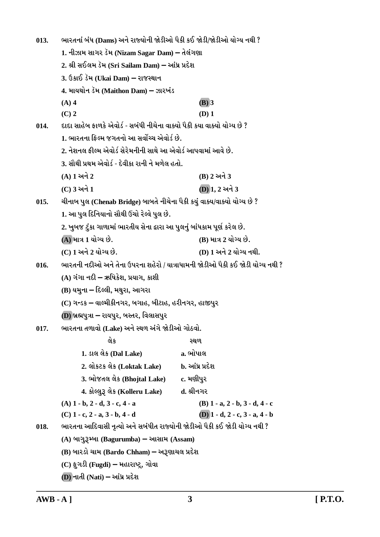ભારતનાં બંધ (Dams) અને રાજ્યોની જોડીઓ પૈકી કઈ જોડી/જોડીઓ યોગ્ય નથી ?  $013.$ 1. નીઝામ સાગર ડૅમ (Nizam Sagar Dam) – તેલંગણા 2. શ્રી સઈલમ ડૅમ (Sri Sailam Dam) – આંધ્ર પ્રદેશ 3. ઉકાઈ ડૅમ (Ukai Dam) – રાજસ્થાન 4. માયથોન ડેમ (Maithon Dam) – ઝારખંડ  $(A)$  4  $(B)$  3  $(C)$  2  $(D)$  1 દાદા સાહેબ કાળકે એવોર્ડ - સબંધી નીચેના વાક્યો પૈકી કયા વાક્યો યોગ્ય છે ?  $014.$ 1. ભારતના કિલ્મ જગતનો આ સર્વોચ્ચ એવોર્ડ છે. 2. નેશનલ કીલ્મ એવોર્ડ સેરેમનીની સાથે આ એવોર્ડ આપવામાં આવે છે. 3. સૌથી પ્રથમ એવોર્ડ - દેવીકા રાની ને મળેલ હતો.  $(A)$  1 અને 2 (B) 2 અને 3  $(C)$  3 અને 1  $(D)$ 1. 2 અને 3  $015.$ ચીનાબ પુલ (Chenab Bridge) બાબતે નીચેના પૈકી કયું વાક્ય/વાક્યો યોગ્ય છે ? 1. આ પુલ દિનિયાનો સૌથી ઉંચો રેલ્વે પુલ છે. 2. ખુબજ ટુંકા ગાળામાં ભારતીય સેના દ્વારા આ પુલનું બાંધકામ પૂર્ણ કરેલ છે. (A) માત્ર 1 યોગ્ય છે. (B) માત્ર 2 યોગ્ય છે. (C) 1 અને 2 યોગ્ય છે. (D) 1 અને 2 યોગ્ય નથી. ભારતની નદીઓ અને તેના ઉપરના શહેરો / યાત્રાધામની જોડીઓ પૈકી કઈ જોડી યોગ્ય નથી ?  $016.$ (A) ગંગા નદી – ઋષિકેશ. પ્રયાગ. કાશી (B) યમના – દિલ્લી, મથુરા, આગરા (C) ગન્ડક – વાલ્મીકીનગર, બગાહ, બીટાહ, હરીનગર, હાજીપુર (D) બ્રહ્મપુત્રા – રાયપુર, બસ્તર, વિલાસપુર ભારતના તળાવો (Lake) અને સ્થળ અંગે જોડીઓ ગોઠવો.  $017.$ લેક ວຍທ 1. ડાલ લેક (Dal Lake) a. ભોપાલ 2. લોકટક લેક (Loktak Lake) b. આંધ્ર પ્રદેશ 3. ભોજતલ લેક (Bhojtal Lake) c. મણીપર 4. કોલ્લુરૂ લેક (Kolleru Lake) d. શ્રીનગર  $(A)$  1 - b, 2 - d, 3 - c, 4 - a (B)  $1 - a$ ,  $2 - b$ ,  $3 - d$ ,  $4 - c$  $(D)$  1 - d, 2 - c, 3 - a, 4 - b  $(C)$  1 - c, 2 - a, 3 - b, 4 - d ભારતના આદિવાસી નૃત્યો અને સબંધીત રાજ્યોની જોડીઓ પૈકી કઈ જોડી યોગ્ય નથી ? 018. (A) બાગુરૂમ્બા (Bagurumba) – આસામ (Assam) (B) બારડો ચામ (Bardo Chham) – અરૂણાચલ પ્રદેશ  $(C)$  ફૂગડી (Fugdi) – મહારાષ્ટ્ર, ગોવા

 $(D)$  નાતી (Nati) – આંધ્ર પ્રદેશ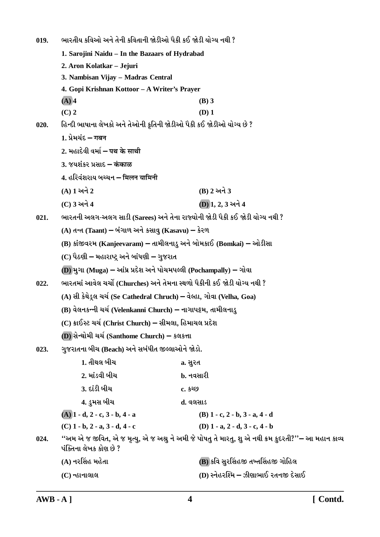ભારતીય કવિઓ અને તેની કવિતાની જોડીઓ પૈકી કઈ જોડી યોગ્ય નથી ?  $019.$ 1. Saroiini Naidu - In the Bazaars of Hydrabad 2. Aron Kolatkar - Jejuri 3. Nambisan Vijay - Madras Central 4. Gopi Krishnan Kottoor - A Writer's Prayer  $(A)$  4  $(B)$  3  $(C)$  2  $(D)$  1 હિન્દી ભાષાના લેખકો અને તેઓની કૃતિની જોડીઓ પૈકી કઈ જોડીઓ યોગ્ય છે ?  $020.$ 1. प्रेमयंद्र – गबन 2 भढ़ादेवी वर्मा – पथ्र के माथी 3. જયશંકર પ્રસાદ – कंकाळ 4. हरिवंशराय બચ્ચન – मिलन यामिनी (A) 1 અને 2 (B) 2 અને 3 (C) 3 અને 4 (D) 1, 2, 3 અને 4 ભારતની અલગ-અલગ સાડી (Sarees) અને તેના રાજ્યોની જોડી પૈકી કઈ જોડી યોગ્ય નથી ?  $021.$ (A) તન્ત (Taant) – બંગાળ અને કસાવુ (Kasavu) – કેરળ (B) કાંજીવરમ (Kanjeevaram) – તામીલનાડુ અને બોમકાઈ (Bomkai) – ઓડીસા (C) પૈઠણી – મહારાષ્ટ્ર અને બાંધણી – ગુજરાત (D) મુગા (Muga) – આંધ્ર પ્રદેશ અને પોચમપલ્લી (Pochampally) – ગોવા ભારતમાં આવેલ ચર્ચો (Churches) અને તેમના સ્થળો પૈકીની કઈ જોડી યોગ્ય નથી ?  $022.$ (A) સી કેથેડ્લ ચર્ચ (Se Cathedral Chruch) – વેલ્હા, ગોવા (Velha, Goa) (B) વેલનકન્ની ચર્ચ (Velenkanni Church) – નાગાપટ્ટમ, તામીલનાડુ (C) ક્રાઈસ્ટ ચર્ચ (Christ Church) – સીમલા, હિમાચલ પ્રદેશ (D) સેન્થોમી ચર્ચ (Santhome Church) – કલકત્તા ગુજરાતના બીચ (Beach) અને સબંધીત જીલ્લાઓને જોડો.  $023.$ 1. તીથલ બીચ a. સુરત 2. માંડવી બીચ b. નવસારી <u>3. દાંડી બીચ</u> C. 5269 4. ડુમસ બીચ ત. વલસાડ  $(A)$  1 - d, 2 - c, 3 - b, 4 - a  $(B)$  1 - c, 2 - b, 3 - a, 4 - d  $(C)$  1 - b, 2 - a, 3 - d, 4 - c (D)  $1 - a$ ,  $2 - d$ ,  $3 - c$ ,  $4 - b$ ''અમ એ જ જીવિત, એ જ મૃત્યુ, એ જ અશ્રુ ને અમી જે પોષતુ તે મારતુ, શુ એ નથી ક્રમ કુદરતી?''– આ મહાન કાવ્ય 024. પંક્તિના લેખક કોણ છે ? (B) કવિ સુરસિંહજી તખ્તસિંહજી ગોહિલ (A) નરસિંહ મહેતા (D) સ્નેહરશ્મિ – ઝીણાભાઈ રતનજી દેસાઈ  $(C)$  ન્હાનાલાલ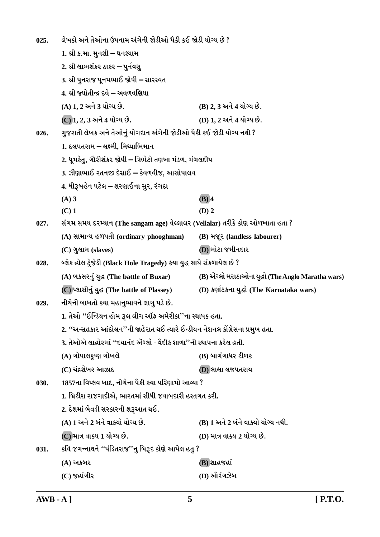લેખકો અને તેઓના ઉપનામ અંગેની જોડીઓ પૈકી કઈ જોડી યોગ્ય છે ?  $025.$ 1. શ્રી ક.મા. મનશી – ઘનશ્યામ 2. શ્રી લાભશંકર ઠાકર – પુર્નવસુ 3. શ્રી પુનરાજ પૂનમભાઈ જોષી – સારસ્વત 4. શ્રી જ્યોતીન્દ્ર દવે – અવળવણિયા (A) 1. 2 અને 3 યોગ્ય છે. (B) 2, 3 અને 4 યોગ્ય છે. (D) 1. 2 અને 4 યોગ્ય છે. (C) 1, 2, 3 અને 4 યોગ્ય છે. ગુજરાતી લેખક અને તેઓનું યોગદાન અંગેની જોડીઓ પૈકી કઈ જોડી યોગ્ય નથી ?  $026.$ 1. દલપતરામ – લક્ષ્મી, મિથ્યાભિમાન 2. ધુમકેતુ, ગૌરીશંકર જોષી – ત્રિભેટો તણખા મંડળ, મંગલદીપ 3. ઝીણાભાઈ રતનજી દેસાઈ – કેવળવીજ. આસોપાલવ 4. ધીરૂબહેન પટેલ – શરણાઈના સુર, રંગદા  $(A)$  3  $(B)$  4  $(C)$  1  $(D)$  2 સંગમ સમય દરમ્યાન (The sangam age) વેલ્લાલર (Vellalar) તરીકે કોણ ઓળખાતા હતા ?  $027.$ (A) સામાન્ય હળપતી (ordinary phooghman) (B) भ%र (landless labourer) (D) મોટા જમીનદાર (C) ગુલામ (slaves) બ્લેક હોલ ટ્રેજેડી (Black Hole Tragedy) કયા યુદ્ધ સાથે સંકળાયેલ છે ?  $028$ (A) બકસરનું યુદ્ધ (The battle of Buxar) (B) એંગ્લો મરાઠાઓના યુદ્ધો (The Anglo Maratha wars) (C) प्લासीनं यद्ध (The battle of Plassey) (D) કર્ણાટકના યુદ્ધો (The Karnataka wars) નીચેની બાબતો કયા મહાનુભાવને લાગુ પડે છે.  $029.$ 1. તેઓ "ઈન્ડિયન હોમ રૂલ લીગ ઑફ અમેરીકા''ના સ્થાપક હતા. 2. ''અ-સહકાર આંદોલન''ની જાહેરાત થઈ ત્યારે ઈન્ડીયન નેશનલ કોંગ્રેસના પ્રમુખ હતા. 3. તેઓએ લાહોરમાં ''દયાનંદ ઍગ્લો - વેદીક શાળા''ની સ્થાપના કરેલ હતી. (A) ગોપાલકૃષ્ણ ગોખલે (B) બાગંગાધર ટીળક (C) ચંદ્રશેખર આઝાદ **D)** લાલા લજપતરાય 1857ના વિપ્લવ બાદ, નીચેના પૈકી કયા પરિણામો આવ્યા ?  $030.$ 1. બ્રિટીશ રાજગાદીએ, ભારતમાં સીધી જવાબદારી હસ્તગત કરી. 2. દેશમાં બેવડી સરકારની શરૂઆત થઈ. (A) 1 અને 2 બંને વાક્યો યોગ્ય છે. (B) 1 અને 2 બંને વાક્યો યોગ્ય નથી. (C) માત્ર વાક્ય 1 યોગ્ય છે. (D) માત્ર વાક્ય 2 યોગ્ય છે. કવિ જગન્નાથને ''પંડિતરાજ''નુ બિરૂદ કોણે આપેલ હતુ ? 031. (B) શાહજહાં (A) અકબર  $(C)$  જહાંગીર (D) ઔરંગઝેબ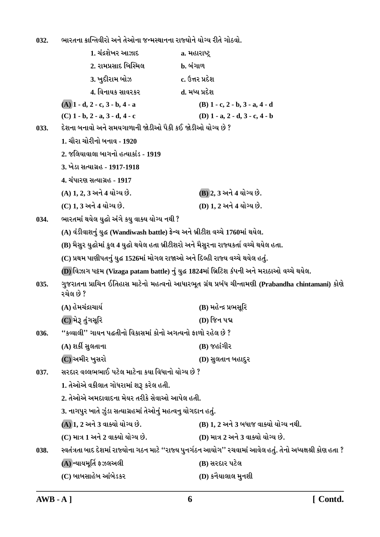ભારતના ક્રાન્તિવીરો અને તેઓના જન્મસ્થાનના રાજ્યોને યોગ્ય રીતે ગોઠવો. 032.

|      | 1. ચંદ્રશેખર આઝાદ                                                                          | a. મહારાષ્ટ્ર                                                                                                 |
|------|--------------------------------------------------------------------------------------------|---------------------------------------------------------------------------------------------------------------|
|      | 2. રામપ્રસાદ બિસ્મિલ                                                                       | <b>b.</b> બંગાળ                                                                                               |
|      | 3. ખુદીરામ બોઝ                                                                             | c. ઉત્તર પ્રદેશ                                                                                               |
|      | 4. વિનાયક સાવરકર                                                                           | d. મધ્ય પ્રદેશ                                                                                                |
|      | $(A)$ 1 - d, 2 - c, 3 - b, 4 - a                                                           | $(B)$ 1 - c, 2 - b, 3 - a, 4 - d                                                                              |
|      | $(C)$ 1 - b, 2 - a, 3 - d, 4 - c                                                           | (D) $1 - a$ , $2 - d$ , $3 - c$ , $4 - b$                                                                     |
| 033. | દેશના બનાવો અને સમયગાળાની જોડીઓ પૈકી કઈ જોડીઓ યોગ્ય છે ?                                   |                                                                                                               |
|      | 1. ચૌરા ચોરીનો બનાવ - 1920                                                                 |                                                                                                               |
|      | 2. જલિયાવાલા બાગનો હત્યાકાંડ - 1919                                                        |                                                                                                               |
|      | 3. ખેડા સત્યાગ્રહ - 1917-1918                                                              |                                                                                                               |
|      | 4. ચંપારણ સત્યાગ્રહ - 1917                                                                 |                                                                                                               |
|      | (A) 1, 2, 3 અને 4 યોગ્ય છે.                                                                | (B) 2, 3 અને 4 યોગ્ય છે.                                                                                      |
|      | (C) 1, 3 અને 4 યોગ્ય છે.                                                                   | (D) 1, 2 અને 4 યોગ્ય છે.                                                                                      |
| 034. | ભારતમાં થયેલ યુદ્ધો અંગે કયુ વાક્ય યોગ્ય નથી ?                                             |                                                                                                               |
|      | (A) વંડીવાશનું યુદ્ધ (Wandiwash battle) ફ્રેન્ચ અને બ્રીટીશ વચ્ચે 1760માં થયેલ.            |                                                                                                               |
|      | (B) મૈસુર યુદ્ધોમાં કુલ 4 યુદ્ધો થયેલ હતા બ્રીટીશરો અને મૈસુરના રાજ્યકર્તા વચ્ચે થયેલ હતા. |                                                                                                               |
|      | (C) પ્રથમ પાણીપતનું યુદ્ધ 1526માં મોગલ રાજાઓ અને દિલ્હી રાજ્ય વચ્ચે થયેલ હતું.             |                                                                                                               |
|      |                                                                                            | (D) વિઝાગ પટ્ટમ (Vizaga patam battle) નું યુદ્ધ 1824માં બ્રિટિશ કંપની અને મરાઠાઓ વચ્ચે થયેલ.                  |
| 035. | રચેલ છે ?                                                                                  | ગુજરાતના પ્રાચિન ઈતિહાસ માટેનો મહત્વનો આધારભૂત ગ્રંથ પ્રબંધ ચીન્તામણી (Prabandha chintamani) કોણે             |
|      | (A) હેમચંદ્રાચાર્ય                                                                         | (B) મહેન્દ્ર પ્રભસૂરિ                                                                                         |
|      | (C) મેરૂ તુંગસૂરિ                                                                          | (D) જિન પદ્મ                                                                                                  |
| 036. | ''કવ્વાલી'' ગાયન પદ્ધતીનો વિકાસમાં કોનો અગત્યનો ફાળો રહેલ છે ?                             |                                                                                                               |
|      | (A) શર્કી સુલતાના                                                                          | $(B)$ જહાંગીર                                                                                                 |
|      | (C) અમીર ખુસરો                                                                             | (D) સુલતાન બહાદુર                                                                                             |
| 037. | સરદાર વલ્લભભાઈ પટેલ માટેના કયા વિધાનો યોગ્ય છે ?                                           |                                                                                                               |
|      | 1. તેઓએ વકીલાત ગોધરામાં શરૂ કરેલ હતી.                                                      |                                                                                                               |
|      | 2. તેઓએ અમદાવાદના મેયર તરીકે સેવાઓ આપેલ હતી.                                               |                                                                                                               |
|      | 3. નાગપુર ખાતે ઝુંડા સત્યાગ્રહમાં તેઓનું મહત્વનુ યોગદાન હતું.                              |                                                                                                               |
|      | (A) 1, 2 અને 3 વાક્યો યોગ્ય છે.                                                            | (B) 1, 2 અને 3 બધાજ વાક્યો યોગ્ય નથી.                                                                         |
|      | (C) માત્ર 1 અને 2 વાક્યો યોગ્ય છે.                                                         | (D) માત્ર 2 અને 3 વાક્યો યોગ્ય છે.                                                                            |
| 038. |                                                                                            | સ્વતંત્રતા બાદ દેશમાં રાજ્યોના ગઠન માટે ''રાજ્ય પુનર્ગઠન આયોગ'' રચવામાં આવેલ હતું. તેનો અધ્યક્ષશ્રી કોણ હતા ? |
|      | (A) ન્યાયમૂર્તિ ફઝલઅલી                                                                     | (B) સરદાર પટેલ                                                                                                |
|      | (C) બાબસાહેબ આંબેડકર                                                                       | (D) કનૈયાલાલ મુનશી                                                                                            |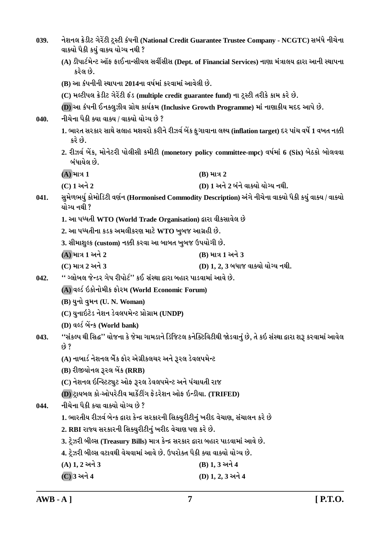| 039. | વાક્યો પૈકી કયું વાક્ય યોગ્ય નથી ?                                                            | નેશનલ ક્રેડીટ ગેરેંટી ટ્રસ્ટી કંપની (National Credit Guarantee Trustee Company - NCGTC) સબંધે નીચેના             |  |  |
|------|-----------------------------------------------------------------------------------------------|------------------------------------------------------------------------------------------------------------------|--|--|
|      | કરેલ છે.                                                                                      | (A) ડીપાર્ટમેન્ટ ઑફ ફાઈનાન્સીયલ સર્વીસીસ (Dept. of Financial Services) નાણા મંત્રાલય દ્વારા આની સ્થાપના          |  |  |
|      | (B) આ કંપનીની સ્થાપના 2014ના વર્ષમાં કરવામાં આવેલી છે.                                        |                                                                                                                  |  |  |
|      | (C) મલ્ટીપલ ક્રેડીટ ગેરેંટી ફંડ (multiple credit guarantee fund) ના ટ્રસ્ટી તરીકે કામ કરે છે. |                                                                                                                  |  |  |
|      | (D) આ કંપની ઈનક્લુઝીવ ગ્રોથ કાર્યક્રમ (Inclusive Growth Programme) માં નાણાકીય મદદ આપે છે.    |                                                                                                                  |  |  |
| 040. | નીચેના પૈકી ક્યા વાક્ય / વાક્યો યોગ્ય છે ?                                                    |                                                                                                                  |  |  |
|      | કરે છે.                                                                                       | 1. ભારત સરકાર સાથે સલાહ મશવરો કરીને રીઝર્વ બેંક ફુગાવાના લક્ષ્ય (inflation target) દર પાંચ વર્ષે 1 વખત નક્કી     |  |  |
|      | બંધાયેલ છે.                                                                                   | 2. રીઝર્વ બેંક, મોનેટરી પોલીસી કમીટી (monetory policy committee-mpc) વર્ષમાં 6 (Six) બેઠકો બોલવવા                |  |  |
|      | $(A)$ માત્ર $1$                                                                               | $(B)$ માત્ર 2                                                                                                    |  |  |
|      | (C) 1 અને 2                                                                                   | (D) 1 અને 2 બંને વાક્યો યોગ્ય નથી.                                                                               |  |  |
| 041. | યોગ્ય નથી ?                                                                                   | સુમેળભર્યુ કોમોડિટી વર્ણન (Hormonised Commodity Description) અંગે નીચેના વાક્યો પૈકી કયું વાક્ય / વાક્યો         |  |  |
|      | 1. આ પધ્ધતી WTO (World Trade Organisation) દ્વારા વીકસાવેલ છે                                 |                                                                                                                  |  |  |
|      | 2. આ પધ્ધતીના કડક અમલીકરણ માટે WTO ખુબજ આગ્રહી છે.                                            |                                                                                                                  |  |  |
|      | 3. સીમાશુલ્ક (custom) નક્કી કરવા આ બાબત ખુબજ ઉપયોગી છે.                                       |                                                                                                                  |  |  |
|      | (A) માત્ર 1 અને 2                                                                             | (B) માત્ર 1 અને 3                                                                                                |  |  |
|      | (C) માત્ર 2 અને 3                                                                             | (D) 1, 2, 3 બધાજ વાક્યો યોગ્ય નથી.                                                                               |  |  |
| 042. | '' ગ્લોબલ જેન્ડર ગેપ રીપોર્ટ'' કઈ સંસ્થા દ્વારા બહાર પાડવામાં આવે છે.                         |                                                                                                                  |  |  |
|      | (A) વર્લ્ડ ઇકોનોમીક ફોરમ (World Economic Forum)                                               |                                                                                                                  |  |  |
|      | (B) યુનો વુમન (U. N. Woman)                                                                   |                                                                                                                  |  |  |
|      | (C) યુનાઇટેડ નેશન ડેવલપમેન્ટ પ્રોગ્રામ (UNDP)                                                 |                                                                                                                  |  |  |
|      | (D) वर्લ्ड બેंन्ક (World bank)                                                                |                                                                                                                  |  |  |
| 043. | છે ?                                                                                          | ''સંકલ્પ થી સિદ્ધ'' યોજના કે જેમા ગામડાને ડિજિટલ કનેક્ટિવિટીથી જોડવાનું છે, તે કઇ સંસ્થા દ્વારા શરૂ કરવામાં આવેલ |  |  |
|      | (A) નાબાર્ડ નેશનલ બેંક ફોર એગ્રીકલચર અને રૂરલ ડેવલપમેન્ટ                                      |                                                                                                                  |  |  |
|      | (B) રીજીયોનલ રૂરલ બેંક (RRB)                                                                  |                                                                                                                  |  |  |
|      | (C) નેશનલ ઇન્સ્ટિટ્યુટ ઓફ રૂરલ ડેવલપમેન્ટ અને પંચાયતી રાજ                                     |                                                                                                                  |  |  |
|      | (D) ટ્રાયબલ કો-ઓપરેટીવ માર્કેટીંગ ફેડરેશન ઓફ ઇન્ડીયા. (TRIFED)                                |                                                                                                                  |  |  |
| 044. | નીચેના પૈકી કયા વાક્યો યોગ્ય છે ?                                                             |                                                                                                                  |  |  |
|      | 1. ભારતીય રીઝર્વ બેન્ક દ્વારા કેન્દ્ર સરકારની સિક્યુરીટીનું ખરીદ વેચાણ, સંચાલન કરે છે         |                                                                                                                  |  |  |
|      | 2. RBI રાજ્ય સરકારની સિક્યુરીટીનું ખરીદ વેચાણ પણ કરે છે.                                      |                                                                                                                  |  |  |
|      | 3. ટ્રેઝરી બીલ્સ (Treasury Bills) માત્ર કેન્દ્ર સરકાર દ્વારા બહાર પાડવામાં આવે છે.            |                                                                                                                  |  |  |
|      | 4. ટ્રેઝરી બીલ્સ વટાવથી વેચવામાં આવે છે. ઉપરોક્ત પૈકી ક્યા વાક્યો યોગ્ય છે.                   |                                                                                                                  |  |  |
|      | $(A) 1, 2 $ અને 3                                                                             | (B) 1, 3 અને 4                                                                                                   |  |  |
|      | (C) 3 અને 4                                                                                   | (D) 1, 2, 3 અને 4                                                                                                |  |  |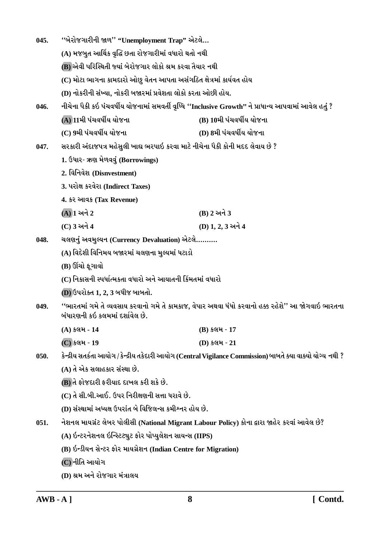| 045. | "બેરોજગારીની જાળ" "Unemployment Trap" એટલે                                     |                                                                                                              |  |  |
|------|--------------------------------------------------------------------------------|--------------------------------------------------------------------------------------------------------------|--|--|
|      | (A) મજબુત આર્થિક વૃદ્ધિ છતા રોજગારીમાં વધારો થતો નથી                           |                                                                                                              |  |  |
|      | (B) એવી પરિસ્થિતી જ્યાં બેરોજગાર લોકો શ્રમ કરવા તૈયાર નથી                      |                                                                                                              |  |  |
|      | (C) મોટા ભાગના કામદારો ઓછુ વેતન આપતા અસંગઠિત ક્ષેત્રમાં કાર્યવત હોય            |                                                                                                              |  |  |
|      | (D) નોકરીની સંખ્યા, નોકરી બજારમાં પ્રવેશતા લોકો કરતા ઓછી હોય.                  |                                                                                                              |  |  |
| 046. |                                                                                | નીચેના પૈકી કઇ પંચવર્ષીય યોજનામાં સમવર્તી વૃધ્ધિ ''Inclusive Growth'' ને પ્રાધાન્ય આપવામાં આવેલ હતું ?       |  |  |
|      | (A) 11મી પંચવર્ષીય યોજના                                                       | (B) 10મી પંચવર્ષીય યોજના                                                                                     |  |  |
|      | (C) 9મી પંચવર્ષીય યોજના                                                        | (D) 8મી પંચવર્ષીય યોજના                                                                                      |  |  |
| 047. | સરકારી અંદાજપત્ર મહેસુલી ખાદ્ય ભરપાઇ કરવા માટે નીચેના પૈકી કોની મદદ લેવાય છે ? |                                                                                                              |  |  |
|      | 1. ઉધાર- ઋણ મેળવવું (Borrowings)                                               |                                                                                                              |  |  |
|      | 2. विनिवेश (Disnvestment)                                                      |                                                                                                              |  |  |
|      | 3. પરોક્ષ કરવેરા (Indirect Taxes)                                              |                                                                                                              |  |  |
|      | 4. કર આવક (Tax Revenue)                                                        |                                                                                                              |  |  |
|      | $(A)$ ી અને 2                                                                  | (B) 2 અને 3                                                                                                  |  |  |
|      | (C) 3 અને 4                                                                    | (D) 1, 2, 3 અને 4                                                                                            |  |  |
| 048. | ચલણનું અવમુલ્યન (Currency Devaluation) એટલે                                    |                                                                                                              |  |  |
|      | (A) વિદેશી વિનિમય બજારમાં ચલણના મુલ્યમાં ધટાડો                                 |                                                                                                              |  |  |
|      | (B) ઊંચો ફૂગાવો                                                                |                                                                                                              |  |  |
|      | (C) નિકાસની સ્પર્ધાત્મકતા વધારો અને આયાતની કિંમતમાં વધારો                      |                                                                                                              |  |  |
|      | (D) ઉપરોક્ત 1, 2, 3 બધીજ બાબતો.                                                |                                                                                                              |  |  |
| 049. | બંધારણની કઇ કલમમાં દર્શાવેલ છે.                                                | ''ભારતમાં ગમે તે વ્યવસાય કરવાનો ગમે તે કામકાજ, વેપાર અથવા ધંધો કરવાનો હક્ક રહેશે'' આ જોગવાઇ ભારતના           |  |  |
|      | (A) કલમ-14                                                                     | $(B)$ કલમ - 17                                                                                               |  |  |
|      | (C) કલમ - 19                                                                   | (D) કલમ - 21                                                                                                 |  |  |
| 050. |                                                                                | કેન્દ્રીય સતર્કતા આયોગ / કેન્દ્રીય તકેદારી આયોગ (Central Vigilance Commission) બાબતે ક્યા વાક્યો યોગ્ય નથી ? |  |  |
|      | (A) તે એક સલાહકાર સંસ્થા છે.                                                   |                                                                                                              |  |  |
|      | (B) તે ફોજદારી ફરીયાદ દાખલ કરી શકે છે.                                         |                                                                                                              |  |  |
|      | (C) તે સી.બી.આઈ. ઉપર નિરીક્ષણની સત્તા ધરાવે છે.                                |                                                                                                              |  |  |
|      | (D) સંસ્થામાં અધ્યક્ષ ઉપરાંત બે વિજિલન્સ કમીશ્નર હોય છે.                       |                                                                                                              |  |  |
| 051. |                                                                                | નેશનલ માયગ્રંટ લેબર પોલીસી (National Migrant Labour Policy) કોના દ્વારા જાહેર કરવાં આવેલ છે?                 |  |  |
|      | (A) ઇન્ટરનેશનલ ઇન્સ્ટિટ્યુટ ફોર પોપ્યુલેશન સાયન્સ (IIPS)                       |                                                                                                              |  |  |
|      | (B) ઇન્ડીયન સેન્ટર ફોર માયગ્રેશન (Indian Centre for Migration)                 |                                                                                                              |  |  |
|      | (C)નીતિ આયોગ                                                                   |                                                                                                              |  |  |
|      | (D) શ્રમ અને રોજગાર મંત્રાલય                                                   |                                                                                                              |  |  |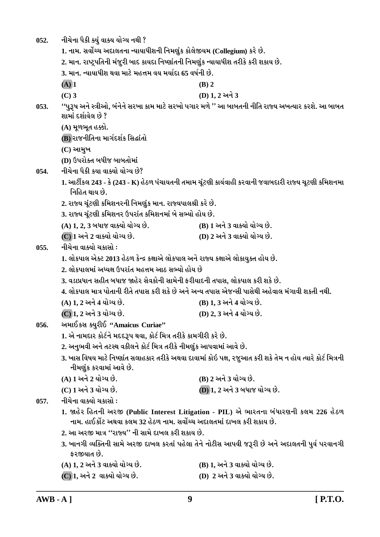નીચેના પૈકી ક્યું વાક્ય યોગ્ય નથી ?  $052.$ 

1. નામ. સર્વોચ્ચ અદાલતના ન્યાયાધીશની નિમણુંક કોલેજીયમ (Collegium) કરે છે.

2. માન. રાષ્ટ્રપતિની મંજૂરી બાદ કાયદા નિષ્ણાંતની નિમણુંક ન્યાયાધીશ તરીકે કરી શકાય છે.

3. માન. ન્યાયાધીશ થવા માટે મહત્તમ વય મર્યાદા 65 વર્ષની છે.

- $(A)$  1  $(C)$  3
- 
- (D) 1.2 અને 3

 $(B)$  2

''પુરૂષ અને સ્ત્રીઓ, બંનેને સરખા કામ માટે સરખો પગાર મળે '' આ બાબતની નીતિ રાજ્ય અખત્યાર કરશે. આ બાબત  $053.$ શામાં દર્શાવેલ છે ?

(A) મૂળભૂત હક્કો.

(B) રાજનીતિના માર્ગદર્શક સિદ્ધાંતો

 $(C)$  આમુખ

(D) ઉપરોક્ત બધીજ બાબતોમાં

નીચેના પૈકી કયા વાક્યો યોગ્ય છે? 054.

- 1. આર્ટીકલ 243 કે (243 K) હેઠળ પંચાયતની તમામ ચૂંટણી કાર્યવાહી કરવાની જવાબદારી રાજ્ય ચૂટણી કમિશનમા નિહિત થાય છે.
- 2. રાજ્ય ચૂંટણી કમિશનરની નિમણુંક માન. રાજ્યપાલશ્રી કરે છે.

3. રાજ્ય ચૂંટણી કમિશનર ઉપરાંત કમિશનમાં બે સભ્યો હોય છે.

- (A) 1, 2, 3 બધાજ વાક્યો યોગ્ય છે. (B) 1 અને 3 વાક્યો યોગ્ય છે.
- (C) 1 અને 2 વાક્યો યોગ્ય છે. (D) 2 અને 3 વાક્યો યોગ્ય છે.

નીચેના વાક્યો ચકાસો :  $0.55.$ 

1. લોકપાલ એક્ટ 2013 હેઠળ કેન્દ્ર કક્ષાએ લોકપાલ અને રાજ્ય કક્ષાએ લોકાયુક્ત હોય છે.

- 2. લોકપાલમાં અધ્યક્ષ ઉપરાંત મહત્તમ આઠ સભ્યો હોય છે
- 3. વડાપ્રધાન સહીત બધાજ જાહેર સેવકોની સામેની કરીયાદની તપાસ. લોકપાલ કરી શકે છે.

4. લોકપાલ માત્ર પોતાની રીતે તપાસ કરી શકે છે અને અન્ય તપાસ એજન્સી પાસેથી અહેવાલ મંગાવી શકતી નથી.

- (A) 1, 2 અને 4 યોગ્ય છે. (B) 1, 3 અને 4 યોગ્ય છે.
- <u>(C) 1. 2 અને 3 યોગ્ય છે.</u> (D) 2, 3 અને 4 યોગ્ય છે.
- અમાઈકસ ક્યરીઈ "Amaicus Curiae" 056.
	- 1. એ નામદાર કોર્ટને મદદરૂપ થવા, કોર્ટ મિત્ર તરીકે કામગીરી કરે છે.
	- 2. અનુભવી અને તટસ્થ વકીલને કોર્ટ મિત્ર તરીકે નીમણુંક આપવામાં આવે છે.
	- 3. ખાસ વિષય માટે નિષ્ણાંત સલાહકાર તરીકે અથવા દાવામાં કોઇ પક્ષ, રજુઆત કરી શકે તેમ ન હોય ત્યારે કોર્ટ મિત્રની નીમણુંક કરવામાં આવે છે.
	- (A) 1 અને 2 યોગ્ય છે. (B) 2 અને 3 યોગ્ય છે. (C) 1 અને 3 યોગ્ય છે. **(D) 1, 2 અને 3 બધાજ યોગ્ય છે.**

નીચેના વાક્યો ચકાસો :  $0.57.$ 

- 1. જાહેર હિતની અરજી (Public Interest Litigation PIL) એ ભારતના બંધારણની કલમ 226 હેઠળ નામ. હાઈકોંટ અથવા કલમ 32 હેઠળ નામ. સર્વોચ્ચ અદાલતમાં દાખલ કરી શકાય છે.
- 2. આ અરજી માત્ર ''રાજ્ય'' ની સામે દાખલ કરી શકાય છે.
- 3. ખાનગી વ્યક્તિની સામે અરજી દાખલ કરતાં પહેલા તેને નોટીસ આપવી જરૂરી છે અને અદાલતની પુર્વ પરવાનગી કરજીયાત છે.
- (A) 1. 2 અને 3 વાક્યો યોગ્ય છે. (B) 1. અને 3 વાક્યો યોગ્ય છે.
- (D) 2 અને 3 વાક્યો યોગ્ય છે. (C) 1, અને 2 વાક્યો યોગ્ય છે.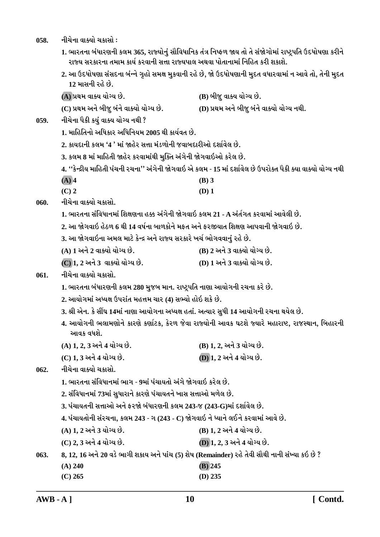058. **નીચેના વાક્યો ચકાસો** :

1. ભારતના બંધારણની કલમ 365, રાજ્યોનું સૌવિધાનિક તંત્ર નિષ્ફળ જાય તો તે સંજોગોમાં રાષ્ટ્રપતિ ઉદધોષણા કરીને રાજ્ય સરકારના તમામ કાર્ય કરવાની સત્તા રાજ્યપાલ અથવા પોતાનામાં નિહિત કરી શકાશે.

2. આ ઉદધોષણા સંસદના બંન્ને ગૃહો સમક્ષ મુકવાની રહે છે, જો ઉદધોષણાની મુદત વધારવામાં ન આવે તો, તેની મુદત <u>12 માસની રહે છે.</u>

**(A) «Úk{ ðkõÞ ÞkuøÞ Au. (B) çkesw ðkõÞ ÞkuøÞ Au.**

**(C) «Úk{ yLku çkesw çktLku ðkõÞku ÞkuøÞ Au. (D) «Úk{ yLku çkesw çktLku ðkõÞku ÞkuøÞ LkÚke.**

- 059. નીચેના પૈકી ક<u>યું</u> વાક્ય યોગ્ય નથી ?
	- **1. {krnríkLkku yrÄfkh yrÄrLkÞ{ 2005 Úke fkÞoðík Au.**
	- <u>2. કાયદાની કલમ '4 ' માં જાહેર સત્તા મંડળોની જવાબદારીઓ દર્શાવેલ છે.</u>
	- 3. કલમ 8 માં માહિતી જાહેર કરવામાંથી મુક્તિ અંગેની જોગવાઇઓ કરેલ છે.

**4. ''fuLÿeÞ {krníke Ãkt[Lke h[Lkk'' ytøkuLke òuøkðkR yu f÷{ - 15 {kt Ëþkoðu÷ Au WÃkhkuõík Ãkife õÞk ðkõÞku ÞkuøÞ LkÚke**

- **(A) 4 (B) 3**
- **(C) 2 (D) 1**
- 060. નીચેના વાક્યો ચકાસો.
	- 1. ભારતના સંવિધાનમાં શિક્ષણના હક્ક અંગેની જોગવાઇ કલમ 21 A અંર્તગત કરવામાં આવેલી છે.
	- <u>2. આ જોગવાઇ હેઠળ 6 થી 14 વર્ષના બાળકોને મકત અને કરજીયાત શિક્ષણ આપવાની જોગવાઇ છે.</u>
	- 3. આ જોગવાઇના અમલ માટે કેન્દ્ર અને રાજ્ય સરકારે ખર્ચ ભોગવવાનું રહે છે.
	- **(A) 1 yLku 2 ðkõÞku ÞkuøÞ Au. (B) 2 yLku 3 ðkõÞku ÞkuøÞ Au.**
	- **(C) 1, 2 yLku 3 ðkõÞku ÞkuøÞ Au. (D) 1 yLku 3 ðkõÞku ÞkuøÞ Au.**

## 061. **નીચેના વાક્યો ચક્રા**સો.

- 1. ભારતના બંધારણની કલમ 280 મુજબ માન. રાષ્ટ્રપતિ નાણા આયોગની રચના કરે છે.
- **2. ykÞkuøk{kt yæÞûk WÃkhktík {n¥k{ [kh (4) MkÇÞku nkuR þfu Au.**
- **3. ©e yuLk. fu Mkª½ 14{kt Lkkýk ykÞkuøkLkk yæÞûk níkkt. yíÞkh MkwÄe 14 ykÞkuøkLke h[Lkk ÚkÞu÷ Au.**
- 4. આયોગની ભલામણોને કારણે કર્ણાટક, કેરળ જેવા રાજ્યોની આવક ઘટશે જ્યારે મહારાષ્ટ, રાજસ્થાન, બિહારની <u>આવક વધશે.</u>
- **(A) 1, 2, 3 yLku 4 ÞkuøÞ Au. (B) 1, 2, yLku 3 ÞkuøÞ Au.**
- **(C) 1, 3 yLku 4 ÞkuøÞ Au. (D) 1, 2 yLku 4 ÞkuøÞ Au.**

062. **નીચેના વાક્યો ચકા**સો.

- 1. ભારતના સંવિધાનમાં ભાગ 9માં પંચાયતો અંગે જોગવાઇ કરેલ છે.
- **2. MktrðÄkLk{kt 73{kt MkwÄkhkLku fkhýu Ãkt[kÞíkLku ¾kMk Mk¥kkyku {¤u÷ Au.**
- **3. Ãkt[kÞíkLke Mk¥kkyku yLku Vhòu çktÄkhýLke f÷{ 243-s (243-G){kt Ëþkoðu÷ Au.**
- **4. Ãkt[kÞíkkuLke Mkth[Lkk, f÷{ 243 øk (243 C) òuøkðkR Lku æÞkLku ÷ELku fhðk{kt ykðu Au.**
- **(A) 1, 2 yLku 3 ÞkuøÞ Au. (B) 1, 2 yLku 4 ÞkuøÞ Au.**
- **(C) 2, 3 yLku 4 ÞkuøÞ Au. (D) 1, 2, 3 yLku 4 ÞkuøÞ Au.**
- **063. 8, 12, 16 yLku 20 ðzu ¼køke þfkÞ yLku Ãkkt[ (5) þu»k (Remainder) hnu íkuðe MkkiÚke LkkLke MktÏÞk fR Au ?**
	- **(A) 240 (B) 245**
	- **(C) 265 (D) 235**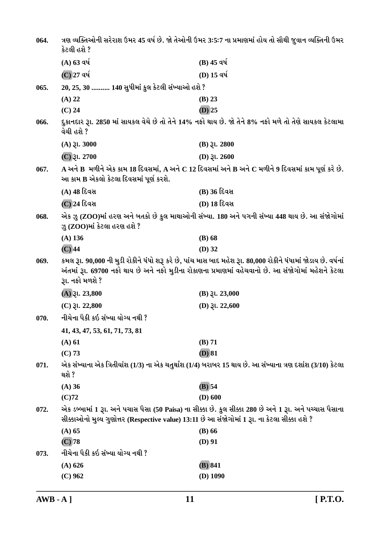| 064. | કેટલી હશે ?                                                                                   | ત્રણ વ્યક્તિઓની સરેરાશ ઉમર 45 વર્ષ છે. જો તેઓની ઉમર 3:5:7 ના પ્રમાણમાં હોય તો સૌથી જુવાન વ્યક્તિની ઉમર                                                                                                                |
|------|-----------------------------------------------------------------------------------------------|-----------------------------------------------------------------------------------------------------------------------------------------------------------------------------------------------------------------------|
|      | $(A)$ 63 વર્ષ                                                                                 | $(B)$ 45 વર્ષ                                                                                                                                                                                                         |
|      | (C) 27 વર્ષ                                                                                   | (D) 15 વર્ષ                                                                                                                                                                                                           |
| 065. | 20, 25, 30  140 સુધીમાં કુલ કેટલી સંખ્યાઓ હશે ?                                               |                                                                                                                                                                                                                       |
|      | $(A)$ 22                                                                                      | $(B)$ 23                                                                                                                                                                                                              |
|      | $(C)$ 24                                                                                      | $(D)$ 25                                                                                                                                                                                                              |
| 066. | વેચી હશે ?                                                                                    | દુકાનદાર રૂા. 2850 માં સાયકલ વેચે છે તો તેને 14% નફો થાય છે. જો તેને 8% નફો મળે તો તેણે સાયકલ કેટલામા                                                                                                                 |
|      | $(A)$ $\xi$ l. 3000                                                                           | $(B)$ <i>3l.</i> 2800                                                                                                                                                                                                 |
|      | $(C)$ રૂા. 2700                                                                               | (D) $31.2600$                                                                                                                                                                                                         |
| 067. | આ કામ B એકલો કેટલા દિવસમાં પૂર્ણ કરશે.                                                        | $\bf A$ અને $\bf B$ મળીને એક કામ 18 દિવસમાં, $\bf A$ અને $\bf C$ 12 દિવસમાં અને $\bf B$ અને $\bf C$ મળીને 9 દિવસમાં કામ પૂર્ણ કરે છે.                                                                                 |
|      | (A) 48 દિવસ                                                                                   | (B) 36 દિવસ                                                                                                                                                                                                           |
|      | (C) 24 દિવસ                                                                                   | <b>(D) 18 દિવસ</b>                                                                                                                                                                                                    |
| 068. | ઝુ (ZOO)માં કેટલા હરણ હશે ?                                                                   | એક ઝુ (ZOO)માં હરણ અને બતકો છે કુલ માથાઓની સંખ્યા. 180 અને પગની સંખ્યા 448 થાય છે. આ સંજોગોમાં                                                                                                                        |
|      | $(A)$ 136                                                                                     | $(B)$ 68                                                                                                                                                                                                              |
|      | $(C)$ 44                                                                                      | $(D)$ 32                                                                                                                                                                                                              |
| 069. | રૂા. નફો મળશે ?                                                                               | કમલ રૂા. 90,000 ની મુડી રોકીને ધંધો શરૂ કરે છે, પાંચ માસ બાદ મહેશ રૂા. 80,000 રોકીને ધંધામાં જોડાય છે. વર્ષનાં<br>અંતમાં રૂા. 69700 નફો થાય છે અને નફો મુડીના રોકાણના પ્રમાણમાં વહેચવાનો છે. આ સંજોગોમાં મહેશને કેટલા |
|      | $(A)$ $\gtrsim$ 1. 23,800                                                                     | $(B)$ $\mathfrak{Z}$ l. 23,000                                                                                                                                                                                        |
|      | $(C)$ $\xi$ l. 22,800                                                                         | (D) $31.22,600$                                                                                                                                                                                                       |
| 070. | નીચેના પૈકી કઇ સંખ્યા યોગ્ય નથી ?                                                             |                                                                                                                                                                                                                       |
|      | 41, 43, 47, 53, 61, 71, 73, 81                                                                |                                                                                                                                                                                                                       |
|      | (A) 61                                                                                        | (B) 71                                                                                                                                                                                                                |
|      | (C) 73                                                                                        | $(D)$ 81                                                                                                                                                                                                              |
| 071. | થશે ?                                                                                         | એક સંખ્યાના એક ત્રિતીયાંશ (1/3) ના એક ચતુર્થાંશ (1/4) બરાબર 15 થાય છે. આ સંખ્યાના ત્રણ દશાંશ (3/10) કેટલા                                                                                                             |
|      | $(A)$ 36                                                                                      | $(B)$ 54                                                                                                                                                                                                              |
|      | $(C)$ 72                                                                                      | $(D)$ 600                                                                                                                                                                                                             |
| 072. | સીક્કાઓનો મુલ્ય ગુણોત્તર (Respective value) 13:11 છે આ સંજોગોમાં 1 રૂા. ના કેટલા સીક્કા હશે ? | એક ડબ્બામાં 1 રૂા. અને પચાસ પૈસા (50 Paisa) ના સીક્કા છે. કુલ સીક્કા 280 છે અને 1 રૂા. અને પચ્ચાસ પૈસાના                                                                                                              |
|      | $(A)$ 65                                                                                      | $(B)$ 66                                                                                                                                                                                                              |
|      | $(C)$ 78                                                                                      | $(D)$ 91                                                                                                                                                                                                              |
| 073. | નીચેના પૈકી કઇ સંખ્યા યોગ્ય નથી ?                                                             |                                                                                                                                                                                                                       |
|      | $(A)$ 626                                                                                     | (B) 841                                                                                                                                                                                                               |
|      | $(C)$ 962                                                                                     | $(D)$ 1090                                                                                                                                                                                                            |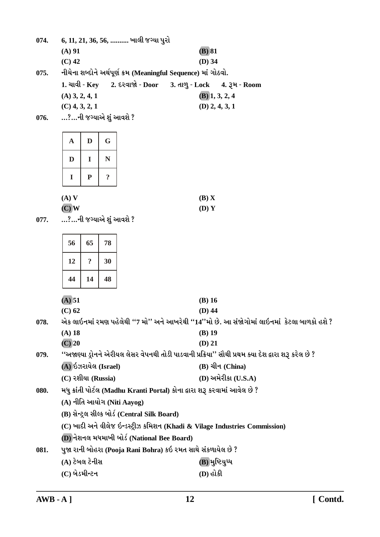|      | $(A)$ 91                |                                               |                |  |                                  |                                                                            | $(B)$ 81                     |                         |                                                                                                       |
|------|-------------------------|-----------------------------------------------|----------------|--|----------------------------------|----------------------------------------------------------------------------|------------------------------|-------------------------|-------------------------------------------------------------------------------------------------------|
|      | $(C)$ 42                |                                               |                |  |                                  |                                                                            | $(D)$ 34                     |                         |                                                                                                       |
| 075. |                         |                                               |                |  |                                  | નીચેના શબ્દોને અર્થપૂર્ણ ક્રમ (Meaningful Sequence) માં ગોઠવો.             |                              |                         |                                                                                                       |
|      |                         |                                               |                |  | $1.$ ચાવી - Key 2. દરવાજો - Door |                                                                            | 3. તાળુ - Lock 4. રૂમ - Room |                         |                                                                                                       |
|      | $(A)$ 3, 2, 4, 1        |                                               |                |  |                                  |                                                                            |                              | $(B)$ 1, 3, 2, 4        |                                                                                                       |
|      | $(C)$ 4, 3, 2, 1        |                                               |                |  |                                  |                                                                            |                              | $(D)$ 2, 4, 3, 1        |                                                                                                       |
| 076. | …?…ની જગ્યાએ શું આવશે ? |                                               |                |  |                                  |                                                                            |                              |                         |                                                                                                       |
|      |                         |                                               |                |  |                                  |                                                                            |                              |                         |                                                                                                       |
|      | $\mathbf A$             | D                                             | G              |  |                                  |                                                                            |                              |                         |                                                                                                       |
|      | D                       | I                                             | N              |  |                                  |                                                                            |                              |                         |                                                                                                       |
|      | $\bf{I}$                | ${\bf P}$                                     | $\ddot{\cdot}$ |  |                                  |                                                                            |                              |                         |                                                                                                       |
|      | $(A)$ V                 |                                               |                |  |                                  |                                                                            | (B) X                        |                         |                                                                                                       |
|      | $(C)$ W                 |                                               |                |  |                                  |                                                                            | (D) Y                        |                         |                                                                                                       |
| 077. | …?…ની જગ્યાએ શું આવશે ? |                                               |                |  |                                  |                                                                            |                              |                         |                                                                                                       |
|      |                         |                                               |                |  |                                  |                                                                            |                              |                         |                                                                                                       |
|      | 56                      | 65                                            | 78             |  |                                  |                                                                            |                              |                         |                                                                                                       |
|      | 12                      | $\ddot{\mathbf{c}}$                           | 30             |  |                                  |                                                                            |                              |                         |                                                                                                       |
|      | 44                      | 14                                            | 48             |  |                                  |                                                                            |                              |                         |                                                                                                       |
|      | (A) 51                  |                                               |                |  |                                  |                                                                            | $(B)$ 16                     |                         |                                                                                                       |
|      | $(C)$ 62                |                                               |                |  |                                  |                                                                            | $(D)$ 44                     |                         |                                                                                                       |
| 078. |                         |                                               |                |  |                                  |                                                                            |                              |                         | એક લાઇનમાં રમણ પહેલેથી ''7 મો'' અને આખરેથી ''14''મો છે. આ સંજોગોમાં લાઇનમાં  કેટલા બાળકો હશે ?        |
|      | (A) 18                  |                                               |                |  |                                  |                                                                            | $(B)$ 19                     |                         |                                                                                                       |
|      | $(C)$ 20                |                                               |                |  |                                  |                                                                            | $(D)$ 21                     |                         |                                                                                                       |
| 079. |                         |                                               |                |  |                                  |                                                                            |                              |                         | ''અજાણ્યા ડ્રોનને એરીયલ લેસર વેપનથી તોડી પાડવાની પ્રક્રિયા'' સૌથી પ્રથમ ક્યા દેશ દ્વારા શરૂ કરેલ છે ? |
|      | (A) ઇઝરાયેલ (Israel)    |                                               |                |  |                                  |                                                                            |                              | $(B)$ ચીન (China)       |                                                                                                       |
|      | $(C)$ રશીયા (Russia)    |                                               |                |  |                                  |                                                                            |                              | $(D)$ અમેરીકા $(U.S.A)$ |                                                                                                       |
| 080. |                         |                                               |                |  |                                  | મધુ ક્રાંતી પોર્ટલ (Madhu Kranti Portal) કોના દ્વારા શરૂ કરવામાં આવેલ છે ? |                              |                         |                                                                                                       |
|      |                         | (A) નીતિ આયોગ (Niti Aayog)                    |                |  |                                  |                                                                            |                              |                         |                                                                                                       |
|      |                         | (B) સેન્ટ્રલ સીલ્ક બોર્ડ (Central Silk Board) |                |  |                                  |                                                                            |                              |                         |                                                                                                       |
|      |                         |                                               |                |  |                                  |                                                                            |                              |                         | (C) ખાદી અને વીલેજ ઇન્ડસ્ટ્રીઝ કમિશન (Khadi & Vilage Industries Commission)                           |
|      |                         |                                               |                |  |                                  | (D) નેશનલ મધમાખી બોર્ડ (National Bee Board)                                |                              |                         |                                                                                                       |
| 081. |                         |                                               |                |  |                                  | પુજા રાની બોહરા (Pooja Rani Bohra) કઇ રમત સાથે સંકળાયેલ છે ?               |                              |                         |                                                                                                       |
|      | (A) ટેબલ ટેનીસ          |                                               |                |  |                                  |                                                                            |                              | (B) મુષ્ટિયુધ્ધ         |                                                                                                       |

6, 11, 21, 36, 56, .......... ખાલી જગ્યા પુરો

074.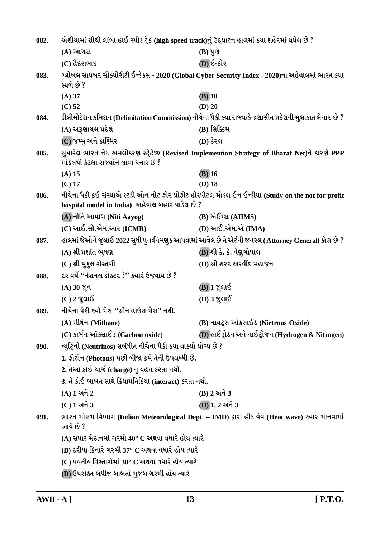| 082. | એશીયામાં સૌથી લાંબા હાઈ સ્પીડ ટ્રેક (high speed track)નું ઉદ્ઘાટન હાલમાં કયા શહેરમાં થયેલ છે ? |                                                                                                            |
|------|------------------------------------------------------------------------------------------------|------------------------------------------------------------------------------------------------------------|
|      | (A) આગરા                                                                                       | $(B)$ પુણે                                                                                                 |
|      | $(C)$ હૈદરાબાદ                                                                                 | (D) ઇન્દોર                                                                                                 |
| 083. | સ્થળે છે ?                                                                                     | ગ્લોબલ સાયબર સીક્યોરીટી ઈન્ડેકસ - 2020 (Global Cyber Security Index - 2020)ના અહેવાલમાં ભારત કયા           |
|      | $(A)$ 37                                                                                       | $(B)$ 10                                                                                                   |
|      | $(C)$ 52                                                                                       | $(D)$ 20                                                                                                   |
| 084. |                                                                                                | ડીલીમીટેશન કમિશન (Delimitation Commission) નીચેના પૈકી ક્યા રાજ્ય/કેન્દ્રશાસીત પ્રદેશની મુલાકાત લેનાર છે ? |
|      | (A) અરૂણાચલ પ્રદેશ                                                                             | (B) સિક્કિમ                                                                                                |
|      | (C) જમ્મુ અને કાશ્મિર                                                                          | (D) કેરલ                                                                                                   |
| 085. | મોડેલથી કેટલા રાજ્યોને લાભ થનાર છે ?                                                           | સુધારેલ ભારત નેટ અમલીકરણ સ્ટ્રેટેજી (Revised Implemention Strategy of Bharat Net)ને કારણે PPP              |
|      | $(A)$ 15                                                                                       | $(B)$ 16                                                                                                   |
|      | $(C)$ 17                                                                                       | $(D)$ 18                                                                                                   |
| 086. | hospital model in India) અહેવાલ બહાર પાડેલ છે ?                                                | નીચેના પૈકી કઈ સંસ્થાએ સ્ટડી ઓન નોટ ફોર પ્રોફીટ હોસ્પીટલ મોડલ ઈન ઈન્ડીયા (Study on the not for profit      |
|      | (A) નીતિ આયોગ (Niti Aayog)                                                                     | (B) એઈમ્સ (AIIMS)                                                                                          |
|      | $(C)$ આઈ.સી.એમ.આર $(ICMR)$                                                                     | (D) આઈ.એમ.એ (IMA)                                                                                          |
| 087. |                                                                                                | હાલમાં જેઓને જુલાઈ 2022 સુધી પુનઃનિમણુક આપવામાં આવેલ છે તે એર્ટની જનરલ (Attorney General) કોણ છે ?         |
|      | (A) શ્રી પ્રશાંત ભુષણ                                                                          | (B) શ્રી કે. કે. વેણુગોપાલ                                                                                 |
|      | (C) શ્રી મુકુલ રોસ્તગી                                                                         | (D) શ્રી શરદ અરવીંદ મહાજન                                                                                  |
| 088. | દર વર્ષે ''નેશનલ ડોક્ટર ડે'' ક્યારે ઉજવાય છે ?                                                 |                                                                                                            |
|      | $(A)$ 30 % $\nu$                                                                               | (B) 1 જુલાઇ                                                                                                |
|      | $(C)$ 2 જુલાઈ                                                                                  | (D) 3 જુલાઈ                                                                                                |
| 089. | નીચેના પૈકી ક્યો ગેસ ''ગ્રીન હાઉસ ગેસ'' નથી.                                                   |                                                                                                            |
|      | (A) મીથેન (Mithane)                                                                            | (B) નાયટ્સ ઓકસાઈડ (Nirtrous Oxide)                                                                         |
|      | (C) કાર્બન ઑક્સાઈડ (Carbon oxide)                                                              | (D) હાઈડ્રોડન અને નાઈટ્રોજન (Hydrogen & Nitrogen)                                                          |
| 090. | ન્યુટ્રિનો (Neutrinos) સબંધીત નીચેના પૈકી કયા વાક્યો યોગ્ય છે ?                                |                                                                                                            |
|      | 1. ફોટોન (Photons) પછી બીજા ક્રમે તેની ઉપલબ્ધી છે.                                             |                                                                                                            |
|      | 2. તેઓ કોઈ ચાર્જ (charge) નુ વહન કરતા નથી.                                                     |                                                                                                            |
|      | 3. તે કોઈ બાબત સાથે ક્રિયાપ્રતિક્રિયા (interact) કરતા નથી.                                     |                                                                                                            |
|      | (A) 1 અને 2                                                                                    | (B) 2 અને 3                                                                                                |
|      | (C) 1 અને 3                                                                                    | (D) 1, 2 અને 3                                                                                             |
| 091. | આવે છે ?                                                                                       | ભારત મોસમ વિભાગ (Indian Meteorological Dept. - IMD) દ્વારા હીટ વેવ (Heat wave) ક્યારે માનવામાં             |
|      | $(A)$ સપાટ મેદાનમાં ગરમી 40° C અથવા વધારે હોય ત્યારે                                           |                                                                                                            |
|      | (B) દરીયા કિનારે ગરમી 37° C અથવા વધારે હોય ત્યારે                                              |                                                                                                            |
|      | (C) પર્વતીય વિસ્તારોમાં 30° C અથવા વધારે હોય ત્યારે                                            |                                                                                                            |
|      | (D) ઉપરોક્ત બધીજ બાબતો મુજબ ગરમી હોય ત્યારે                                                    |                                                                                                            |
|      |                                                                                                |                                                                                                            |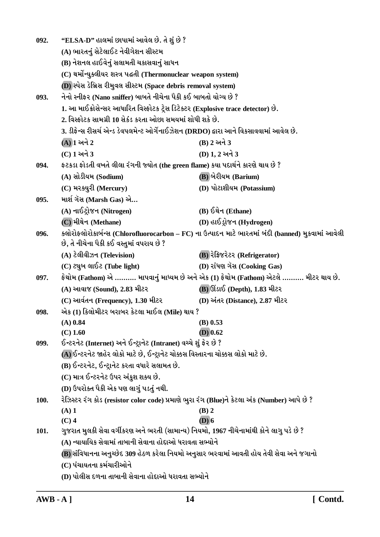| 092. | "ELSA-D" હાલમાં છાપામાં આવેલ છે. તે શું છે ?                                                 |                                                                                                     |
|------|----------------------------------------------------------------------------------------------|-----------------------------------------------------------------------------------------------------|
|      | (A) ભારતનું સેટેલાઈટ નેવીગેશન સીસ્ટમ                                                         |                                                                                                     |
|      | (B) નેશનલ હાઈવેનું સલામતી ચકાસવાનું સાધન                                                     |                                                                                                     |
|      | (C) થર્મોન્યુક્લીયર શસ્ત્ર પદ્ધતી (Thermonuclear weapon system)                              |                                                                                                     |
|      | (D) સ્પેસ ડેબ્રિસ રીમુવલ સીસ્ટમ (Space debris removal system)                                |                                                                                                     |
| 093. | નેનો સ્નીફર (Nano sniffer) બાબતે નીચેના પૈકી કઈ બાબતો યોગ્ય છે ?                             |                                                                                                     |
|      | 1. આ માઈક્રોસેન્સર આધારિત વિસ્ફોટક ટ્રેસ ડિટેક્ટર (Explosive trace detector) છે.             |                                                                                                     |
|      | 2. વિસ્ફોટક સામગ્રી 10 સેકંડ કરતા ઓછા સમયમાં શોધી શકે છે.                                    |                                                                                                     |
|      | 3. ડીફેન્સ રીસર્ચ એન્ડ ડેવપલમેન્ટ ઓર્ગેનાઈઝેશન (DRDO) દ્વારા આને વિકસાવવામાં આવેલ છે.        |                                                                                                     |
|      | $(A)$ ી અને $2$                                                                              | (B) 2 અને 3                                                                                         |
|      | (C) 1 અને 3                                                                                  | (D) 1, 2 અને 3                                                                                      |
| 094. | ફટકડા ફોડતી વખતે લીલા રંગની જ્યોત (the green flame) કયા પદાર્થને કારણે થાય છે ?              |                                                                                                     |
|      | (A) સોડીયમ (Sodium)                                                                          | <b>(B)</b> બેરીયમ (Barium)                                                                          |
|      | (C) મરક્યુરી (Mercury)                                                                       | (D) પોટાશીયમ (Potassium)                                                                            |
| 095. | માર્શ ગૅસ (Marsh Gas) એ                                                                      |                                                                                                     |
|      | (A) નાઈટ્રોજન (Nitrogen)                                                                     | (B) ઈથેન (Ethane)                                                                                   |
|      | (C) મીથેન (Methane)                                                                          | (D) હાઈડ્રોજન (Hydrogen)                                                                            |
| 096. |                                                                                              | ક્લોરોફ્લોરોકાર્બન્સ (Chlorofluorocarbon – FC) ના ઉત્પાદન માટે ભારતમાં બંદી (banned) મુકવામાં આવેલી |
|      | છે, તે નીચેના પૈકી કઈ વસ્તુમાં વપરાય છે ?                                                    |                                                                                                     |
|      | (A) ટેલીવીઝન (Television)                                                                    | (B) रेड़ि ४२२२ (Refrigerator)                                                                       |
|      | $(C)$ ટ્યુબ લાઈટ (Tube light)                                                                | (D) રાંધણ ગૅસ (Cooking Gas)                                                                         |
| 097. |                                                                                              | ફેથોમ (Fathom) એ ………. માપવાનું માધ્યમ છે અને એક (1) ફેથોમ (Fathom) એટલે ………. મીટર થાય છે.           |
|      | (A) આવાજ (Sound), 2.83 મીટર                                                                  | <b>(B)</b> ઊંડાઈ (Depth), 1.83 મીટર                                                                 |
|      | (C) આર્વતન (Frequency), 1.30 મીટર                                                            | (D) અંતર (Distance), 2.87 મીટર                                                                      |
| 098. | એક (1) કિલોમીટર બરાબર કેટલા માઈલ (Mile) થાય ?                                                |                                                                                                     |
|      | $(A)$ 0.84                                                                                   | $(B)$ 0.53                                                                                          |
|      | $(C)$ 1.60                                                                                   | $(D)$ 0.62                                                                                          |
| 099. | ઈન્ટરનેટ (Internet) અને ઈન્ટ્રાનેટ (Intranet) વચ્ચે શું ફેર છે ?                             |                                                                                                     |
|      | (A) ઈન્ટરનેટ જાહેર લોકો માટે છે, ઈન્ટ્રાનેટ ચોક્કસ વિસ્તારના ચોક્કસ લોકો માટે છે.            |                                                                                                     |
|      | (B) ઈન્ટરનેટ, ઈન્ટ્રાનેટ કરતા વધારે સલામત છે.                                                |                                                                                                     |
|      | (C) માત્ર ઈન્ટરનેટ ઉપર અંકુશ શક્ય છે.                                                        |                                                                                                     |
|      | (D) ઉપરોક્ત પૈકી એક પણ લાગું પડતું નથી.                                                      |                                                                                                     |
| 100. | રેઝિસ્ટર રંગ કોડ (resistor color code) પ્રમાણે ભુરા રંગ (Blue)ને કેટલા અંક (Number) આપે છે ? |                                                                                                     |
|      | $(A)$ 1<br>$(C)$ 4                                                                           | $(B)$ 2<br>$(D)$ 6                                                                                  |
| 101. | ગુજરાત મુલકી સેવા વર્ગીકરણ અને ભરતી (સામાન્ય) નિયમો, 1967 નીચેનામાંથી કોને લાગુ પડે છે ?     |                                                                                                     |
|      | (A) ન્યાયાયિક સેવામાં તાબાની સેવાના હોદાઓ ધરાવતા સભ્યોને                                     |                                                                                                     |
|      | (B) સંવિધાનના અનુચ્છેદ 309 હેઠળ કરેલા નિયમો અનુસાર ભરવામાં આવતી હોય તેવી સેવા અને જગાનો      |                                                                                                     |
|      | (C) પંચાયતના કર્મચારીઓને                                                                     |                                                                                                     |
|      | (D) પોલીસ દળના તાબાની સેવાના હોદાઓ ધરાવતા સભ્યોને                                            |                                                                                                     |
|      |                                                                                              |                                                                                                     |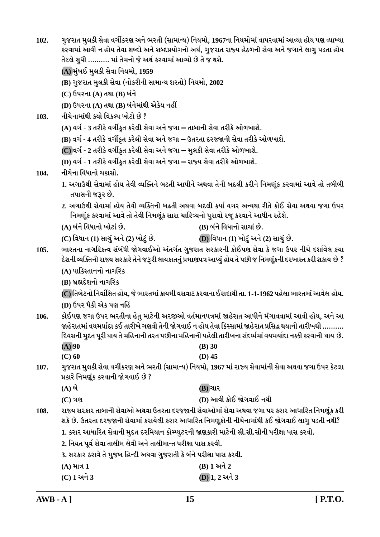| 102. | તેટલે સુધી ………. માં તેમનો જે અર્થ કરવામાં આવ્યો છે તે જ થશે.                                                                                                                                                       | ગુજરાત મુલકી સેવા વર્ગીકરણ અને ભરતી (સામાન્ય) નિયમો, 1967ના નિયમોમાં વાપરવામાં આવ્યા હોય પણ વ્યાખ્યા<br>કરવામાં આવી ન હોય તેવા શબ્દો અને શબ્દપ્રયોગનો અર્થ, ગુજરાત રાજ્ય હેઠળની સેવા અને જગાને લાગુ પડતા હોય                                                                                                          |  |  |  |  |
|------|--------------------------------------------------------------------------------------------------------------------------------------------------------------------------------------------------------------------|-----------------------------------------------------------------------------------------------------------------------------------------------------------------------------------------------------------------------------------------------------------------------------------------------------------------------|--|--|--|--|
|      | (A) મુંબઈ મુલકી સેવા નિયમો, 1959                                                                                                                                                                                   |                                                                                                                                                                                                                                                                                                                       |  |  |  |  |
|      | (B) ગુજરાત મુલકી સેવા (નોકરીની સામાન્ય શરતો) નિયમો, 2002                                                                                                                                                           |                                                                                                                                                                                                                                                                                                                       |  |  |  |  |
|      | (C) ઉપરના (A) તથા (B) બંને                                                                                                                                                                                         |                                                                                                                                                                                                                                                                                                                       |  |  |  |  |
|      | (D) ઉપરના (A) તથા (B) બંનેમાંથી એકેય નહીં                                                                                                                                                                          |                                                                                                                                                                                                                                                                                                                       |  |  |  |  |
| 103. | નીચેનામાંથી કયો વિકલ્પ ખોટો છે ?                                                                                                                                                                                   |                                                                                                                                                                                                                                                                                                                       |  |  |  |  |
|      | (A) વર્ગ - 3 તરીકે વર્ગીકૃત કરેલી સેવા અને જગા – તાબાની સેવા તરીકે ઓળખાશે.                                                                                                                                         |                                                                                                                                                                                                                                                                                                                       |  |  |  |  |
|      |                                                                                                                                                                                                                    | (B) વર્ગ - 4 તરીકે વર્ગીકૃત કરેલી સેવા અને જગા – ઉતરતા દરજ્જાની સેવા તરીકે ઓળખાશે.                                                                                                                                                                                                                                    |  |  |  |  |
|      | (C) વર્ગ - 2 તરીકે વર્ગીકૃત કરેલી સેવા અને જગા – મુલકી સેવા તરીકે ઓળખાશે.                                                                                                                                          |                                                                                                                                                                                                                                                                                                                       |  |  |  |  |
|      | (D) વર્ગ - 1 તરીકે વર્ગીકૃત કરેલી સેવા અને જગા – રાજ્ય સેવા તરીકે ઓળખાશે.                                                                                                                                          |                                                                                                                                                                                                                                                                                                                       |  |  |  |  |
| 104. | નીચેના વિધાનો ચકાસો.                                                                                                                                                                                               |                                                                                                                                                                                                                                                                                                                       |  |  |  |  |
|      | તપાસની જરૂર છે.                                                                                                                                                                                                    | 1. અગાઉથી સેવામાં હોય તેવી વ્યક્તિને બઢતી આપીને અથવા તેની બદલી કરીને નિમણૂંક કરવામાં આવે તો તબીબી                                                                                                                                                                                                                     |  |  |  |  |
|      | 2. અગાઉથી સેવામાં હોય તેવી વ્યક્તિની બઢતી અથવા બદલી કર્યા વગર અન્યથા રીતે કોઈ સેવા અથવા જગા ઉપર<br>નિમણૂંક કરવામાં આવે તો તેવી નિમણૂંક સારા ચારિત્ર્યનો પુરાવો રજૂ કરવાને આધીન રહેશે.                              |                                                                                                                                                                                                                                                                                                                       |  |  |  |  |
|      | (A) બંને વિધાનો ખોટાં છે.                                                                                                                                                                                          | (B) બંને વિધાનો સાચાં છે.                                                                                                                                                                                                                                                                                             |  |  |  |  |
|      | (C) વિધાન (1) સાચું અને (2) ખોટું છે.                                                                                                                                                                              | (D) વિધાન (1) ખોટું અને (2) સાચું છે.                                                                                                                                                                                                                                                                                 |  |  |  |  |
| 105. | ભારતના નાગરિકત્વ સંબંધી જોગવાઈઓ અંતર્ગત ગુજરાત સરકારની કોઈપણ સેવા કે જગા ઉપર નીચે દર્શાવેલ કયા<br>દેશની વ્યક્તિની રાજ્ય સરકારે તેને જરૂરી લાયકાતનું પ્રમાણપત્ર આપ્યું હોય તે પછી જ નિમણૂંકની દરખાસ્ત કરી શકાય છે ? |                                                                                                                                                                                                                                                                                                                       |  |  |  |  |
|      | (A) પાકિસ્તાનનો નાગરિક                                                                                                                                                                                             |                                                                                                                                                                                                                                                                                                                       |  |  |  |  |
|      | (B) બ્રહ્મદેશનો નાગરિક                                                                                                                                                                                             |                                                                                                                                                                                                                                                                                                                       |  |  |  |  |
|      | (D) ઉપર પૈકી એક પણ નહિં                                                                                                                                                                                            | (C) તિબેટનો નિર્વાસિત હોય, જે ભારતમાં કાયમી વસવાટ કરવાના ઈરાદાથી તા. 1-1-1962 પહેલા ભારતમાં આવેલ હોય.                                                                                                                                                                                                                 |  |  |  |  |
| 106. |                                                                                                                                                                                                                    | કોઈપણ જગા ઉપર ભરતીના હેતુ માટેની અરજીઓ વર્તમાનપત્રમાં જાહેરાત આપીને મંગાવવામાં આવી હોય, અને આ<br>જાહેરાતમાં વયમર્યાદા કઈ તારીખે ગણવી તેની જોગવાઈ ન હોય તેવા કિસ્સામાં જાહેરાત પ્રસિદ્ધ થયાની તારીખથી ……….<br>દિવસની મુદત પૂરી થાય તે મહિનાની તરત પછીના મહિનાની પહેલી તારીખના સંદર્ભમાં વયમર્યાદા નક્કી કરવાની થાય છે. |  |  |  |  |
|      | $(A)$ 90                                                                                                                                                                                                           | $(B)$ 30                                                                                                                                                                                                                                                                                                              |  |  |  |  |
|      | $(C)$ 60                                                                                                                                                                                                           | $(D)$ 45                                                                                                                                                                                                                                                                                                              |  |  |  |  |
| 107. | પ્રકારે નિમણૂંક કરવાની જોગવાઈ છે ?                                                                                                                                                                                 | ગુજરાત મુલકી સેવા વર્ગીકરણ અને ભરતી (સામાન્ય) નિયમો, 1967 માં રાજ્ય સેવામાંની સેવા અથવા જગા ઉપર કેટલા                                                                                                                                                                                                                 |  |  |  |  |
|      | $(A)$ બે                                                                                                                                                                                                           | <b>(B)</b> ચાર                                                                                                                                                                                                                                                                                                        |  |  |  |  |
|      | $(C)$ ત્રણ                                                                                                                                                                                                         | (D) આવી કોઈ જોગવાઈ નથી                                                                                                                                                                                                                                                                                                |  |  |  |  |
| 108. |                                                                                                                                                                                                                    | રાજ્ય સરકાર તાબાની સેવાઓ અથવા ઉતરતા દરજ્જાની સેવાઓમાં સેવા અથવા જગા પર કરાર આધારિત નિમણૂંક કરી<br>શકે છે. ઉતરતા દરજ્જાની સેવામાં કરાયેલી કરાર આધારિત નિમણૂકોની નીચેનામાંથી કઈ જોગવાઈ લાગુ પડતી નથી?                                                                                                                   |  |  |  |  |
|      | 1. કરાર આધારિત સેવાની મુદત દરમિયાન કોમ્પ્યુટરની જાણકારી માટેની સી.સી.સીની પરીક્ષા પાસ કરવી.                                                                                                                        |                                                                                                                                                                                                                                                                                                                       |  |  |  |  |
|      | 2. નિયત પૂર્વ સેવા તાલીમ લેવી અને તાલીમાન્ત પરીક્ષા પાસ કરવી.                                                                                                                                                      |                                                                                                                                                                                                                                                                                                                       |  |  |  |  |
|      | 3. સરકાર ઠરાવે તે મુજબ હિન્દી અથવા ગુજરાતી કે બંને પરીક્ષા પાસ કરવી.                                                                                                                                               |                                                                                                                                                                                                                                                                                                                       |  |  |  |  |
|      | (B) 1 અને 2<br>$(A)$ માત્ર 1                                                                                                                                                                                       |                                                                                                                                                                                                                                                                                                                       |  |  |  |  |
|      | (C) 1 અને 3                                                                                                                                                                                                        | (D) 1, 2 અને 3                                                                                                                                                                                                                                                                                                        |  |  |  |  |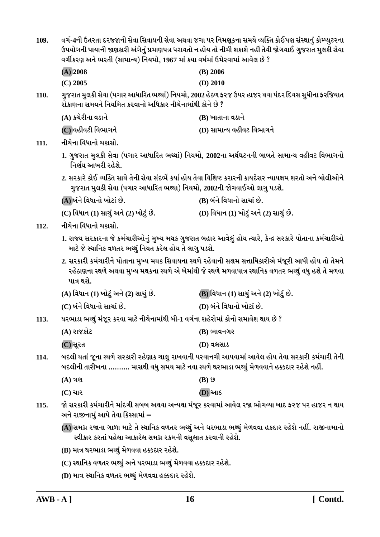| 109. | વર્ગ-4ની ઉતરતા દરજ્જાની સેવા સિવાયની સેવા અથવા જગા પર નિમણૂકના સમયે વ્યક્તિ કોઈપણ સંસ્થાનું કોમ્પ્યુટરના<br>ઉપયોગની પાયાની જાણકારી અંગેનું પ્રમાણપત્ર ધરાવતો ન હોય તો નીમી શકાશે નહીં તેવી જોગવાઈ ગુજરાત મુલકી સેવા<br>વર્ગીકરણ અને ભરતી (સામાન્ય) નિયમો, 1967 માં કયા વર્ષમાં ઉમેરવામાં આવેલ છે ? |                                                                                                                                                                                                                  |  |  |
|------|----------------------------------------------------------------------------------------------------------------------------------------------------------------------------------------------------------------------------------------------------------------------------------------------------|------------------------------------------------------------------------------------------------------------------------------------------------------------------------------------------------------------------|--|--|
|      | $(A)$ 2008                                                                                                                                                                                                                                                                                         | $(B)$ 2006                                                                                                                                                                                                       |  |  |
|      | $(C)$ 2005                                                                                                                                                                                                                                                                                         | (D) 2010                                                                                                                                                                                                         |  |  |
| 110. | રોકાણના સમયને નિયમિત કરવાનો અધિકાર નીચેનામાંથી કોને છે ?                                                                                                                                                                                                                                           | ગુજરાત મુલકી સેવા (પગાર આધારિત ભથ્થાં) નિયમો, 2002 હેઠળ ફરજ ઉપર હાજર થવા પંદર દિવસ સુધીના ફરજિયાત                                                                                                                |  |  |
|      | (A) કચેરીના વડાને                                                                                                                                                                                                                                                                                  | (B) ખાતાના વડાને                                                                                                                                                                                                 |  |  |
|      | (C) વહીવટી વિભાગને                                                                                                                                                                                                                                                                                 | (D) સામાન્ય વહીવટ વિભાગને                                                                                                                                                                                        |  |  |
| 111. | નીચેના વિધાનો ચકાસો.                                                                                                                                                                                                                                                                               |                                                                                                                                                                                                                  |  |  |
|      | નિર્ણય આખરી રહેશે.                                                                                                                                                                                                                                                                                 | 1. ગુજરાત મુલકી સેવા (પગાર આધારિત ભથ્થાં) નિયમો, 2002ના અર્થઘટનની બાબતે સામાન્ય વહીવટ વિભાગનો                                                                                                                    |  |  |
|      | ગુજરાત મુલકી સેવા (પગાર આધારિત ભથ્થા) નિયમો, 2002ની જોગવાઈઓ લાગુ પડશે.                                                                                                                                                                                                                             | 2. સરકારે કોઈ વ્યક્તિ સાથે તેની સેવા સંદર્ભે કર્યા હોય તેવા વિશિષ્ટ કરારની કાયદેસર ન્યાયક્ષમ શરતો અને બોલીઓને                                                                                                    |  |  |
|      | (A) બંને વિધાનો ખોટાં છે.                                                                                                                                                                                                                                                                          | (B) બંને વિધાનો સાચાં છે.                                                                                                                                                                                        |  |  |
|      | (C) વિધાન (1) સાચું અને (2) ખોટું છે.                                                                                                                                                                                                                                                              | (D) વિધાન (1) ખોટું અને (2) સાચું છે.                                                                                                                                                                            |  |  |
| 112. | નીચેના વિધાનો ચકાસો.                                                                                                                                                                                                                                                                               |                                                                                                                                                                                                                  |  |  |
|      | માટે જે સ્થાનિક વળતર ભથ્થું નિયત કરેલ હોય તે લાગુ પડશે.                                                                                                                                                                                                                                            | 1. રાજ્ય સરકારના જે કર્મચારીઓનું મુખ્ય મથક ગુજરાત બહાર આવેલું હોય ત્યારે, કેન્દ્ર સરકારે પોતાના કર્મચારીઓ                                                                                                        |  |  |
|      | પાત્ર થશે.                                                                                                                                                                                                                                                                                         | 2. સરકારી કર્મચારીને પોતાના મુખ્ય મથક સિવાયના સ્થળે રહેવાની સક્ષમ સત્તાધિકારીએ મંજૂરી આપી હોય તો તેમને<br>રહેઠાણના સ્થળે અથવા મુખ્ય મથકના સ્થળે એ બેમાંથી જે સ્થળે મળવાપાત્ર સ્થાનિક વળતર ભથ્થું વધુ હશે તે મળવા |  |  |
|      | (A) વિધાન (1) ખોટું અને (2) સાચું છે.                                                                                                                                                                                                                                                              | (B) વિધાન (1) સાચું અને (2) ખોટું છે.                                                                                                                                                                            |  |  |
|      | (C) બંને વિધાનો સાચાં છે.                                                                                                                                                                                                                                                                          | (D) બંને વિધાનો ખોટાં છે.                                                                                                                                                                                        |  |  |
| 113. | ઘરભાડા ભથ્થું મંજૂર કરવા માટે નીચેનામાંથી બી-1 વર્ગના શહેરોમાં કોનો સમાવેશ થાય છે ?                                                                                                                                                                                                                |                                                                                                                                                                                                                  |  |  |
|      | (A) રાજકોટ                                                                                                                                                                                                                                                                                         | (B) ભાવનગર                                                                                                                                                                                                       |  |  |
|      | (C) સૂરત                                                                                                                                                                                                                                                                                           | (D) વલસાડ                                                                                                                                                                                                        |  |  |
| 114. | બદલી થતાં જૂના સ્થળે સરકારી રહેણાક ચાલુ રાખવાની પરવાનગી આપવામાં આવેલ હોય તેવા સરકારી કર્મચારી તેની<br>બદલીની તારીખના ………. માસથી વધુ સમય માટે નવા સ્થળે ઘરભાડા ભથ્થું મેળવવાને હક્કદાર રહેશે નહીં.                                                                                                  |                                                                                                                                                                                                                  |  |  |
|      | $(A)$ ત્રણ                                                                                                                                                                                                                                                                                         | $(B)$ છ                                                                                                                                                                                                          |  |  |
|      | $(C)$ ચાર                                                                                                                                                                                                                                                                                          | <b>(D)</b> આઠ                                                                                                                                                                                                    |  |  |
| 115. | જો સરકારી કર્મચારીને માંદગી સબબ અથવા અન્યથા મંજૂર કરવામાં આવેલ રજા ભોગવ્યા બાદ ફરજ પર હાજર ન થાય<br>અને રાજીનામું આપે તેવા કિસ્સામાં –                                                                                                                                                             |                                                                                                                                                                                                                  |  |  |
|      | (A) સમગ્ર રજાના ગાળા માટે તે સ્થાનિક વળતર ભથ્થું અને ઘરભાડા ભથ્થું મેળવવા હકદાર રહેશે નહીં. રાજીનામાનો<br>સ્વીકાર કરતાં પહેલા આકારેલ સમગ્ર રકમની વસૂલાત કરવાની રહેશે.                                                                                                                              |                                                                                                                                                                                                                  |  |  |
|      | (B) માત્ર ઘરભાડા ભથ્થું મેળવવા હક્કદાર રહેશે.                                                                                                                                                                                                                                                      |                                                                                                                                                                                                                  |  |  |
|      | (C) સ્થાનિક વળતર ભથ્થું અને ઘરભાડા ભથ્થું મેળવવા હક્કદાર રહેશે.                                                                                                                                                                                                                                    |                                                                                                                                                                                                                  |  |  |
|      | (D) માત્ર સ્થાનિક વળતર ભથ્થું મેળવવા હક્કદાર રહેશે.                                                                                                                                                                                                                                                |                                                                                                                                                                                                                  |  |  |
|      |                                                                                                                                                                                                                                                                                                    |                                                                                                                                                                                                                  |  |  |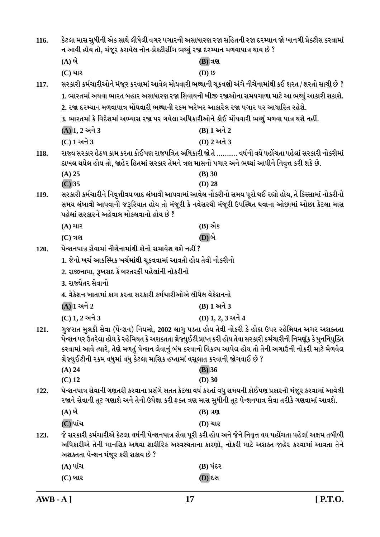| 116. | કેટલા માસ સુધીની એક સાથે લીધેલી વગર પગારની અસાધારણ રજા સહિતની રજા દરમ્યાન જો ખાનગી પ્રેક્ટીસ કરવામાં<br>ન આવી હોય તો, મંજૂર કરાયેલ નોન-પ્રેક્ટીસીંગ ભથ્થું રજા દરમ્યાન મળવાપાત્ર થાય છે ? |                                                                                                                        |
|------|-------------------------------------------------------------------------------------------------------------------------------------------------------------------------------------------|------------------------------------------------------------------------------------------------------------------------|
|      | $(A)$ બે                                                                                                                                                                                  | (B) ત્રણ                                                                                                               |
|      | $(C)$ ચાર                                                                                                                                                                                 | $(D)$ $\Omega$                                                                                                         |
| 117. |                                                                                                                                                                                           | સરકારી કર્મચારીઓને મંજૂર કરવામાં આવેલ મોઘવારી ભથ્થાની ચૂકવણી અંગે નીચેનામાંથી કઈ શરત / શરતો સાચી છે ?                  |
|      |                                                                                                                                                                                           | 1. ભારતમાં અથવા ભારત બહાર અસાધારણ રજા સિવાયની બીજી રજાઓના સમયગાળા માટે આ ભથ્થું આકારી શકાશે.                           |
|      | 2. રજા દરમ્યાન મળવાપાત્ર મોંઘવારી ભથ્થાની રકમ ખરેખર આકારેલ રજા પગાર પર આધારિત રહેશે.                                                                                                      |                                                                                                                        |
|      | 3. ભારતમાં કે વિદેશમાં અભ્યાસ રજા પર ગયેલા અધિકારીઓને કોઈ મોંઘવારી ભથ્થું મળવા પાત્ર થશે નહીં.                                                                                            |                                                                                                                        |
|      | (A) 1, 2 અને 3                                                                                                                                                                            | (B) 1 અને 2                                                                                                            |
|      | $(C)$ 1 અને 3                                                                                                                                                                             | (D) 2 અને 3                                                                                                            |
| 118. |                                                                                                                                                                                           | રાજ્ય સરકાર હેઠળ કામ કરતા કોઈપણ રાજપત્રિત અધિકારી જો તે ………. વર્ષની વયે પહોંચતા પહેલાં સરકારી નોકરીમાં                 |
|      | દાખલ થયેલ હોય તો, જાહેર હિતમાં સરકાર તેમને ત્રણ માસનો પગાર અને ભથ્થાં આપીને નિવૃત્ત કરી શકે છે.                                                                                           |                                                                                                                        |
|      | $(A)$ 25                                                                                                                                                                                  | (B) 30                                                                                                                 |
|      | $(C)$ 35                                                                                                                                                                                  | $(D)$ 28                                                                                                               |
| 119. |                                                                                                                                                                                           | સરકારી કર્મચારીને નિવૃત્તીવય બાદ લંબાવી આપવામાં આવેલ નોકરીનો સમય પૂરો થઈ રહ્યો હોય, તે કિસ્સામાં નોકરીનો               |
|      | પહેલાં સરકારને અહેવાલ મોકલવાનો હોય છે ?                                                                                                                                                   | સમય લંબાવી આપવાની જરૂરિયાત હોય તો મંજૂરી કે નવેસરથી મંજૂરી ઉપસ્થિત થવાના ઓછામાં ઓછા કેટલા માસ                          |
|      | $(A)$ ચાર                                                                                                                                                                                 | (B) એક                                                                                                                 |
|      | $(C)$ ત્રણ                                                                                                                                                                                | (D) બે                                                                                                                 |
| 120. | પેન્શનપાત્ર સેવામાં નીચેનામાંથી કોનો સમાવેશ થશે નહીં ?                                                                                                                                    |                                                                                                                        |
|      | 1. જેનો ખર્ચ આકસ્મિક ખર્ચમાંથી ચૂકવવામાં આવતી હોય તેવી નોકરીનો                                                                                                                            |                                                                                                                        |
|      | 2. રાજીનામા, રૂખસદ કે બરતરફી પહેલાંની નોકરીનો                                                                                                                                             |                                                                                                                        |
|      | 3. રાજ્યેતર સેવાનો                                                                                                                                                                        |                                                                                                                        |
|      | 4. વેકેશન ખાતામાં કામ કરતા સરકારી કર્મચારીઓએ લીધેલ વેકેશનનો                                                                                                                               |                                                                                                                        |
|      | $\overline{\bf{(A)}}$ $\bf{1}$ અને $\bf{2}$                                                                                                                                               | (B) 1 અને 3                                                                                                            |
|      | (C) 1, 2 અને 3                                                                                                                                                                            | (D) 1, 2, 3 અને 4                                                                                                      |
| 121. |                                                                                                                                                                                           | ગુજરાત મુલકી સેવા (પેન્શન) નિયમો, 2002 લાગુ પડતા હોય તેવી નોકરી કે હોદા ઉપર રહેમિયત અગર અશક્તતા                        |
|      |                                                                                                                                                                                           | પેન્શન પર ઉતરેલા હોય કે રહેમિયત કે અશક્તતા ગ્રેજ્યુઈટી પ્રાપ્ત કરી હોય તેવા સરકારી કર્મચારીની નિમણૂંક કે પુનર્નિયુક્તિ |
|      |                                                                                                                                                                                           | કરવામાં આવે ત્યારે, તેણે મળતું પેન્શન લેવાનું બંધ કરવાનો વિકલ્પ આપેલ હોય તો તેની અગાઉની નોકરી માટે મેળવેલ              |
|      | ગ્રેજ્યુઈટીની રકમ વધુમાં વધુ કેટલા માસિક હપ્તામાં વસૂલાત કરવાની જોગવાઈ છે ?                                                                                                               |                                                                                                                        |
|      | $(A)$ 24<br>$(C)$ 12                                                                                                                                                                      | $(B)$ 36<br>$(D)$ 30                                                                                                   |
| 122. |                                                                                                                                                                                           | પેન્શનપાત્ર સેવાની ગણતરી કરવાના પ્રસંગે સતત કેટલા વર્ષ કરતાં વધુ સમયની કોઈપણ પ્રકારની મંજૂર કરવામાં આવેલી              |
|      |                                                                                                                                                                                           | રજાને સેવાની તૂટ ગણાશે અને તેની ઉપેક્ષા કરી ફક્ત ત્રણ માસ સુધીની તૂટ પેન્શનપાત્ર સેવા તરીકે ગણવામાં આવશે.              |
|      | $(A)$ બે                                                                                                                                                                                  | $(B)$ ત્રણ                                                                                                             |
|      | $\overline{\mathbf{C}}$ પાંચ                                                                                                                                                              | <b>(D)</b> ચાર                                                                                                         |
| 123. |                                                                                                                                                                                           | જે સરકારી કર્મચારીએ કેટલા વર્ષની પેન્શનપાત્ર સેવા પૂરી કરી હોય અને જેને નિવૃત્ત વય પહોંચતા પહેલાં અક્ષમ તબીબી          |
|      |                                                                                                                                                                                           | અધિકારીએ તેની માનસિક અથવા શારીરિક અસ્વસ્થતાના કારણો, નોકરી માટે અશક્ત જાહેર કરવામાં આવતા તેને                          |
|      | અશક્તતા પેન્શન મંજૂર કરી શકાય છે ?                                                                                                                                                        |                                                                                                                        |
|      | $(A)$ પાંચ                                                                                                                                                                                | (B) પંદર                                                                                                               |
|      | $(C)$ બાર                                                                                                                                                                                 | <b>(D) દસ</b>                                                                                                          |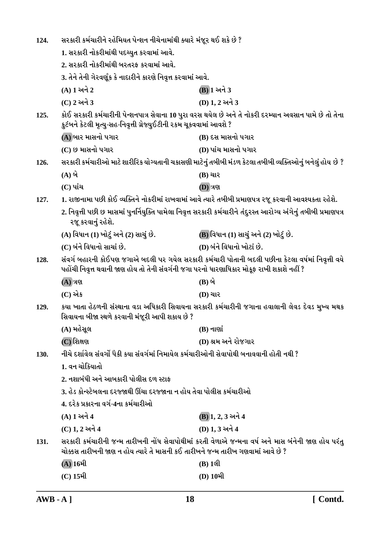| 124. | સરકારી કર્મચારીને રહેમિયત પેન્શન નીચેનામાંથી ક્યારે મંજૂર થઈ શકે છે ?                                                                                                                           |                                                                                                                  |
|------|-------------------------------------------------------------------------------------------------------------------------------------------------------------------------------------------------|------------------------------------------------------------------------------------------------------------------|
|      | 1. સરકારી નોકરીમાંથી પદચ્યુત કરવામાં આવે.                                                                                                                                                       |                                                                                                                  |
|      | 2. સરકારી નોકરીમાંથી બરતરફ કરવામાં આવે.                                                                                                                                                         |                                                                                                                  |
|      | 3. તેને તેની ગેરવર્ણૂક કે નાદારીને કારણે નિવૃત્ત કરવામાં આવે.                                                                                                                                   |                                                                                                                  |
|      | (A) 1 અને 2                                                                                                                                                                                     | (B) 1 અને 3                                                                                                      |
|      | (C) 2 અને 3                                                                                                                                                                                     | (D) 1.2 અને 3                                                                                                    |
| 125. | કુટંબને કેટલી મૃત્યુ-સહ-નિવૃત્તી ગ્રેજ્યુઈટીની રકમ ચૂકવવામાં આવશે ?                                                                                                                             | કોઈ સરકારી કર્મચારીની પેન્શનપાત્ર સેવાના 10 પુરા વરસ થયેલ છે અને તે નોકરી દરમ્યાન અવસાન પામે છે તો તેના          |
|      | (A) બાર માસનો પગાર                                                                                                                                                                              | (B) દસ માસનો પગાર                                                                                                |
|      | (C) છ માસનો પગાર                                                                                                                                                                                | (D) પાંચ માસનો પગાર                                                                                              |
| 126. |                                                                                                                                                                                                 | સરકારી કર્મચારીઓ માટે શારીરિક યોગ્યતાની ચકાસણી માટેનું તબીબી મંડળ કેટલા તબીબી વ્યક્તિઓનું બનેલું હોય છે ?        |
|      | $(A)$ બે                                                                                                                                                                                        | (B) ચાર                                                                                                          |
|      | $(C)$ પાંચ                                                                                                                                                                                      | <b>(D)</b> ત્રણ                                                                                                  |
| 127. |                                                                                                                                                                                                 | 1. રાજીનામા પછી કોઈ વ્યક્તિને નોકરીમાં રાખવામાં આવે ત્યારે તબીબી પ્રમાણપત્ર રજૂ કરવાની આવશ્યકતા રહેશે.           |
|      | રજૂ કરવાનું રહેશે.                                                                                                                                                                              | 2. નિવૃત્તી પછી છ માસમાં પુનર્નિયુક્તિ પામેલા નિવૃત્ત સરકારી કર્મચારીને તંદુરસ્ત આરોગ્ય અંગેનું તબીબી પ્રમાણપત્ર |
|      | (A) વિધાન (1) ખોટું અને (2) સાચું છે.                                                                                                                                                           | (B) વિધાન (1) સાચું અને (2) ખોટું છે.                                                                            |
|      | (C) બંને વિધાનો સાચાં છે.                                                                                                                                                                       | (D) બંને વિધાનો ખોટાં છે.                                                                                        |
| 128. | સંવર્ગ બહારની કોઈપણ જગાએ બદલી પર ગયેલ સરકારી કર્મચારી પોતાની બદલી પછીના કેટલા વર્ષમાં નિવૃત્તી વયે<br>પહોંચી નિવૃત્ત થવાની જાણ હોય તો તેની સંવર્ગની જગા પરનો ધારણાધિકાર મોકૂફ રાખી શકાશે નહીં ? |                                                                                                                  |
|      | $(A)$ ત્રણ                                                                                                                                                                                      | (B) બે                                                                                                           |
|      | (C) એક                                                                                                                                                                                          | <b>(D)</b> ચાર                                                                                                   |
| 129. | કયા ખાતા હેઠળની સંસ્થાના વડા અધિકારી સિવાયના સરકારી કર્મચારીની જગાના હવાલાની લેવડ દેવડ મુખ્ય મથક<br>સિવાયના બીજા સ્થળે કરવાની મંજૂરી આપી શકાય છે ?                                              |                                                                                                                  |
|      | (A) મહેસુલ                                                                                                                                                                                      | $(B)$ નાણાં                                                                                                      |
|      | $(C)$ શિક્ષણ                                                                                                                                                                                    | (D) શ્રમ અને રોજગાર                                                                                              |
| 130. | નીચે દર્શાવેલ સંવર્ગો પૈકી કયા સંવર્ગમાં નિમાયેલ કર્મચારીઓની સેવાપોથી બનાવવાની હોતી નથી ?                                                                                                       |                                                                                                                  |
|      | 1. વન ચોકિયાતો                                                                                                                                                                                  |                                                                                                                  |
|      | 2. નશાબંધી અને આબકારી પોલીસ દળ સ્ટાક                                                                                                                                                            |                                                                                                                  |
|      | 3. હેડ કોન્સ્ટેબલના દરજ્જાથી ઊંચા દરજ્જાના ન હોય તેવા પોલીસ કર્મચારીઓ                                                                                                                           |                                                                                                                  |
|      | 4. દરેક પ્રકારના વર્ગ-4ના કર્મચારીઓ                                                                                                                                                             |                                                                                                                  |
|      | (A) 1 અને 4                                                                                                                                                                                     | (B) 1, 2, 3 અને 4                                                                                                |
|      | (C) 1, 2 અને 4                                                                                                                                                                                  | (D) 1, 3 અને 4                                                                                                   |
| 131. | ચોક્કસ તારીખની જાણ ન હોય ત્યારે તે માસની કઈ તારીખને જન્મ તારીખ ગણવામાં આવે છે ?                                                                                                                 | સરકારી કર્મચારીની જન્મ તારીખની નોંધ સેવાપોથીમાં કરતી વેળાએ જન્મના વર્ષ અને માસ બંનેની જાણ હોય પરંતુ              |
|      | (A) 16મી                                                                                                                                                                                        | $(B)$ 1લી                                                                                                        |
|      | $(C)$ 15મી                                                                                                                                                                                      | (D) 10મી                                                                                                         |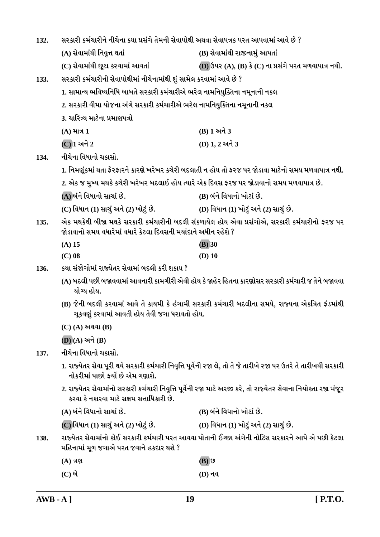| 132. | સરકારી કર્મચારીને નીચેના કયા પ્રસંગે તેમની સેવાપોથી અથવા સેવાપત્રક પરત આપવામાં આવે છે ?                                                                           |                                                                                                                   |
|------|-------------------------------------------------------------------------------------------------------------------------------------------------------------------|-------------------------------------------------------------------------------------------------------------------|
|      | (A) સેવામાંથી નિવૃત્ત થતાં                                                                                                                                        | (B) સેવામાંથી રાજીનામું આપતાં                                                                                     |
|      | (C) સેવામાંથી છૂટા કરવામાં આવતાં                                                                                                                                  | $(D)$ ઉપર $(A)$ , $(B)$ કે $(C)$ ના પ્રસંગે પરત મળવાપાત્ર નથી.                                                    |
| 133. | સરકારી કર્મચારીની સેવાપોથીમાં નીચેનામાંથી શું સામેલ કરવામાં આવે છે ?                                                                                              |                                                                                                                   |
|      | 1. સામાન્ય ભવિષ્યનિધિ બાબતે સરકારી કર્મચારીએ ભરેલ નામનિયુક્તિના નમૂનાની નકલ                                                                                       |                                                                                                                   |
|      | 2. સરકારી વીમા યોજના અંગે સરકારી કર્મચારીએ ભરેલ નામનિયુક્તિના નમૂનાની નકલ                                                                                         |                                                                                                                   |
|      | 3. ચારિત્ર્ય માટેના પ્રમાણપત્રો                                                                                                                                   |                                                                                                                   |
|      | $(A)$ માત્ર 1                                                                                                                                                     | (B) 1 અને 3                                                                                                       |
|      | (C) 1 અને 2                                                                                                                                                       | (D) 1, 2 અને 3                                                                                                    |
| 134. | નીચેના વિધાનો ચકાસો.                                                                                                                                              |                                                                                                                   |
|      |                                                                                                                                                                   | 1. નિમણૂંકમાં થતા ફેરફારને કારણે ખરેખર કચેરી બદલાતી ન હોય તો ફરજ પર જોડાવા માટેનો સમય મળવાપાત્ર નથી.              |
|      | 2. એક જ મુખ્ય મથકે કચેરી ખરેખર બદલાઈ હોય ત્યારે એક દિવસ ફરજ પર જોડાવાનો સમય મળવાપાત્ર છે.                                                                         |                                                                                                                   |
|      | (A) બંને વિધાનો સાચાં છે.                                                                                                                                         | (B) બંને વિધાનો ખોટાં છે.                                                                                         |
|      | (C) વિધાન (1) સાચું અને (2) ખોટું છે.                                                                                                                             | (D) વિધાન (1) ખોટું અને (2) સાચું છે.                                                                             |
| 135. | એક મથકેથી બીજા મથકે સરકારી કર્મચારીની બદલી સંકળાયેલ હોય એવા પ્રસંગોએ, સરકારી કર્મચારીનો ફરજ પર<br>જોડાવાનો સમય વધારેમાં વધારે કેટલા દિવસની મર્યાદાને અધીન રહેશે ? |                                                                                                                   |
|      | $(A)$ 15                                                                                                                                                          | $\overline{(B)}$ 30                                                                                               |
|      | $(C)$ 08                                                                                                                                                          | $(D)$ 10                                                                                                          |
|      |                                                                                                                                                                   |                                                                                                                   |
| 136. | કયા સંજોગોમાં રાજ્યેતર સેવામાં બદલી કરી શકાય ?                                                                                                                    |                                                                                                                   |
|      | યોગ્ય હોય.                                                                                                                                                        | (A) બદલી પછી બજાવવામાં આવનારી કામગીરી એવી હોય કે જાહેર હિતના કારણોસર સરકારી કર્મચારી જ તેને બજાવવા                |
|      | ચૂકવણું કરવામાં આવતી હોય તેવી જગા ધરાવતો હોય.                                                                                                                     | (B) જેની બદલી કરવામાં આવે તે કાયમી કે હંગામી સરકારી કર્મચારી બદલીના સમયે, રાજ્યના એકત્રિત ફંડમાંથી                |
|      | $(C)$ (A) અથવા (B)                                                                                                                                                |                                                                                                                   |
|      | $(D)(A)$ અને $(B)$                                                                                                                                                |                                                                                                                   |
| 137. | નીચેના વિધાનો ચકાસો.                                                                                                                                              |                                                                                                                   |
|      | નોકરીમાં પાછો ફર્યો છે એમ ગણાશે.                                                                                                                                  | 1. રાજ્યેતર સેવા પૂરી થયે સરકારી કર્મચારી નિવૃત્તિ પૂર્વેની રજા લે, તો તે જે તારીખે રજા પર ઉતરે તે તારીખથી સરકારી |
|      | કરવા કે નકારવા માટે સક્ષમ સત્તાધિકારી છે.                                                                                                                         | 2. રાજ્યેતર સેવામાંનો સરકારી કર્મચારી નિવૃત્તિ પૂર્વેની રજા માટે અરજી કરે, તો રાજ્યેતર સેવાના નિયોક્તા રજા મંજૂર  |
|      | (A) બંને વિધાનો સાચાં છે.                                                                                                                                         | (B) બંને વિધાનો ખોટાં છે.                                                                                         |
|      | (C) વિધાન (1) સાચું અને (2) ખોટું છે.                                                                                                                             | (D) વિધાન (1) ખોટું અને (2) સાચું છે.                                                                             |
| 138. | મહિનામાં મૂળ જગાએ પરત જવાને હકદાર થશે ?                                                                                                                           | રાજ્યેતર સેવામાંનો કોઈ સરકારી કર્મચારી પરત આવવા પોતાની ઈચ્છા અંગેની નોટિસ સરકારને આપે એ પછી કેટલા                 |
|      | $(A)$ ત્રણ                                                                                                                                                        | $(B)$ છ                                                                                                           |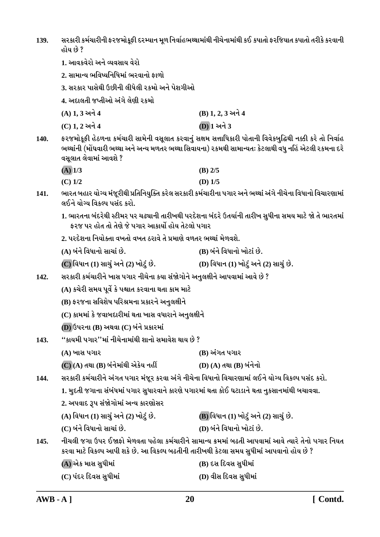સરકારી કર્મચારીની ફરજમોકુફી દરમ્યાન મુળ નિર્વાહભથ્થામાંથી નીચેનામાંથી કઈ કપાતો ફરજિયાત કપાતો તરીકે કરવાની 139. હોય છે ?

- 1. આવકવેરો અને વ્યવસાય વેરો
- 2. સામાન્ય ભવિષ્યનિધિમાં ભરવાનો કાળો
- 3. સરકાર પાસેથી ઉછીની લીધેલી રકમો અને પેશગીઓ

4. અદાલતી જપ્તીઓ અંગે લેણી રકમો

| (A) 1, 3 અને 4 | $(B)$ 1, 2, 3 અને 4 |
|----------------|---------------------|
| (C) 1, 2 અને 4 | (D) 1 અને 3         |

ફરજમોકૂફી હેઠળના કર્મચારી સામેની વસૂલાત કરવાનું સક્ષમ સત્તાધિકારી પોતાની વિવેકબુદ્ધિથી નક્કી કરે તો નિર્વાહ  $140.$ ભથ્થાંની (મોંઘવારી ભથ્થા અને અન્ય મળતર ભથ્થા સિવાયના) રકમથી સામાન્યતઃ કેટલાથી વધુ નહિં એટલી રકમના દરે વસલાત લેવામાં આવશે ?

| $(A)$ 1/3 | $(B)$ 2/5 |
|-----------|-----------|
| $(C)$ 1/2 | (D) $1/5$ |

- ભારત બહાર યોગ્ય મંજૂરીથી પ્રતિનિયુક્તિ કરેલ સરકારી કર્મચારીના પગાર અને ભથ્થાં અંગે નીચેના વિધાનો વિચારણામાં  $141.$ લઈને યોગ્ય વિકલ્પ પસંદ કરો.
	- 1. ભારતના બંદરેથી સ્ટીમર પર ચઢ્યાની તારીખથી પરદેશના બંદરે ઉતર્યાની તારીખ સુધીના સમય માટે જો તે ભારતમાં કરજ પર હોત તો તેણે જે પગાર આકાર્યો હોય તેટલો પગાર
	- 2. પરદેશના નિયોક્તા વખતો વખત ઠરાવે તે પ્રમાણે વળતર ભથ્થાં મેળવશે.
	- (B) બંને વિધાનો ખોટાં છે. (A) બંને વિધાનો સાચાં છે.
	- (C) વિધાન (1) સાચું અને (2) ખોટું છે. (D) વિધાન (1) ખોટું અને (2) સાચું છે.
- સરકારી કર્મચારીને ખાસ પગાર નીચેના કયા સંજોગોને અનુલક્ષીને આપવામાં આવે છે ?  $142.$ 
	- (A) કચેરી સમય પૂર્વે કે પશ્ચાત કરવાના થતા કામ માટે
	- (B) ફરજના સવિશેષ પરિશ્રમના પ્રકારને અનુલક્ષીને
	- (C) કામમાં કે જવાબદારીમાં થતા ખાસ વધારાને અનુલક્ષીને
	- (D) ઉપરના (B) અથવા (C) બંને પ્રકારમાં
- "કાયમી પગાર"માં નીચેનામાંથી શાનો સમાવેશ થાય છે ?  $143.$ 
	- (A) ખાસ પગાર (B) અંગત પગાર
	- $\overline{\textbf{(C)}}$   $\textbf{(A)}$  તથા  $\textbf{(B)}$  બંનેમાંથી એકેય નહીં (D) (A) તથા (B) બંનેનો

સરકારી કર્મચારીને અંગત પગાર મંજૂર કરવા અંગે નીચેના વિધાનો વિચારણામાં લઈને યોગ્ય વિકલ્પ પસંદ કરો.  $144.$ 

1. મુદતી જગાના સંબંધમાં પગાર સુધારવાને કારણે પગારમાં થતા કોઈ ઘટાડાને થતા નુકસાનમાંથી બચાવવા.

2. અપવાદ રૂપ સંજોગોમાં અન્ય કારણોસર

| (A) વિધાન (1) સાચું અને (2) ખોટું છે. | (B) વિધાન (1) ખોટું અને (2) સાચું છે. |
|---------------------------------------|---------------------------------------|
| (C) બંને વિધાનો સાચાં છે.             | (D) બંને વિધાનો ખોટાં છે.             |

નીચલી જગા ઉપર ઈજાફો મેળવતા પહેલા કર્મચારીને સામાન્ય ક્રમમાં બઢતી આપવામાં આવે ત્યારે તેનો પગાર નિયત  $145.$ કરવા માટે વિકલ્પ આપી શકે છે. આ વિકલ્પ બઢતીની તારીખથી કેટલા સમય સુધીમાં આપવાનો હોય છે ?

| (A) એક માસ સુધીમાં    | (B) દસ દિવસ સુધીમાં  |
|-----------------------|----------------------|
| (C) પંદર દિવસ સુધીમાં | (D) વીસ દિવસ સુધીમાં |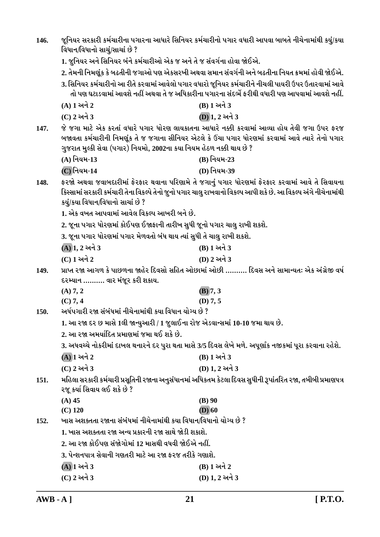| 146.                                                                                                                                                                                                                                                           | જૂનિયર સરકારી કર્મચારીના પગારના આધારે સિનિયર કર્મચારીનો પગાર વધારી આપવા બાબતે નીચેનામાંથી કયું/કયા<br>વિધાન/વિધાનો સાચું/સાચાં છે ?                                                                                                                                        |                                                                                                                                                                                                        |  |
|----------------------------------------------------------------------------------------------------------------------------------------------------------------------------------------------------------------------------------------------------------------|----------------------------------------------------------------------------------------------------------------------------------------------------------------------------------------------------------------------------------------------------------------------------|--------------------------------------------------------------------------------------------------------------------------------------------------------------------------------------------------------|--|
|                                                                                                                                                                                                                                                                | 1. જુનિયર અને સિનિયર બંને કર્મચારીઓ એક જ અને તે જ સંવર્ગના હોવા જોઈએ.                                                                                                                                                                                                      |                                                                                                                                                                                                        |  |
|                                                                                                                                                                                                                                                                |                                                                                                                                                                                                                                                                            | 2. તેમની નિમણૂંક કે બઢતીની જગાઓ પણ એકસરખી અથવા સમાન સંવર્ગની અને બઢતીના નિયત ક્રમમાં હોવી જોઈએ.                                                                                                        |  |
|                                                                                                                                                                                                                                                                |                                                                                                                                                                                                                                                                            | 3. સિનિયર કર્મચારીનો આ રીતે કરવામાં આવેલો પગાર વધારો જૂનિયર કર્મચારીને નીચલી પાયરી ઉપર ઉતારવામાં આવે<br>તો પણ ઘટાડવામાં આવશે નહીં અથવા તે જ અધિકારીના પગારના સંદર્ભે ફરીથી વધારી પણ આપવામાં આવશે નહીં. |  |
|                                                                                                                                                                                                                                                                | (A) 1 અને 2                                                                                                                                                                                                                                                                | (B) 1 અને 3                                                                                                                                                                                            |  |
|                                                                                                                                                                                                                                                                | (C) 2 અને 3                                                                                                                                                                                                                                                                | <b>D</b> ) 1, 2 અને 3                                                                                                                                                                                  |  |
| 147.                                                                                                                                                                                                                                                           | જે જગા માટે એક કરતાં વધારે પગાર ધોરણ લાયકાતના આધારે નક્કી કરવામાં આવ્યા હોય તેવી જગા ઉપર ફરજ<br>બજાવતા કર્મચારીની નિમણૂંક તે જ જગાના સીનિયર એટલે કે ઉંચા પગાર ધોરણમાં કરવામાં આવે ત્યારે તેનો પગાર<br>ગુજરાત મુલ્કી સેવા (પગાર) નિયમો, 2002ના કયા નિયમ હેઠળ નક્કી થાય છે ? |                                                                                                                                                                                                        |  |
|                                                                                                                                                                                                                                                                | (A) નિયમ-13                                                                                                                                                                                                                                                                | (B) નિયમ-23                                                                                                                                                                                            |  |
|                                                                                                                                                                                                                                                                | $(C)$ નિયમ-14                                                                                                                                                                                                                                                              | (D) નિયમ-39                                                                                                                                                                                            |  |
| ફરજો અથવા જવાબદારીમાં ફેરફાર થવાના પરિણામે તે જગાનું પગાર ધોરણમાં ફેરફાર કરવામાં આવે તે સિવાયના<br>148.<br>કિસ્સામાં સરકારી કર્મચારી તેના વિકલ્પે તેનો જુનો પગાર ચાલુ રાખવાનો વિકલ્પ આપી શકે છે. આ વિકલ્પ અંગે નીચેનામાંથી<br>કયું/કયા વિધાન/વિધાનો સાચાં છે ? |                                                                                                                                                                                                                                                                            |                                                                                                                                                                                                        |  |
|                                                                                                                                                                                                                                                                | 1. એક વખત આપવામાં આવેલ વિકલ્પ આખરી બને છે.                                                                                                                                                                                                                                 |                                                                                                                                                                                                        |  |
|                                                                                                                                                                                                                                                                | 2. જૂના પગાર ધોરણમાં કોઈપણ ઈજાફાની તારીખ સુધી જૂનો પગાર ચાલુ રાખી શકશે.                                                                                                                                                                                                    |                                                                                                                                                                                                        |  |
|                                                                                                                                                                                                                                                                | 3. જૂના પગાર ધોરણમાં પગાર મેળવતો બંધ થાય ત્યાં સુધી તે ચાલુ રાખી શકશે.                                                                                                                                                                                                     |                                                                                                                                                                                                        |  |
|                                                                                                                                                                                                                                                                | $(A)$ 1, 2 અને 3                                                                                                                                                                                                                                                           | (B) 1 અને 3                                                                                                                                                                                            |  |
|                                                                                                                                                                                                                                                                | (C) 1 અને 2                                                                                                                                                                                                                                                                | (D) 2 અને 3                                                                                                                                                                                            |  |
| 149.                                                                                                                                                                                                                                                           | પ્રાપ્ત રજા આગળ કે પાછળના જાહેર દિવસો સહિત ઓછામાં ઓછી ………. દિવસ અને સામાન્યતઃ એક અંગ્રેજી વર્ષ<br>દરમ્યાન  વાર મંજૂર કરી શકાય.                                                                                                                                             |                                                                                                                                                                                                        |  |
|                                                                                                                                                                                                                                                                | (A) 7, 2                                                                                                                                                                                                                                                                   | $(B)$ 7, 3                                                                                                                                                                                             |  |
|                                                                                                                                                                                                                                                                | $(C)$ 7, 4                                                                                                                                                                                                                                                                 | (D) 7, 5                                                                                                                                                                                               |  |
| અર્ધપગારી રજા સંબંધમાં નીચેનામાંથી કયા વિધાન યોગ્ય છે ?<br>150.<br>1. આ રજા દર છ માસે 1લી જાન્યુઆરી / 1 જુલાઈના રોજ એડવાન્સમાં 10-10 જમા થાય છે.                                                                                                               |                                                                                                                                                                                                                                                                            |                                                                                                                                                                                                        |  |
|                                                                                                                                                                                                                                                                |                                                                                                                                                                                                                                                                            |                                                                                                                                                                                                        |  |
|                                                                                                                                                                                                                                                                | 2. આ રજા અમર્યાદિત પ્રમાણમાં જમા થઈ શકે છે.                                                                                                                                                                                                                                |                                                                                                                                                                                                        |  |
|                                                                                                                                                                                                                                                                |                                                                                                                                                                                                                                                                            | 3. અધવચ્ચે નોકરીમાં દાખલ થનારને દર પુરા થતા માસે 3/5 દિવસ લેખે મળે. અપૂર્ણાંક નજીકમાં પૂરા કરવાના રહેશે.                                                                                               |  |
|                                                                                                                                                                                                                                                                | $\overline{\bf{(A)}}$ $\bf{1}$ અને $\bf{2}$                                                                                                                                                                                                                                | (B) 1 અને 3                                                                                                                                                                                            |  |
|                                                                                                                                                                                                                                                                | (C) 2 અને 3                                                                                                                                                                                                                                                                | (D) 1, 2 અને 3                                                                                                                                                                                         |  |
| 151.                                                                                                                                                                                                                                                           | ૨જૂ કર્યા સિવાય લઈ શકે છે ?                                                                                                                                                                                                                                                | મહિલા સરકારી કર્મચારી પ્રસૂતિની રજાના અનુસંધાનમાં અધિકતમ કેટલા દિવસ સુધીની રૂપાંતરિત રજા, તબીબી પ્રમાણપત્ર                                                                                             |  |
|                                                                                                                                                                                                                                                                | $(A)$ 45                                                                                                                                                                                                                                                                   | $(B)$ 90                                                                                                                                                                                               |  |
|                                                                                                                                                                                                                                                                | $(C)$ 120                                                                                                                                                                                                                                                                  | $(D)$ 60                                                                                                                                                                                               |  |
| 152.                                                                                                                                                                                                                                                           | ખાસ અશક્તતા રજાના સંબંધમાં નીચેનામાંથી કયા વિધાન/વિધાનો યોગ્ય છે ?                                                                                                                                                                                                         |                                                                                                                                                                                                        |  |
|                                                                                                                                                                                                                                                                | 1. ખાસ અશક્તતા રજા અન્ય પ્રકારની રજા સાથે જોડી શકાશે.                                                                                                                                                                                                                      |                                                                                                                                                                                                        |  |
|                                                                                                                                                                                                                                                                | 2. આ રજા કોઈપણ સંજોગોમાં 12 માસથી વધવી જોઈએ નહીં.                                                                                                                                                                                                                          |                                                                                                                                                                                                        |  |
|                                                                                                                                                                                                                                                                | 3. પેન્શનપાત્ર સેવાની ગણતરી માટે આ રજા ફરજ તરીકે ગણાશે.                                                                                                                                                                                                                    |                                                                                                                                                                                                        |  |
|                                                                                                                                                                                                                                                                | $(A)$ 1 અને 3                                                                                                                                                                                                                                                              | (B) 1 અને 2                                                                                                                                                                                            |  |
|                                                                                                                                                                                                                                                                | (C) 2 અને 3                                                                                                                                                                                                                                                                | (D) 1, 2 અને 3                                                                                                                                                                                         |  |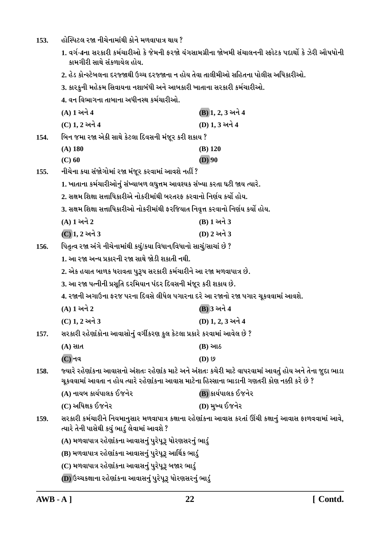- હોસ્પિટલ રજા નીચેનામાંથી કોને મળવાપાત્ર થાય ? 153.
	- 1. વર્ગ-4ના સરકારી કર્મચારીઓ કે જેમની ફરજો યંગસામગ્રીના જોખમી સંચાલનની સ્ફોટક પદાર્થો કે ઝેરી ઔષધોની કામગીરી સાથે સંકળાયેલ હોય.
	- 2. હેડ કોન્સ્ટેબલના દરજ્જાથી ઉચ્ચ દરજ્જાના ન હોય તેવા તાલીમીઓ સહિતના પોલીસ અધિકારીઓ.
	- 3. કારકુની મહેકમ સિવાયના નશાબંધી અને આબકારી ખાતાના સરકારી કર્મચારીઓ.
	- 4. વન વિભાગના તાબાના અધીનસ્થ કર્મચારીઓ.

|                                                            | (A) 1 અને 4                                                                                                                                                                                          | (B) 1, 2, 3 અને 4                                                                                     |
|------------------------------------------------------------|------------------------------------------------------------------------------------------------------------------------------------------------------------------------------------------------------|-------------------------------------------------------------------------------------------------------|
|                                                            | (C) 1, 2 અને 4                                                                                                                                                                                       | (D) 1, 3 અને 4                                                                                        |
| 154.                                                       | બિન જમા રજા એકી સાથે કેટલા દિવસની મંજૂર કરી શકાય ?                                                                                                                                                   |                                                                                                       |
|                                                            | $(A)$ 180                                                                                                                                                                                            | $(B)$ 120                                                                                             |
|                                                            | $(C)$ 60                                                                                                                                                                                             | $(D)$ 90                                                                                              |
| 155.                                                       | નીચેના કયા સંજોગોમાં રજા મંજૂર કરવામાં આવશે નહીં ?                                                                                                                                                   |                                                                                                       |
|                                                            | 1. ખાતાના કર્મચારીઓનું સંખ્યાબળ લઘુત્તમ આવશ્યક સંખ્યા કરતા ઘટી જાય ત્યારે.                                                                                                                           |                                                                                                       |
|                                                            | 2. સક્ષમ શિક્ષા સત્તાધિકારીએ નોકરીમાંથી બરતરફ કરવાનો નિર્ણય કર્યો હોય.                                                                                                                               |                                                                                                       |
|                                                            | 3. સક્ષમ શિક્ષા સત્તાધિકારીઓ નોકરીમાંથી ફરજિયાત નિવૃત્ત કરવાનો નિર્ણય કર્યો હોય.                                                                                                                     |                                                                                                       |
|                                                            | (A) 1 અને 2                                                                                                                                                                                          | (B) 1 અને 3                                                                                           |
|                                                            | (C) 1, 2 અને 3                                                                                                                                                                                       | (D) 2 અને 3                                                                                           |
| 156.                                                       | પિતૃત્વ રજા અંગે નીચેનામાંથી કયું/કયા વિધાન/વિધાનો સાચું/સાચાં છે ?                                                                                                                                  |                                                                                                       |
|                                                            | 1. આ રજા અન્ય પ્રકારની રજા સાથે જોડી શકાતી નથી.                                                                                                                                                      |                                                                                                       |
|                                                            | 2. એક હયાત બાળક ધરાવતા પુરૂષ સરકારી કર્મચારીને આ રજા મળવાપાત્ર છે.                                                                                                                                   |                                                                                                       |
|                                                            | 3. આ રજા પત્નીની પ્રસૂતિ દરમિયાન પંદર દિવસની મંજૂર કરી શકાય છે.                                                                                                                                      |                                                                                                       |
|                                                            | 4. રજાની અગાઉના ફરજ પરના દિવસે લીધેલ પગારના દરે આ રજાનો રજા પગાર ચૂકવવામાં આવશે.                                                                                                                     |                                                                                                       |
|                                                            | (A) 1 અને 2                                                                                                                                                                                          | (B) 3 અને 4                                                                                           |
|                                                            | (C) 1, 2 અને 3                                                                                                                                                                                       | (D) 1, 2, 3 અને 4                                                                                     |
| 157.                                                       | સરકારી રહેણાંકોના આવાસોનું વર્ગીકરણ કુલ કેટલા પ્રકારે કરવામાં આવેલ છે ?                                                                                                                              |                                                                                                       |
|                                                            | $(A)$ સાત                                                                                                                                                                                            | $(B)$ આઠ                                                                                              |
|                                                            | $(C)$ નવ                                                                                                                                                                                             | $(D)$ છ                                                                                               |
| 158.                                                       | જ્યારે રહેણાંકના આવાસનો અંશતઃ રહેણાંક માટે અને અંશતઃ કચેરી માટે વાપરવામાં આવતું હોય અને તેના જુદા ભાડા<br>ચૂકવવામાં આવતા ન હોય ત્યારે રહેણાંકના આવાસ માટેના હિસ્સાના ભાડાની ગણતરી કોણ નક્કી કરે છે ? |                                                                                                       |
|                                                            | (A) નાયબ કાર્યપાલક ઈજનેર                                                                                                                                                                             | (B) કાર્યપાલક ઈજનેર                                                                                   |
|                                                            | (C) અધિક્ષક ઈજનેર                                                                                                                                                                                    | (D) મુખ્ય ઈજનેર                                                                                       |
| 159.                                                       | ત્યારે તેની પાસેથી કયું ભાડું લેવામાં આવશે ?                                                                                                                                                         | સરકારી કર્મચારીને નિયમાનુસાર મળવાપાત્ર કક્ષાના રહેણાંકના આવાસ કરતાં ઊંચી કક્ષાનું આવાસ ફાળવવામાં આવે, |
|                                                            | (A) મળવાપાત્ર રહેર્ણાકના આવાસનું પુરેપૂરૂ ધોરણસરનું ભાડું                                                                                                                                            |                                                                                                       |
|                                                            | (B) મળવાપાત્ર રહેણાંકના આવાસનું પુરેપૂરૂ આર્થિક ભાડું                                                                                                                                                |                                                                                                       |
|                                                            | (C) મળવાપાત્ર રહેણાંકના આવાસનું પુરેપૂરૂ બજાર ભાડું                                                                                                                                                  |                                                                                                       |
| (D) ઉચ્ચકક્ષાના રહેણાંકના આવાસનું પુરેપૂરૂ ધોરણસરનું ભાડું |                                                                                                                                                                                                      |                                                                                                       |
|                                                            |                                                                                                                                                                                                      |                                                                                                       |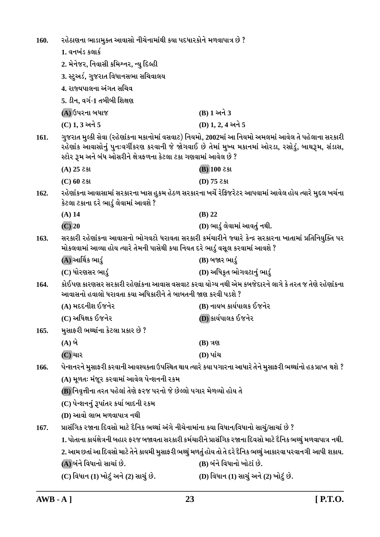| 160.                                                                                                                                                                                                                                                                                  | રહેઠાણના ભાડામુક્ત આવાસો નીચેનામાંથી કયા પદધારકોને મળવાપાત્ર છે ?                                                                                                                         |                                                                                                               |  |
|---------------------------------------------------------------------------------------------------------------------------------------------------------------------------------------------------------------------------------------------------------------------------------------|-------------------------------------------------------------------------------------------------------------------------------------------------------------------------------------------|---------------------------------------------------------------------------------------------------------------|--|
|                                                                                                                                                                                                                                                                                       | 1. વનખંડ કલાર્ક                                                                                                                                                                           |                                                                                                               |  |
|                                                                                                                                                                                                                                                                                       | 2. મેનેજર, નિવાસી કમિશ્નર, ન્યુ દિલ્હી                                                                                                                                                    |                                                                                                               |  |
|                                                                                                                                                                                                                                                                                       | 3. સ્ટુઅર્ડ, ગુજરાત વિધાનસભા સચિવાલય                                                                                                                                                      |                                                                                                               |  |
|                                                                                                                                                                                                                                                                                       | 4. રાજ્યપાલના અંગત સચિવ                                                                                                                                                                   |                                                                                                               |  |
|                                                                                                                                                                                                                                                                                       | 5. ડીન, વર્ગ-1 તબીબી શિક્ષણ                                                                                                                                                               |                                                                                                               |  |
|                                                                                                                                                                                                                                                                                       | (A) ઉપરના બધાજ                                                                                                                                                                            | (B) 1 અને 3                                                                                                   |  |
|                                                                                                                                                                                                                                                                                       | (C) 1, 3 અને 5                                                                                                                                                                            | $(D)$ 1, 2, 4 અને 5                                                                                           |  |
| ગુજરાત મુલ્કી સેવા (રહેણાંકના મકાનોમાં વસવાટ) નિયમો, 2002માં આ નિયમો અમલમાં આવેલ તે પહેલાના સરકારી<br>161.<br>રહેર્ણાક આવાસોનું પુનઃવર્ગીકરણ કરવાની જે જોગવાઈ છે તેમાં મુખ્ય મકાનમાં ઓરડા, રસોડું, બાથરૂમ, સંડાસ,<br>સ્ટોર રૂમ અને બંધ ઓસરીને ક્ષેત્રફળના કેટલા ટકા ગણવામાં આવેલ છે ? |                                                                                                                                                                                           |                                                                                                               |  |
|                                                                                                                                                                                                                                                                                       | $(A)$ 25 2st                                                                                                                                                                              | $(B)$ 100 ટકા                                                                                                 |  |
|                                                                                                                                                                                                                                                                                       | $(C)$ 60 2st                                                                                                                                                                              | $(D)$ 75 2 st                                                                                                 |  |
| 162.                                                                                                                                                                                                                                                                                  | કેટલા ટકાના દરે ભાડું લેવામાં આવશે ?                                                                                                                                                      | રહેર્ણાકના આવાસામાં સરકારના ખાસ હુકમ હેઠળ સરકારના ખર્ચે રેફ્રિજરેટર આપવામાં આવેલ હોય ત્યારે મુદ્દલ ખર્ચના     |  |
|                                                                                                                                                                                                                                                                                       | $(A)$ 14                                                                                                                                                                                  | $(B)$ 22                                                                                                      |  |
|                                                                                                                                                                                                                                                                                       | $(C)$ 20                                                                                                                                                                                  | (D) ભાડું લેવામાં આવતું નથી.                                                                                  |  |
| 163.                                                                                                                                                                                                                                                                                  | સરકારી રહેણાંકના આવાસનો ભોગવટો ધરાવતા સરકારી કર્મચારીને જ્યારે કેન્દ્ર સરકારના ખાતામાં પ્રતિનિયુક્તિ પર<br>મોકલવામાં આવ્યા હોય ત્યારે તેમની પાસેથી કયા નિયત દરે ભાડું વસૂલ કરવામાં આવશે ? |                                                                                                               |  |
|                                                                                                                                                                                                                                                                                       | (A) આર્થિક ભાડું                                                                                                                                                                          | (B) બજાર ભાડું                                                                                                |  |
|                                                                                                                                                                                                                                                                                       | (C) ધોરણસર ભાડું                                                                                                                                                                          | (D) અધિકૃત ભોગવટાનું ભાડું                                                                                    |  |
| 164.<br>આવાસનો હવાલો ધરાવતા કયા અધિકારીને તે બાબતની જાણ કરવી પડશે ?                                                                                                                                                                                                                   |                                                                                                                                                                                           | કોઈપણ કારણસર સરકારી રહેણાંકના આવાસ વસવાટ કરવા યોગ્ય નથી એમ કબજેદારને લાગે કે તરત જ તેણે રહેણાંકના             |  |
|                                                                                                                                                                                                                                                                                       | (A) મદદનીશ ઈજનેર                                                                                                                                                                          | (B) નાયબ કાર્યપાલક ઈજનેર                                                                                      |  |
|                                                                                                                                                                                                                                                                                       | (C) અધિક્ષક ઈજનેર                                                                                                                                                                         | (D) કાર્યપાલક ઈજનેર                                                                                           |  |
| 165.                                                                                                                                                                                                                                                                                  | મુસાફરી ભથ્થાંના કેટલા પ્રકાર છે ?                                                                                                                                                        |                                                                                                               |  |
|                                                                                                                                                                                                                                                                                       | $(A)$ બે                                                                                                                                                                                  | $(B)$ ત્રણ                                                                                                    |  |
|                                                                                                                                                                                                                                                                                       | (C) ચાર                                                                                                                                                                                   | (D) પાંચ                                                                                                      |  |
| 166.                                                                                                                                                                                                                                                                                  |                                                                                                                                                                                           | પેન્શનરને મુસાફરી કરવાની આવશ્યક્તા ઉપસ્થિત થાય ત્યારે કયા પગારના આધારે તેને મુસાફરી ભથ્થાંનો હક પ્રાપ્ત થશે ? |  |
|                                                                                                                                                                                                                                                                                       | (A) મૂળતઃ મંજૂર કરવામાં આવેલ પેન્શનની રકમ                                                                                                                                                 |                                                                                                               |  |
|                                                                                                                                                                                                                                                                                       | (B) નિવૃત્તીના તરત પહેલાં તેણે ફરજ પરનો જે છેલ્લો પગાર મેળવ્યો હોય તે                                                                                                                     |                                                                                                               |  |
|                                                                                                                                                                                                                                                                                       | (C) પેન્શનનું રૂપાંતર કર્યા બાદની રકમ                                                                                                                                                     |                                                                                                               |  |
|                                                                                                                                                                                                                                                                                       | (D) આવો લાભ મળવાપાત્ર નથી                                                                                                                                                                 |                                                                                                               |  |
| 167.                                                                                                                                                                                                                                                                                  | પ્રાસંગિક રજાના દિવસો માટે દૈનિક ભથ્થાં અંગે નીચેનામાંના કયા વિધાન/વિધાનો સાચું/સાચાં છે ?                                                                                                |                                                                                                               |  |
|                                                                                                                                                                                                                                                                                       | 1. પોતાના કાર્યક્ષેત્રની બહાર ફરજ બજાવતા સરકારી કર્મચારીને પ્રાસંગિક રજાના દિવસો માટે દૈનિક ભથ્થું મળવાપાત્ર નથી.                                                                         |                                                                                                               |  |
|                                                                                                                                                                                                                                                                                       |                                                                                                                                                                                           | 2. આમ છતાં આ દિવસો માટે તેને કાયમી મુસાફરી ભથ્થું મળતું હોય તો તે દરે દૈનિક ભથ્થું આકારવા પરવાનગી આપી શકાય.   |  |
|                                                                                                                                                                                                                                                                                       | (A)બંને વિધાનો સાચાં છે.                                                                                                                                                                  | (B) બંને વિધાનો ખોટાં છે.                                                                                     |  |
|                                                                                                                                                                                                                                                                                       | (C) વિધાન (1) ખોટું અને (2) સાચું છે.                                                                                                                                                     | (D) વિધાન (1) સાચું અને (2) ખોટું છે.                                                                         |  |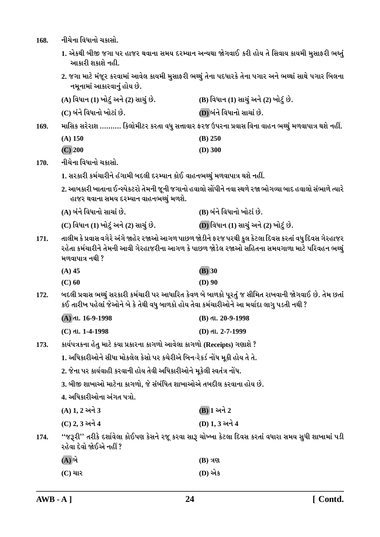નીચેના વિધાનો ચક્રાસો. 168.

- 1. એકથી બીજી જગા પર હાજર થવાના સમય દરમ્યાન અન્યથા જોગવાઈ કરી હોય તે સિવાય કાયમી મુસાફરી ભક્તું આકારી શકાશે નહી.
- 2. જગા માટે મંજૂર કરવામાં આવેલ કાયમી મુસાફરી ભથ્થું તેના પદધારકે તેના પગાર અને ભથ્થાં સાથે પગાર બિલના નમનામાં આકારવાનું હોય છે.

| (A) વિધાન (1) ખોટું અને (2) સાચું છે. | (B) વિધાન (1) સાચું અને (2) ખોટું છે. |
|---------------------------------------|---------------------------------------|
| (C) બંને વિધાનો ખોટાં છે.             | (D) બંને વિધાનો સાચાં છે.             |

માસિક સરેરાશ ………. કિલોમીટર કરતા વધુ સત્તાવાર ફરજ ઉપરના પ્રવાસ વિના વાહન ભથ્થું મળવાપાત્ર થશે નહીં. 169.

| (A) 150   | $(B)$ 250 |
|-----------|-----------|
| $(C)$ 200 | $(D)$ 300 |

નીચેના વિધાનો ચકાસો. 170.

- 1. સરકારી કર્મચારીને હંગામી બદલી દરમ્યાન કોઈ વાહનભથ્થું મળવાપાત્ર થશે નહીં.
- 2. આબકારી ખાતાના ઈન્સ્પેકટરો તેમની જૂની જગાનો હવાલો સોંપીને નવા સ્થળે રજા ભોગવ્યા બાદ હવાલો સંભાળે ત્યારે હાજર થવાના સમય દરમ્યાન વાહનભથ્થં મળશે.

| (A) બંને વિધાનો સાચાં છે.             | (B) બંને વિધાનો ખોટાં છે.             |
|---------------------------------------|---------------------------------------|
| (C) વિધાન (1) ખોટું અને (2) સાચું છે. | (D) વિધાન (1) સાચું અને (2) ખોટું છે. |

તાલીમ કે પ્રવાસ વગેરે અંગે જાહેર રજાઓ આગળ પાછળ જોડીને ફરજ પરથી કુલ કેટલા દિવસ કરતાં વધુ દિવસ ગેરહાજર  $171.$ રહેતા કર્મચારીને તેમની આવી ગેરહાજરીના આગળ કે પાછળ જોડેલ રજાઓ સહિતના સમયગાળા માટે પરિવહન ભથ્થું મળવાપાત્ર નથી ?

| $(A)$ 45 | $(B)$ 30 |
|----------|----------|
| $(C)$ 60 | $(D)$ 90 |

બદલી પ્રવાસ ભથ્થું સરકારી કર્મચારી પર આધારિત કેવળ બે બાળકો પૂરતું જ સીમિત રાખવાની જોગવાઈ છે. તેમ છતાં 172. કઈ તારીખ પહેલાં જેઓને બે કે તેથી વધુ બાળકો હોય તેવા કર્મચારીઓને આ મર્યાદા લાગુ પડતી નથી ?

| (A) તા. 16-9-1998  | $(B)$ dl. 20-9-1998 |
|--------------------|---------------------|
| $(C)$ તા. 1-4-1998 | (D) તા. 2-7-1999    |

- કાર્યપત્રકના હેતુ માટે કયા પ્રકારના કાગળો આવેલા કાગળો (Receipts) ગણાશે ? 173.
	- 1. અધિકારીઓને સીધા મોકલેલ કેસો પર કચેરીએ બિન-રેકર્ડ નોંધ મૂકી હોય તે તે.
	- 2. જેના પર કાર્યવાહી કરવાની હોય તેવી અધિકારીઓને મૂકેલી સ્વતંત્ર નોંધ.
	- 3. બીજી શાખાઓ માટેના કાગળો, જે સંબંધિત શાખાઓએ તબદીલ કરવાના હોય છે.
	- 4. અધિકારીઓના અંગત પત્રો.
	- $(A) 1, 2$  અને 3 **(B)** 1 અને 2
	- (C) 2, 3 અને 4 (D) 1.3 અને 4

''જરૂરી'' તરીકે દર્શાવેલા કોઈપણ કેસને રજૂ કરવા સારૂ ચોખ્ખા કેટલા દિવસ કરતાં વધારા સમય સુધી શાખામાં પડી 174. રહેવા દેવો જોઈએ નહીં ?

| $(\mathbf{A})$ બે | $(B)$ ત્રણ |
|-------------------|------------|
| (C) ચાર           | (D) એક     |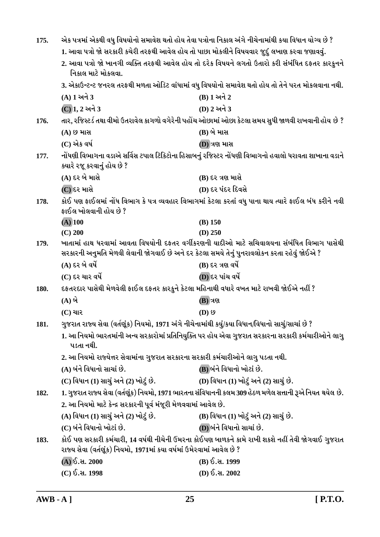| 175.        | એક પત્રમાં એકથી વધુ વિષયોનો સમાવેશ થતો હોય તેવા પત્રોના નિકાલ અંગે નીચેનામાંથી કયા વિધાન યોગ્ય છે ?                    |                                                                                                          |
|-------------|------------------------------------------------------------------------------------------------------------------------|----------------------------------------------------------------------------------------------------------|
|             | 1. આવા પત્રો જો સરકારી કચેરી તરફથી આવેલ હોય તો પાછા મોકલીને વિષયવાર જુદું લખાણ કરવા જણાવવું.                           |                                                                                                          |
|             | 2. આવા પત્રો જો ખાનગી વ્યક્તિ તરફથી આવેલ હોય તો દરેક વિષયને લગતો ઉતારો કરી સંબંધિત દફતર કારકુનને<br>નિકાલ માટે મોકલવા. |                                                                                                          |
|             |                                                                                                                        | 3. એકાઉન્ટન્ટ જનરલ તરફથી મળતા ઓડિટ વાંધામાં વધુ વિષયોનો સમાવેશ થતો હોય તો તેને પરત મોકલવાના નથી.         |
|             | $(A)$ 1 અને 3                                                                                                          | $(B)$ 1 અને 2                                                                                            |
|             | (C) 1, 2 અને 3                                                                                                         | (D) 2 અને 3                                                                                              |
| 176.        |                                                                                                                        | તાર, રજિસ્ટર્ડ તથા વીમો ઉતરાવેલ કાગળો વગેરેની પહોંચ ઓછામાં ઓછા કેટલા સમય સુધી જાળવી રાખવાની હોય છે ?     |
|             | (A) છ માસ                                                                                                              | (B) બે માસ                                                                                               |
|             | (C) એક વર્ષ                                                                                                            | (D) ત્રણ માસ                                                                                             |
| 177.        | ક્યારે રજૂ કરવાનું હોય છે ?                                                                                            | નોંધણી વિભાગના વડાએ સર્વિસ ટપાલ ટિકિટોના હિસાબનું રજિસ્ટર નોંધણી વિભાગનો હવાલો ધરાવતા શાખાના વડાને       |
|             | (A) દર બે માસે                                                                                                         | (B) દર ત્રણ માસે                                                                                         |
|             | $(C)$ દર માસે                                                                                                          | (D) દર પંદર દિવસે                                                                                        |
| 178.        | ફાઈલ ખોલવાની હોય છે ?                                                                                                  | કોઈ પણ ફાઈલમાં નોંધ વિભાગ કે પત્ર વ્યવહાર વિભાગમાં કેટલા કરતાં વધુ પાના થાય ત્યારે ફાઈલ બંધ કરીને નવી    |
|             | $(A)$ 100                                                                                                              | $(B)$ 150                                                                                                |
|             | $(C)$ 200                                                                                                              | $(D)$ 250                                                                                                |
| 179.        | સરકારની અનુમતિ મેળવી લેવાની જોગવાઈ છે અને દર કેટલા સમયે તેનું પુનરાવલોકન કરતા રહેવું જોઈએ ?                            | ખાતામાં હાથ ધરવામાં આવતા વિષયોની દફતર વર્ગીકરણની યાદીઓ માટે સચિવાલયના સંબંધિત વિભાગ પાસેથી               |
|             | $(A)$ દર બે વર્ષે                                                                                                      | $(B)$ દર ત્રણ વર્ષે                                                                                      |
|             | $(C)$ દર ચાર વર્ષે                                                                                                     | (D) દર પાંચ વર્ષે                                                                                        |
| <b>180.</b> | દફતરદાર પાસેથી મેળવેલી ફાઈલ દફતર કારકુને કેટલા મહિનાથી વધારે વખત માટે રાખવી જોઈએ નહીં ?                                |                                                                                                          |
|             | $(A)$ બે                                                                                                               | <b>(B)</b> ત્રણ                                                                                          |
|             | $(C)$ ચાર                                                                                                              | $(D)$ છ                                                                                                  |
| 181.        | ગુજરાત રાજ્ય સેવા (વર્તણૂંક) નિયમો, 1971 અંગે નીચેનામાંથી કયું/કયા વિધાન/વિધાનો સાચું/સાચાં છે ?                       |                                                                                                          |
|             | પડતા નથી.                                                                                                              | 1. આ નિયમો ભારતમાંની અન્ય સરકારોમાં પ્રતિનિયુક્તિ પર હોય એવા ગુજરાત સરકારના સરકારી કર્મચારીઓને લાગુ      |
|             | 2. આ નિયમો રાજ્યેત્તર સેવામાંના ગુજરાત સરકારના સરકારી કર્મચારીઓને લાગુ પડતા નથી.                                       |                                                                                                          |
|             | (A) બંને વિધાનો સાચાં છે.                                                                                              | (B) બંને વિધાનો ખોટાં છે.                                                                                |
|             | (C) વિધાન (1) સાચું અને (2) ખોટું છે.                                                                                  | (D) વિધાન (1) ખોટું અને (2) સાચું છે.                                                                    |
| 182.        |                                                                                                                        | 1. ગુજરાત રાજ્ય સેવા (વર્તણૂંક) નિયમો, 1971 ભારતના સંવિધાનની કલમ 309 હેઠળ મળેલ સત્તાની રૂએ નિયત થયેલ છે. |
|             | 2. આ નિયમો માટે કેન્દ્ર સરકારની પૂર્વ મંજૂરી મેળવવામાં આવેલ છે.                                                        |                                                                                                          |
|             | (A) વિધાન (1) સાચું અને (2) ખોટું છે.                                                                                  | (B) વિધાન (1) ખોટું અને (2) સાચું છે.                                                                    |
|             | (C) બંને વિધાનો ખોટાં છે.                                                                                              | (D) બંને વિધાનો સાચાં છે.                                                                                |
| 183.        | રાજ્ય સેવા (વર્તણૂંક) નિયમો, 1971માં કયા વર્ષમાં ઉમેરવામાં આવેલ છે ?                                                   | કોઈ પણ સરકારી કર્મચારી, 14 વર્ષથી નીચેની ઉંમરના કોઈપણ બાળકને કામે રાખી શકશે નહીં તેવી જોગવાઈ ગુજરાત      |
|             | (A) ઈ.સ. 2000                                                                                                          | (B) ઈ.સ. 1999                                                                                            |
|             | $(C)$ ઈ.સ. 1998                                                                                                        | $(D)$ ઈ.સ. 2002                                                                                          |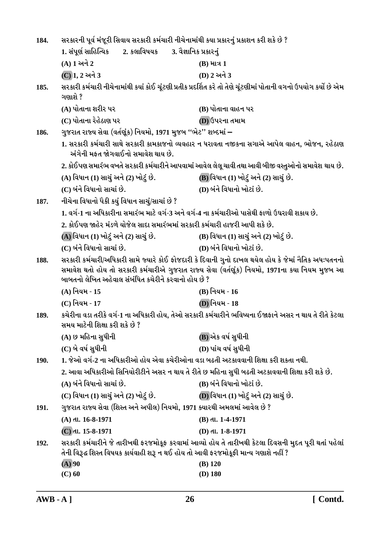| 184.        | સરકારની પૂર્વ મંજૂરી સિવાય સરકારી કર્મચારી નીચેનામાંથી કયા પ્રકારનું પ્રકાશન કરી શકે છે ?                                                                                                                                                                    |                                                                                                                  |
|-------------|--------------------------------------------------------------------------------------------------------------------------------------------------------------------------------------------------------------------------------------------------------------|------------------------------------------------------------------------------------------------------------------|
|             | 2. કલાવિષયક<br>1. સંપૂર્ણ સાહિત્યિક<br>3. વૈજ્ઞાનિક પ્રકારનું                                                                                                                                                                                                |                                                                                                                  |
|             | $(A) 1 \nleftrightarrow 2$                                                                                                                                                                                                                                   | $(B)$ માત્ર 1                                                                                                    |
|             | (C) 1, 2 અને 3                                                                                                                                                                                                                                               | (D) 2 અને 3                                                                                                      |
| 185.        | ગણાશે ?                                                                                                                                                                                                                                                      | સરકારી કર્મચારી નીચેનામાંથી કયાં કોઈ ચૂંટણી પ્રતીક પ્રદર્શિત કરે તો તેણે ચૂંટણીમાં પોતાની વગનો ઉપયોગ કર્યો છે એમ |
|             | (A) પોતાના શરીર પર                                                                                                                                                                                                                                           | (B) પોતાના વાહન પર                                                                                               |
|             | (C) પોતાના રેહેઠાણ પર                                                                                                                                                                                                                                        | (D) ઉપરના તમામ                                                                                                   |
| 186.        | ગુજરાત રાજ્ય સેવા (વર્તણૂંક) નિયમો, 1971 મુજબ ''ભેટ'' શબ્દમાં –                                                                                                                                                                                              |                                                                                                                  |
|             | અંગેની મફત જોગવાઈનો સમાવેશ થાય છે.                                                                                                                                                                                                                           | 1. સરકારી કર્મચારી સાથે સરકારી કામકાજનો વ્યવહાર ન ધરાવતા નજીકના સગાએ આપેલ વાહન, ભોજન, રહેઠાણ                     |
|             |                                                                                                                                                                                                                                                              | 2. કોઈપણ સમારંભ વખતે સરકારી કર્મચારીને આપવામાં આવેલ લેલૂ ચાવી તથા આવી બીજી વસ્તુઓનો સમાવેશ થાય છે.               |
|             | (A) વિધાન (1) સાચું અને (2) ખોટું છે.                                                                                                                                                                                                                        | (B) વિધાન (1) ખોટું અને (2) સાચું છે.                                                                            |
|             | (C) બંને વિધાનો સાચાં છે.                                                                                                                                                                                                                                    | (D) બંને વિધાનો ખોટાં છે.                                                                                        |
| 187.        | નીચેના વિધાનો પૈકી કયું વિધાન સાચું/સાચાં છે ?                                                                                                                                                                                                               |                                                                                                                  |
|             | 1. વર્ગ-1 ના અધિકારીના સમારંભ માટે વર્ગ-3 અને વર્ગ-4 ના કર્મચારીઓ પાસેથી ફાળો ઉઘરાવી શકાય છે.                                                                                                                                                                |                                                                                                                  |
|             | 2. કોઈપણ જાહેર મંડળે યોજેલ સાદા સમારંભમાં સરકારી કર્મચારી હાજરી આપી શકે છે.                                                                                                                                                                                  |                                                                                                                  |
|             | (A) વિધાન (1) ખોટું અને (2) સાચું છે.                                                                                                                                                                                                                        | (B) વિધાન (1) સાચું અને (2) ખોટું છે.                                                                            |
|             | (C) બંને વિધાનો સાચાં છે.                                                                                                                                                                                                                                    | (D) બંને વિધાનો ખોટાં છે.                                                                                        |
| 188.        | સરકારી કર્મચારી/અધિકારી સામે જ્યારે કોઈ ફોજદારી કે દિવાની ગુનો દાખલ થયેલ હોય કે જેમાં નૈતિક અધઃપતનનો<br>સમાવેશ થતો હોય તો સરકારી કર્મચારીએ ગુજરાત રાજ્ય સેવા (વર્તણૂંક) નિયમો, 1971ના કયા નિયમ મુજબ આ<br>બાબતનો લેખિત અહેવાલ સંબંધિત કચેરીને કરવાનો હોય છે ? |                                                                                                                  |
|             | (A) નિયમ - 15                                                                                                                                                                                                                                                | (B) નિયમ - 16                                                                                                    |
|             | (C) નિયમ - 17                                                                                                                                                                                                                                                | (D)નિયમ - 18                                                                                                     |
| 189.        | કચેરીના વડા તરીકે વર્ગ-1 ના અધિકારી હોય, તેઓ સરકારી કર્મચારીને ભવિષ્યના ઈજાફાને અસર ન થાય તે રીતે કેટલા<br>સમય માટેની શિક્ષા કરી શકે છે ?                                                                                                                    |                                                                                                                  |
|             | (A) છ મહિના સુધીની                                                                                                                                                                                                                                           | (B) એક વર્ષ સુધીની                                                                                               |
|             | $(C)$ બે વર્ષ સુધીની                                                                                                                                                                                                                                         | (D) પાંચ વર્ષ સુધીની                                                                                             |
| <b>190.</b> | 1. જેઓ વર્ગ-2 ના અધિકારીઓ હોય એવા કચેરીઓના વડા બઢતી અટકાવવાની શિક્ષા કરી શકતા નથી.                                                                                                                                                                           |                                                                                                                  |
|             |                                                                                                                                                                                                                                                              | 2. આવા અધિકારીઓ સિનિયોરીટીને અસર ન થાય તે રીતે છ મહિના સુધી બઢતી અટકાવવાની શિક્ષા કરી શકે છે.                    |
|             | (A) બંને વિધાનો સાચાં છે.                                                                                                                                                                                                                                    | (B) બંને વિધાનો ખોટાં છે.                                                                                        |
|             | (C) વિધાન (1) સાચું અને (2) ખોટું છે.                                                                                                                                                                                                                        | (D) વિધાન (1) ખોટું અને (2) સાચું છે.                                                                            |
| <b>191.</b> | ગુજરાત રાજ્ય સેવા (શિસ્ત અને અપીલ) નિયમો, 1971 ક્યારથી અમલમાં આવેલ છે ?                                                                                                                                                                                      |                                                                                                                  |
|             | $(A)$ dl. 16-8-1971                                                                                                                                                                                                                                          | (B) dl. 1-4-1971                                                                                                 |
|             | $(C)$ dl. 15-8-1971                                                                                                                                                                                                                                          | (D) dl. 1-8-1971                                                                                                 |
| 192.        | તેની વિરૂદ્ધ શિસ્ત વિષયક કાર્યવાહી શરૂ ન થઈ હોય તો આવી ફરજમોકૂફી માન્ય ગણાશે નહીં ?                                                                                                                                                                          | સરકારી કર્મચારીને જે તારીખથી ફરજમોકૂફ કરવામાં આવ્યો હોય તે તારીખથી કેટલા દિવસની મુદત પૂરી થતાં પહેલાં            |
|             | $(A)$ 90                                                                                                                                                                                                                                                     | $(B)$ 120                                                                                                        |
|             | $(C)$ 60                                                                                                                                                                                                                                                     | $(D)$ 180                                                                                                        |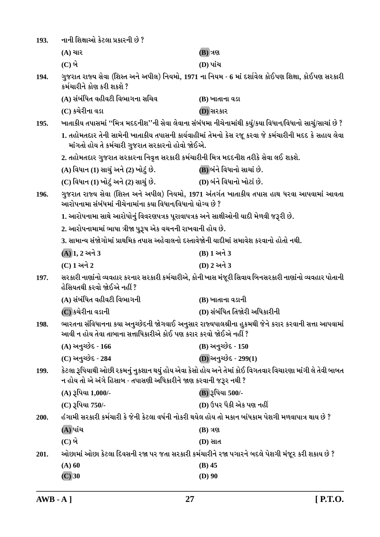| 193. | નાની શિક્ષાઓ કેટલા પ્રકારની છે ?                                                                    |                                                                                                           |
|------|-----------------------------------------------------------------------------------------------------|-----------------------------------------------------------------------------------------------------------|
|      | $(A)$ ચાર                                                                                           | <b>(B)</b> ત્રણ                                                                                           |
|      | $(C)$ બે                                                                                            | (D) પાંચ                                                                                                  |
| 194. | કર્મચારીને કોણ કરી શકશે ?                                                                           | ગુજરાત રાજ્ય સેવા (શિસ્ત અને અપીલ) નિયમો, 1971 ના નિયમ - 6 માં દર્શાવેલ કોઈપણ શિક્ષા, કોઈપણ સરકારી        |
|      | (A) સંબંધિત વહીવટી વિભાગના સચિવ                                                                     | (B) ખાતાના વડા                                                                                            |
|      | (C) કચેરીના વડા                                                                                     | (D) સરકાર                                                                                                 |
| 195. |                                                                                                     | ખાતાકીય તપાસમાં ''મિત્ર મદદનીશ''ની સેવા લેવાના સંબંધમા નીચેનામાંથી કયું/કયા વિધાન/વિધાનો સાચું/સાચાં છે ? |
|      | માંગતો હોય તે કર્મચારી ગુજરાત સરકારનો હોવો જોઈએ.                                                    | 1. તહોમતદાર તેની સામેની ખાતાકીય તપાસની કાર્યવાહીમાં તેમનો કેસ રજૂ કરવા જે કર્મચારીની મદદ કે સહાય લેવા     |
|      | 2. તહોમતદાર ગુજરાત સરકારના નિવૃત્ત સરકારી કર્મચારીની મિત્ર મદદનીશ તરીકે સેવા લઈ શકશે.               |                                                                                                           |
|      | (A) વિધાન (1) સાચું અને (2) ખોટું છે.                                                               | (B) બંને વિધાનો સાચાં છે.                                                                                 |
|      | (C) વિધાન (1) ખોટું અને (2) સાચું છે.                                                               | (D) બંને વિધાનો ખોટાં છે.                                                                                 |
| 196. | આરોપનામા સંબંધમાં નીચેનામાંના કયા વિધાન/વિધાનો યોગ્ય છે ?                                           | ગુજરાત રાજ્ય સેવા (શિસ્ત અને અપીલ) નિયમો, 1971 અંતર્ગત ખાતાકીય તપાસ હાથ ધરવા આપવામાં આવતા                 |
|      | 1. આરોપનામા સાથે આરોપોનું વિવરણપત્રક પૂરાવાપત્રક અને સાક્ષીઓની યાદી મેળવી જરૂરી છે.                 |                                                                                                           |
|      | 2. આરોપનામામાં ભાષા ત્રીજા પુરૂષ એક વચનની રાખવાની હોય છે.                                           |                                                                                                           |
|      | 3. સામાન્ય સંજોગોમાં પ્રાથમિક તપાસ અહેવાલનો દસ્તાવેજોની યાદીમાં સમાવેશ કરવાનો હોતો નથી.             |                                                                                                           |
|      | $(A)$ $(1, 2 $ અને $(3)$                                                                            | (B) 1 અને 3                                                                                               |
|      | (C) 1 અને 2                                                                                         | (D) 2 અને 3                                                                                               |
| 197. | હેસિયતથી કરવો જોઈએ નહીં ?                                                                           | સરકારી નાણાંનો વ્યવહાર કરનાર સરકારી કર્મચારીએ, કોની ખાસ મંજૂરી સિવાય બિનસરકારી નાણાંનો વ્યવહાર પોતાની     |
|      | (A) સંબંધિત વહીવટી વિભાગની                                                                          | (B) ખાતાના વડાની                                                                                          |
|      | (C) કચેરીના વડાની                                                                                   | (D) સંબંધિત તિજોરી અધિકારીની                                                                              |
| 198. | આવી ન હોય તેવા તાબાના સત્તાધિકારીએ કોઈ પણ કરાર કરવો જોઈએ નહીં ?                                     | ભારતના સંવિધાનના કયા અનુચ્છેદની જોગવાઈ અનુસાર રાજ્યપાલશ્રીના હુકમથી જેને કરાર કરવાની સત્તા આપવામાં        |
|      | $(A)$ અનુચ્છેદ - 166                                                                                | $(B)$ અનુચ્છેદ - 150                                                                                      |
|      | (C) અનુચ્છેદ - 284                                                                                  | (D) અનુચ્છેદ - 299(1)                                                                                     |
| 199. | ન હોય તો એ અંગે હિસાબ - તપાસણી અધિકારીને જાણ કરવાની જરૂર નથી ?                                      | કેટલા રૂપિયાથી ઓછી રકમનું નુકશાન થયું હોય એવા કેસો હોય અને તેમાં કોઈ વિગતવાર વિચારણા માંગી લે તેવી બાબત   |
|      | (A) રૂપિયા 1,000/-                                                                                  | (B) રૂપિયા 500/-                                                                                          |
|      | (C) રૂપિયા 750/-                                                                                    | (D) ઉપર પૈકી એક પણ નહીં                                                                                   |
| 200. | હંગામી સરકારી કર્મચારી કે જેની કેટલા વર્ષની નોકરી થયેલ હોય તો મકાન બાંધકામ પેશગી મળવાપાત્ર થાય છે ? |                                                                                                           |
|      | (A) પાંચ                                                                                            | $(B)$ ત્રણ                                                                                                |
|      | $(C)$ બે                                                                                            | $(D)$ સાત                                                                                                 |
| 201. |                                                                                                     | ઓછામાં ઓછા કેટલા દિવસની રજા પર જતા સરકારી કર્મચારીને રજા પગારને બદલે પેશગી મંજૂર કરી શકાય છે ?            |
|      | $(A)$ 60                                                                                            | $(B)$ 45                                                                                                  |
|      | $(C)$ 30                                                                                            | $(D)$ 90                                                                                                  |
|      |                                                                                                     |                                                                                                           |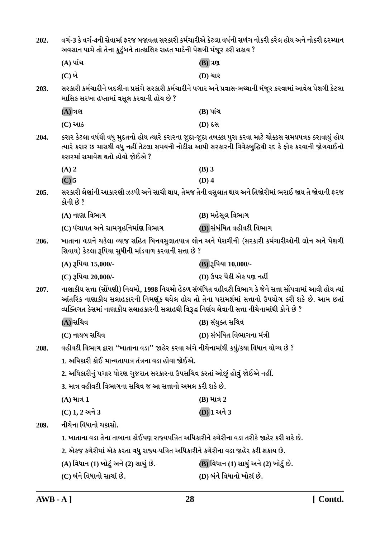| 202. | વર્ગ-3 કે વર્ગ-4ની સેવામાં ફરજ બજાવતા સરકારી કર્મચારીએ કેટલા વર્ષની સળંગ નોકરી કરેલ હોય અને નોકરી દરમ્યાન<br>અવસાન પામે તો તેના કુટુંબને તાત્કાલિક રાહત માટેની પેશગી મંજૂર કરી શકાય ?                                                                                                                     |                                                                                                           |
|------|-----------------------------------------------------------------------------------------------------------------------------------------------------------------------------------------------------------------------------------------------------------------------------------------------------------|-----------------------------------------------------------------------------------------------------------|
|      | (A) પાંચ                                                                                                                                                                                                                                                                                                  | <b>(B)</b> ત્રણ                                                                                           |
|      | $(C)$ બે                                                                                                                                                                                                                                                                                                  | <b>(D)</b> ચાર                                                                                            |
| 203. | માસિક સરખા હપ્તામાં વસૂલ કરવાની હોય છે ?                                                                                                                                                                                                                                                                  | સરકારી કર્મચારીને બદલીના પ્રસંગે સરકારી કર્મચારીને પગાર અને પ્રવાસ-ભથ્થાની મંજૂર કરવામાં આવેલ પેશગી કેટલા |
|      | $(A)$ ત્રણ                                                                                                                                                                                                                                                                                                | (B) પાંચ                                                                                                  |
|      | $(C)$ આઠ                                                                                                                                                                                                                                                                                                  | <b>(D) દસ</b>                                                                                             |
| 204. | કરાર કેટલા વર્ષથી વધુ મુદતનો હોય ત્યારે કરારના જુદા-જુદા તબક્કા પુરા કરવા માટે ચોક્કસ સમયપત્રક ઠરાવાયું હોય<br>ત્યારે કરાર છ માસથી વધુ નહીં તેટલા સમયની નોટીસ આપી સરકારની વિવેકબુદ્ધિથી રદ કે ફોક કરવાની જોગવાઈનો<br>કરારમાં સમાવેશ થતો હોવો જોઈએ ?                                                       |                                                                                                           |
|      | $(A)$ 2                                                                                                                                                                                                                                                                                                   | $(B)$ 3                                                                                                   |
|      | $(C)$ 5                                                                                                                                                                                                                                                                                                   | $(D)$ 4                                                                                                   |
| 205. | કોની છે ?                                                                                                                                                                                                                                                                                                 | સરકારી લેણાંની આકારણી ઝડપી અને સાચી થાય, તેમજ તેની વસુલાત થાય અને તિજોરીમાં ભરાઈ જાય તે જોવાની ફરજ        |
|      | (A) નાણા વિભાગ                                                                                                                                                                                                                                                                                            | (B) મહેસૂલ વિભાગ                                                                                          |
|      | (C) પંચાયત અને ગ્રામગૃહનિર્માણ વિભાગ                                                                                                                                                                                                                                                                      | (D) સંબંધિત વહીવટી વિભાગ                                                                                  |
| 206. | સિવાય) કેટલા રૂપિયા સુધીની માંડવાળ કરવાની સત્તા છે ?                                                                                                                                                                                                                                                      | ખાતાના વડાને ચઢેલા વ્યાજ સહિત બિનવસુલાતપાત્ર લોન અને પેશગીની (સરકારી કર્મચારીઓની લોન અને પેશગી            |
|      | (A) રૂપિયા 15,000/-                                                                                                                                                                                                                                                                                       | (B) રૂપિયા 10,000/-                                                                                       |
|      | (C) રૂપિયા 20,000/-                                                                                                                                                                                                                                                                                       | (D) ઉપર પૈકી એક પણ નહીં                                                                                   |
| 207. | નાણાકીય સત્તા (સોંપણી) નિયમો, 1998 નિયમો હેઠળ સંબંધિત વહીવટી વિભાગ કે જેને સત્તા સોંપવામાં આવી હોય ત્યાં<br>આંતરિક નાણાકીય સલાહકારની નિમણૂંક થયેલ હોય તો તેના પરામર્શમાં સત્તાનો ઉપયોગ કરી શકે છે. આમ છતાં<br>વ્યક્તિગત કેસમાં નાણાકીય સલાહકારની સલાહથી વિરૂદ્ધ નિર્ણય લેવાની સત્તા નીચેનામાંથી કોને છે ? |                                                                                                           |
|      | (A) સચિવ                                                                                                                                                                                                                                                                                                  | (B) સંયુક્ત સચિવ                                                                                          |
|      | (C) નાયબ સચિવ                                                                                                                                                                                                                                                                                             | (D) સંબંધિત વિભાગના મંત્રી                                                                                |
| 208. | વહીવટી વિભાગ દ્વારા ''ખાતાના વડા'' જાહેર કરવા અંગે નીચેનામાંથી કયું/કયા વિધાન યોગ્ય છે ?                                                                                                                                                                                                                  |                                                                                                           |
|      | 1. અધિકારી કોઈ માન્યતાપાત્ર તંત્રના વડા હોવા જોઈએ.                                                                                                                                                                                                                                                        |                                                                                                           |
|      | 2. અધિકારીનું પગાર ધોરણ ગુજરાત સરકારના ઉપસચિવ કરતાં ઓછું હોવું જોઈએ નહીં.                                                                                                                                                                                                                                 |                                                                                                           |
|      | 3. માત્ર વહીવટી વિભાગના સચિવ જ આ સત્તાનો અમલ કરી શકે છે.                                                                                                                                                                                                                                                  |                                                                                                           |
|      | $(A)$ માત્ર 1                                                                                                                                                                                                                                                                                             | $(B)$ માત્ર 2                                                                                             |
|      | $(C)$ 1, 2 અને 3                                                                                                                                                                                                                                                                                          | (D) 1 અને 3                                                                                               |
| 209. | નીચેના વિધાનો ચકાસો.                                                                                                                                                                                                                                                                                      |                                                                                                           |
|      | 1. ખાતાના વડા તેના તાબાના કોઈપણ રાજ્યપત્રિત અધિકારીને કચેરીના વડા તરીકે જાહેર કરી શકે છે.                                                                                                                                                                                                                 |                                                                                                           |
|      | 2. એકજ કચેરીમાં એક કરતા વધુ રાજ્ય-પત્રિત અધિકારીને કચેરીના વડા જાહેર કરી શકાય છે.                                                                                                                                                                                                                         |                                                                                                           |
|      |                                                                                                                                                                                                                                                                                                           |                                                                                                           |
|      | (A) વિધાન (1) ખોટું અને (2) સાચું છે.                                                                                                                                                                                                                                                                     | (B) વિધાન (1) સાચું અને (2) ખોટું છે.                                                                     |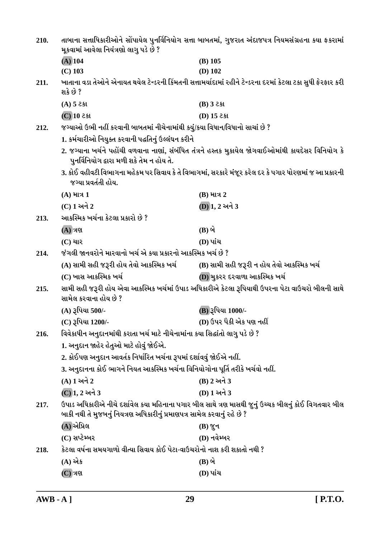| 210. | તાબાના સત્તાધિકારીઓને સોંપાયેલ પુનર્વિનિયોગ સત્તા બાબતમાં, ગુજરાત અંદાજપત્ર નિયમસંગ્રહના કયા ફકરામાં                                                                            |                                                                                                             |
|------|---------------------------------------------------------------------------------------------------------------------------------------------------------------------------------|-------------------------------------------------------------------------------------------------------------|
|      | મૂકવામાં આવેલા નિયંત્રણો લાગુ પડે છે ?                                                                                                                                          |                                                                                                             |
|      | $(A)$ 104                                                                                                                                                                       | $(B)$ 105                                                                                                   |
|      | $(C)$ 103                                                                                                                                                                       | $(D)$ 102                                                                                                   |
| 211. | શકે છે ?                                                                                                                                                                        | ખાતાના વડા તેઓને એનાયત થયેલ ટેન્ડરની કિંમતની સત્તામર્યાદામાં રહીને ટેન્ડરના દરમાં કેટલા ટકા સુધી ફેરફાર કરી |
|      | $(A)$ 5 ટકા                                                                                                                                                                     | $(B)$ 3 2 st                                                                                                |
|      | $\overline{(C)}$ 10 251                                                                                                                                                         | (D) $15$ ટકા                                                                                                |
| 212. | જગ્યાઓ ઉભી નહીં કરવાની બાબતમાં નીચેનામાંથી કયું/કયા વિધાન/વિધાનો સાચાં છે ?                                                                                                     |                                                                                                             |
|      | 1. કર્મચારીઓ નિયુક્ત કરવાની પદ્ધતિનું ઉલ્લંઘન કરીને                                                                                                                             |                                                                                                             |
|      | પુનર્વિનિયોગ દ્વારા મળી શકે તેમ ન હોય તે.                                                                                                                                       | 2. જગ્યાના ખર્ચને પહોંચી વળવાના નાણાં, સંબંધિત તંત્રને હસ્તક મુકાયેલ જોગવાઈઓમાંથી કાયદેસર વિનિયોગ કે        |
|      |                                                                                                                                                                                 | 3. કોઈ વહીવટી વિભાગના મહેકમ પર સિવાય કે તે વિભાગમાં, સરકારે મંજૂર કરેલ દર કે પગાર ધોરણમાં જ આ પ્રકારની      |
|      | જગ્યા પ્રવર્તતી હોય.                                                                                                                                                            |                                                                                                             |
|      | $(A)$ માત્ર 1                                                                                                                                                                   | $(B)$ માત્ર 2                                                                                               |
|      | (C) 1 અને 2                                                                                                                                                                     | (D) 1, 2 અને 3                                                                                              |
| 213. | આકસ્મિક ખર્ચના કેટલા પ્રકારો છે ?                                                                                                                                               |                                                                                                             |
|      | $(A)$ ત્રણ                                                                                                                                                                      | $(B)$ બે                                                                                                    |
|      | $(C)$ ચાર                                                                                                                                                                       | (D) પાંચ                                                                                                    |
| 214. | જંગલી જાનવરોને મારવાનો ખર્ચ એ કયા પ્રકારનો આકસ્મિક ખર્ચ છે ?                                                                                                                    |                                                                                                             |
|      | (A) સામી સહી જરૂરી હોય તેવો આકસ્મિક ખર્ચ                                                                                                                                        | (B) સામી સહી જરૂરી ન હોય તેવો આકસ્મિક ખર્ચ                                                                  |
|      | (C) ખાસ આકસ્મિક ખર્ચ                                                                                                                                                            | (D) મુકરર દરવાળા આકસ્મિક ખર્ચ                                                                               |
| 215. | સામી સહી જરૂરી હોય એવા આકસ્મિક ખર્ચમાં ઉપાડ અધિકારીએ કેટલા રૂપિયાથી ઉપરના પેટા વાઉચરો બીલની સાથે<br>સામેલ કરવાના હોય છે ?                                                       |                                                                                                             |
|      | (A) રૂપિયા 500/-                                                                                                                                                                | (B) રૂપિયા 1000/-                                                                                           |
|      | (C) રૂપિયા 1200/-                                                                                                                                                               | (D) ઉપર પૈકી એક પણ નહીં                                                                                     |
| 216. | વિવેકાધીન અનુદાનમાંથી કરાતા ખર્ચ માટે નીચેનામાંના કયા સિદ્ધાંતો લાગુ પડે છે ?                                                                                                   |                                                                                                             |
|      | 1. અનુદાન જાહેર હેતુઓ માટે હોવું જોઈએ.                                                                                                                                          |                                                                                                             |
|      | 2. કોઈપણ અનુદાન આવર્તક નિર્ધારિત ખર્ચના રૂપમાં દર્શાવવું જોઈએ નહીં.                                                                                                             |                                                                                                             |
|      | 3. અનુદાનના કોઈ ભાગને નિયત આકસ્મિક ખર્ચના વિનિયોગોના પૂર્તિ તરીકે ખર્ચવો નહીં.                                                                                                  |                                                                                                             |
|      | (A) 1 અને 2                                                                                                                                                                     | $(B)$ 2 અને 3                                                                                               |
|      | (C) 1, 2 અને 3                                                                                                                                                                  | (D) 1 અને 3                                                                                                 |
| 217. | ઉપાડ અધિકારીએ નીચે દર્શાવેલ કયા મહિનાના પગાર બીલ સાથે ત્રણ માસથી જુનું ઉચ્ચક બીલનું કોઈ વિગતવાર બીલ<br>બાકી નથી તે મુજબનું નિયત્રણ અધિકારીનું પ્રમાણપત્ર સામેલ કરવાનું રહે છે ? |                                                                                                             |
|      | (A) એપ્રિલ                                                                                                                                                                      | $(B)$ જુન                                                                                                   |
|      | (C) સપ્ટેમ્બર                                                                                                                                                                   | $(D)$ નવેમ્બર                                                                                               |
| 218. | કેટલા વર્ષના સમયગાળો વીત્યા સિવાય કોઈ પેટા-વાઉચરોનો નાશ કરી શકાતો નથી ?                                                                                                         |                                                                                                             |
|      | (A) એક                                                                                                                                                                          | $(B)$ બે                                                                                                    |
|      | $(C)$ ત્રણ                                                                                                                                                                      | (D) પાંચ                                                                                                    |
|      |                                                                                                                                                                                 |                                                                                                             |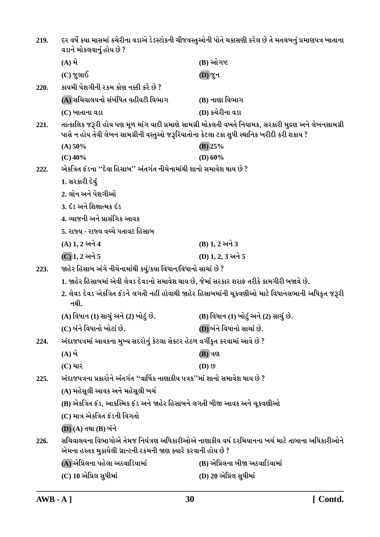| 219. | દર વર્ષે કયા માસમાં કચેરીના વડાએ ડેડસ્ટોકની ચીજવસ્તુઓની પોતે ચકાસણી કરેલ છે તે મતલબનું પ્રમાણપત્ર ખાતાના<br>વડાને મોકલવાનું હોય છે ?                                                                |                                                                                                   |
|------|-----------------------------------------------------------------------------------------------------------------------------------------------------------------------------------------------------|---------------------------------------------------------------------------------------------------|
|      | $(A)$ મે                                                                                                                                                                                            | (B) ઓગષ્ટ                                                                                         |
|      | $(C)$ જુલાઈ                                                                                                                                                                                         | <b>(D) જુન</b>                                                                                    |
| 220. | કાયમી પેશગીની રકમ કોણ નક્કી કરે છે ?                                                                                                                                                                |                                                                                                   |
|      | (A) સચિવાલયનો સંબંધિત વહીવટી વિભાગ                                                                                                                                                                  | (B) નાણા વિભાગ                                                                                    |
|      | (C) ખાતાના વડા                                                                                                                                                                                      | (D) કચેરીના વડા                                                                                   |
| 221. | તાત્કાલિક જરૂરી હોય પણ મૂળ માંગ યાદી પ્રમાણે સામગ્રી મોકલતી વખતે નિયામક, સરકારી મુદ્રણ અને લેખનસામગ્રી<br>પાસે ન હોય તેવી લેખન સામગ્રીની વસ્તુઓ જરૂરિયાતોના કેટલા ટકા સુધી સ્થાનિક ખરીદી કરી શકાય ? |                                                                                                   |
|      | (A) 50%                                                                                                                                                                                             | $(B)$ 25%                                                                                         |
|      | $(C)$ 40%                                                                                                                                                                                           | (D) $60\%$                                                                                        |
| 222. | એકત્રિત ફંડના ''દેવા હિસાબ'' અંતર્ગત નીચેનામાંથી શાનો સમાવેશ થાય છે ?                                                                                                                               |                                                                                                   |
|      | 1. સરકારી દેવું                                                                                                                                                                                     |                                                                                                   |
|      | 2. લોન અને પેશગીઓ                                                                                                                                                                                   |                                                                                                   |
|      | 3. દંડ અને શિક્ષાત્મક દંડ                                                                                                                                                                           |                                                                                                   |
|      | 4. વ્યાજની અને પ્રાસંગિક આવક                                                                                                                                                                        |                                                                                                   |
|      | 5. રાજ્ય - રાજ્ય વચ્ચે પતાવટ હિસાબ                                                                                                                                                                  |                                                                                                   |
|      | $(A) 1, 2 $ અને 4                                                                                                                                                                                   | $(B) 1, 2 $ અને 3                                                                                 |
|      | (C) 1, 2 અને 5                                                                                                                                                                                      | (D) 1, 2, 3 અને 5                                                                                 |
| 223. | જાહેર હિસાબ અંગે નીચેનામાંથી કયું/કયા વિધાન/વિધાનો સાચાં છે ?                                                                                                                                       |                                                                                                   |
|      | 1. જાહેર હિસાબમાં એવી લેવડ દેવડનો સમાવેશ થાય છે, જેમાં સરકાર શરાફ તરીકે કામગીરી બજાવે છે.                                                                                                           |                                                                                                   |
|      | નથી.                                                                                                                                                                                                | 2. લેવડ દેવડ એકત્રિત ફંડને લગતી નહીં હોવાથી જાહેર હિસાબમાંની ચૂકવણીઓ માટે વિધાનસભાની અધિકૃત જરૂરી |
|      | (A) વિધાન (1) સાચું અને (2) ખોટું છે.                                                                                                                                                               | (B) વિધાન (1) ખોટું અને (2) સાચું છે.                                                             |
|      | (C) બંને વિધાનો ખોટાં છે.                                                                                                                                                                           | (D) બંને વિધાનો સાચાં છે.                                                                         |
| 224. | અંદાજપત્રમાં આવકના મુખ્ય સદરોનું કેટલા સેક્ટર હેઠળ વર્ગીકૃત કરવામાં આવે છે ?                                                                                                                        |                                                                                                   |
|      | $(A)$ બે                                                                                                                                                                                            | <b>(B)</b> ત્રણ                                                                                   |
|      | $(C)$ ચાર                                                                                                                                                                                           | $(D)$ $\vartheta$                                                                                 |
| 225. | અંદાજપત્રના પ્રકારોને અંતર્ગત ''વાર્ષિક નાણાકીય પત્રક''માં શાનો સમાવેશ થાય છે ?                                                                                                                     |                                                                                                   |
|      | (A) મહેસૂલી આવક અને મહેસૂલી ખર્ચ                                                                                                                                                                    |                                                                                                   |
|      | (B) એકત્રિત ફંડ, આકસ્મિક ફંડ અને જાહેર હિસાબને લગતી બીજી આવક અને ચૂકવણીઓ                                                                                                                            |                                                                                                   |
|      | (C) માત્ર એકત્રિત ફંડની વિગતો                                                                                                                                                                       |                                                                                                   |
|      | (D) (A) તથા (B) બંને                                                                                                                                                                                |                                                                                                   |
| 226. | સચિવાલયના વિભાગોએ તેમજ નિયંત્રણ અધિકારીઓએ નાણાકીય વર્ષ દરમિયાનના ખર્ચ માટે તાબાના અધિકારીઓને<br>એમના હસ્તક મુકાયેલી ગ્રાન્ટની રકમની જાણ ક્યારે કરવાની હોય છે ?                                      |                                                                                                   |
|      | (A) એપ્રિલના પહેલા અઠવાડિયામાં                                                                                                                                                                      | (B) એપ્રિલના બીજા અઠવાડિયામાં                                                                     |
|      | (C) 10 એપ્રિલ સુધીમાં                                                                                                                                                                               | (D) 20 એપ્રિલ સુધીમાં                                                                             |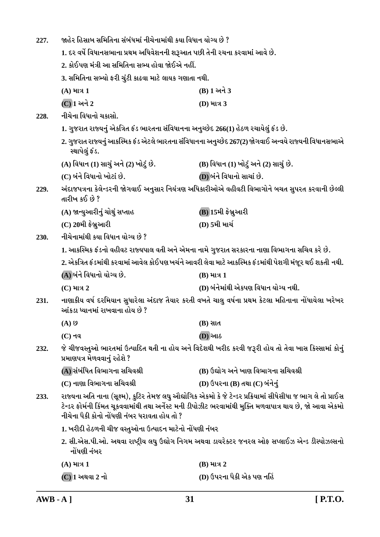| 227. | જાહેર હિસાબ સમિતિના સંબંધમાં નીચેનામાંથી કયા વિધાન યોગ્ય છે ?                                                                                                                                                                                                              |                                                                                                     |
|------|----------------------------------------------------------------------------------------------------------------------------------------------------------------------------------------------------------------------------------------------------------------------------|-----------------------------------------------------------------------------------------------------|
|      | 1. દર વર્ષે વિધાનસભાના પ્રથમ અધિવેશનની શરૂઆત પછી તેની રચના કરવામાં આવે છે.                                                                                                                                                                                                 |                                                                                                     |
|      | 2. કોઈપણ મંત્રી આ સમિતિના સભ્ય હોવા જોઈએ નહીં.                                                                                                                                                                                                                             |                                                                                                     |
|      | 3. સમિતિના સભ્યો ફરી ચુંટી કાઢવા માટે લાયક ગણાતા નથી.                                                                                                                                                                                                                      |                                                                                                     |
|      | $(A)$ માત્ર 1                                                                                                                                                                                                                                                              | $(B)$ 1 અને 3                                                                                       |
|      | (C) 1 અને 2                                                                                                                                                                                                                                                                | (D) માત્ર 3                                                                                         |
| 228. | નીચેના વિધાનો ચકાસો.                                                                                                                                                                                                                                                       |                                                                                                     |
|      | 1. ગુજરાત રાજ્યનું એકત્રિત ફંડ ભારતના સંવિધાનના અનુચ્છેદ 266(1) હેઠળ રચાયેલું ફંડ છે.                                                                                                                                                                                      |                                                                                                     |
|      | 2. ગુજરાત રાજ્યનું આકસ્મિક ફંડ એટલે ભારતના સંવિધાનના અનુચ્છેદ 267(2) જોગવાઈ અન્વયે રાજ્યની વિધાનસભાએ<br>સ્થાપેલું ફંડ.                                                                                                                                                     |                                                                                                     |
|      | (A) વિધાન (1) સાચું અને (2) ખોટું છે.                                                                                                                                                                                                                                      | (B) વિધાન (1) ખોટું અને (2) સાચું છે.                                                               |
|      | (C) બંને વિધાનો ખોટાં છે.                                                                                                                                                                                                                                                  | (D) બંને વિધાનો સાચાં છે.                                                                           |
| 229. | તારીખ કઈ છે ?                                                                                                                                                                                                                                                              | અંદાજપત્રના કેલેન્ડરની જોગવાઈ અનુસાર નિયંત્રણ અધિકારીઓએ વહીવટી વિભાગોને બચત સુપરત કરવાની છેલ્લી     |
|      | (A) જાન્યુઆરીનું ચોથું સપ્તાહ                                                                                                                                                                                                                                              | (B) 15મી ફેબ્રુઆરી                                                                                  |
|      | $(C)$ 20મી ફેબ્રુઆરી                                                                                                                                                                                                                                                       | (D) 5મી માર્ચ                                                                                       |
| 230. | નીચેનામાંથી કયા વિધાન યોગ્ય છે ?                                                                                                                                                                                                                                           |                                                                                                     |
|      |                                                                                                                                                                                                                                                                            | 1. આકસ્મિક ફંડનો વહીવટ રાજ્યપાલ વતી અને એમના નામે ગુજરાત સરકારના નાણા વિભાગના સચિવ કરે છે.          |
|      | 2. એકત્રિત ફંડમાંથી કરવામાં આવેલ કોઈપણ ખર્ચને આવરી લેવા માટે આકસ્મિક ફંડમાંથી પેશગી મંજૂર થઈ શકતી નથી.                                                                                                                                                                     |                                                                                                     |
|      | (A) બંને વિધાનો યોગ્ય છે.                                                                                                                                                                                                                                                  | $(B)$ માત્ર 1                                                                                       |
|      | $(C)$ માત્ર 2                                                                                                                                                                                                                                                              | (D) બંનેમાંથી એકપણ વિધાન યોગ્ય નથી.                                                                 |
| 231. | આંકડા ધ્યાનમાં રાખવાના હોય છે ?                                                                                                                                                                                                                                            | નાણાકીય વર્ષ દરમિયાન સુધારેલા અંદાજ તૈયાર કરતી વખતે ચાલુ વર્ષના પ્રથમ કેટલા મહિનાના નોંધાયેલા ખરેખર |
|      | $(A)$ છ                                                                                                                                                                                                                                                                    | $(B)$ સાત                                                                                           |
|      | $(C)$ नव                                                                                                                                                                                                                                                                   | <b>(D)</b> આઠ                                                                                       |
| 232. | જે ચીજવસ્તુઓ ભારતમાં ઉત્પાદિત થતી ના હોય અને વિદેશથી ખરીદ કરવી જરૂરી હોય તો તેવા ખાસ કિસ્સામાં કોનું<br>પ્રમાણપત્ર મેળવવાનું રહેશે ?                                                                                                                                       |                                                                                                     |
|      | (A) સંબંધિત વિભાગના સચિવશ્રી                                                                                                                                                                                                                                               | (B) ઉદ્યોગ અને ખાણ વિભાગના સચિવશ્રી                                                                 |
|      | (C) નાણા વિભાગના સચિવશ્રી                                                                                                                                                                                                                                                  | (D) ઉપરના (B) તથા (C) બંનેનું                                                                       |
| 233. | રાજ્યના અતિ નાના (સૂક્ષ્મ), કુટિર તેમજ લઘુ ઔદ્યોગિક એકમો કે જે ટેન્ડર પ્રક્રિયામાં સીધેસીધા જ ભાગ લે તો પ્રાઈસ<br>ટેન્ડર ફોર્મની કિંમત ચૂકવવામાંથી તથા અર્નેસ્ટ મની ડીપોઝીટ ભરવામાંથી મુક્તિ મળવાપાત્ર થાય છે, જો આવા એકમો<br>નીચેના પૈકી કોનો નોંધણી નંબર ધરાવતા હોય તો ? |                                                                                                     |
|      | 1. ખરીદી હેઠળની ચીજ વસ્તુઓના ઉત્પાદન માટેનો નોંધણી નંબર                                                                                                                                                                                                                    |                                                                                                     |
|      | 2. સી.એસ.પી.ઓ. અથવા રાષ્ટ્રીય લઘુ ઉદ્યોગ નિગમ અથવા ડાયરેક્ટર જનરલ ઓફ સપ્લાઈઝ એન્ડ ડીસ્પોઝલ્સનો<br>નોંધણી નંબર                                                                                                                                                              |                                                                                                     |
|      | $(A)$ માત્ર 1                                                                                                                                                                                                                                                              | $(B)$ માત્ર 2                                                                                       |
|      | $(C)$ $1$ અથવા $2$ નો                                                                                                                                                                                                                                                      | (D) ઉપરના પૈકી એક પણ નહિં                                                                           |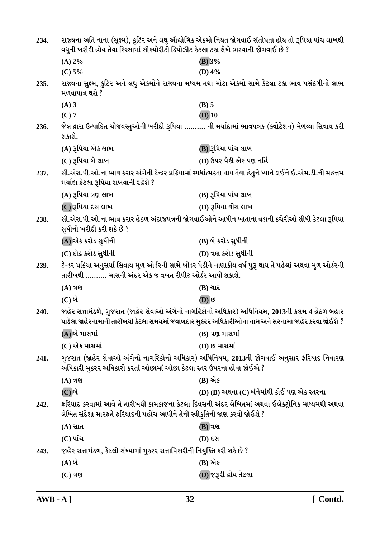| 234. | રાજ્યના અતિ નાના (સૂક્ષ્મ), કુટિર અને લઘુ ઔદ્યોગિક એકમો નિયત જોગવાઈ સંતોષતા હોય તો રૂપિયા પાંચ લાખથી<br>વધુની ખરીદી હોય તેવા કિસ્સામાં સીક્યોરીટી ડિપોઝીટ કેટલા ટકા લેખે ભરવાની જોગવાઈ છે ?          |                                                                                                               |
|------|------------------------------------------------------------------------------------------------------------------------------------------------------------------------------------------------------|---------------------------------------------------------------------------------------------------------------|
|      |                                                                                                                                                                                                      |                                                                                                               |
|      | (A) 2%                                                                                                                                                                                               | (B) 3%                                                                                                        |
|      | (C) 5%                                                                                                                                                                                               | (D) $4%$                                                                                                      |
| 235. | મળવાપાત્ર થશે ?                                                                                                                                                                                      | રાજ્યના સુક્ષ્મ, કુટિર અને લઘુ એકમોને રાજ્યના મધ્યમ તથા મોટા એકમો સામે કેટલા ટકા ભાવ પસંદગીનો લાભ             |
|      | $(A)$ 3                                                                                                                                                                                              | $(B)$ 5                                                                                                       |
|      | $(C)$ 7                                                                                                                                                                                              | $(D)$ 10                                                                                                      |
| 236. | શકાશે.                                                                                                                                                                                               | જેલ દ્વારા ઉત્પાદિત ચીજવસ્તુઓની ખરીદી રૂપિયા  ની મર્યાદામાં ભાવપત્રક (ક્વોટેશન) મેળવ્યા સિવાય કરી             |
|      | (A) રૂપિયા એક લાખ                                                                                                                                                                                    | (B) રૂપિયા પાંચ લાખ                                                                                           |
|      | (C) રૂપિયા બે લાખ                                                                                                                                                                                    | (D) ઉપર પૈકી એક પણ નહિં                                                                                       |
| 237. | મર્યાદા કેટલા રૂપિયા રાખવાની રહેશે ?                                                                                                                                                                 | સી.એસ.પી.ઓ.ના ભાવ કરાર અંગેની ટેન્ડર પ્રક્રિયામાં સ્પર્ધાત્મકતા થાય તેવા હેતુને ધ્યાને લઈને ઈ.એમ.ડી.ની મહત્તમ |
|      | $(A)$ રૂપિયા ત્રણ લાખ                                                                                                                                                                                | (B) રૂપિયા પાંચ લાખ                                                                                           |
|      | (C) રૂપિયા દસ લાખ                                                                                                                                                                                    | (D) રૂપિયા વીસ લાખ                                                                                            |
| 238. | સુધીની ખરીદી કરી શકે છે ?                                                                                                                                                                            | સી.એસ.પી.ઓ.ના ભાવ કરાર હેઠળ અંદાજપત્રની જોગવાઈઓને આધીન ખાતાના વડાની કચેરીઓ સીધી કેટલા રૂપિયા                  |
|      | (A) એક કરોડ સુધીની                                                                                                                                                                                   | (B) બે કરોડ સુધીની                                                                                            |
|      | (C) દોઢ કરોડ સુધીની                                                                                                                                                                                  | (D) ત્રણ કરોડ સુધીની                                                                                          |
| 239. | તારીખથી ………. માસની અંદર એક જ વખત રીપીટ ઓર્ડર આપી શકાશે.                                                                                                                                              | ટેન્ડર પ્રક્રિયા અનુસર્યા સિવાય મૂળ ઓર્ડરની સામે બીડર પેઢીને નાણાકીય વર્ષ પુરૂ થાય તે પહેલાં અથવા મુળ ઓર્ડરની |
|      | $(A)$ ત્રણ                                                                                                                                                                                           | $(B)$ ચાર                                                                                                     |
|      | $(C)$ બે                                                                                                                                                                                             | $\overline{(\mathbf{D})}$ છ                                                                                   |
| 240. | જાહેર સત્તામંડળે, ગુજરાત (જાહેર સેવાઓ અંગેનો નાગરિકોનો અધિકાર) અધિનિયમ, 2013ની કલમ 4 હેઠળ બહાર<br>પાડેલા જાહેરનામાની તારીખથી કેટલા સમયમાં જવાબદાર મુકરર અધિકારીઓના નામ અને સરનામા જાહેર કરવા જોઈશે ? |                                                                                                               |
|      | (A)બે માસમાં                                                                                                                                                                                         | (B) ત્રણ માસમાં                                                                                               |
|      | $(C)$ એક માસમાં                                                                                                                                                                                      | (D) છ માસમાં                                                                                                  |
| 241. | અધિકારી મુકરર અધિકારી કરતાં ઓછામાં ઓછા કેટલા સ્તર ઉપરના હોવા જોઈએ ?                                                                                                                                  | ગુજરાત (જાહેર સેવાઓ અંગેનો નાગરિકોનો અધિકાર) અધિનિયમ, 2013ની જોગવાઈ અનુસાર ફરિયાદ નિવારણ                      |
|      | $(A)$ ત્રણ                                                                                                                                                                                           | (B) એક                                                                                                        |
|      | (C) બે                                                                                                                                                                                               | (D) (B) અથવા (C) બંનેમાંથી કોઈ પણ એક સ્તરના                                                                   |
| 242. | લેખિત સંદેશા મારફતે ફરિયાદની પહોંચ આપીને તેની સ્વીકૃતિની જાણ કરવી જોઈશે ?                                                                                                                            | ફરિયાદ કરવામાં આવે તે તારીખથી કામકાજના કેટલા દિવસની અંદર લેખિતમાં અથવા ઈલેક્ટ્રોનિક માધ્યમથી અથવા             |
|      | $(A)$ સાત                                                                                                                                                                                            | <b>(B)</b> ત્રણ                                                                                               |
|      | $(C)$ પાંચ                                                                                                                                                                                           | (D) દસ                                                                                                        |
| 243. | જાહેર સત્તામંડળ, કેટલી સંખ્યામાં મુકરર સત્તાધિકારીની નિયુક્તિ કરી શકે છે ?                                                                                                                           |                                                                                                               |
|      | $(A)$ બે                                                                                                                                                                                             | (B) એક                                                                                                        |
|      | $(C)$ ત્રણ                                                                                                                                                                                           | (D) જરૂરી હોય તેટલા                                                                                           |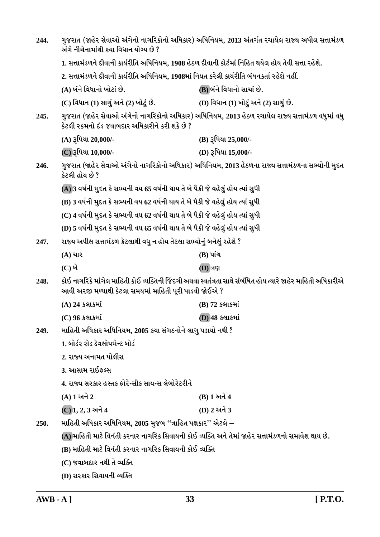| 244. | ગુજરાત (જાહેર સેવાઓ અંગેનો નાગરિકોનો અધિકાર) અધિનિયમ, 2013 અંતર્ગત રચાયેલ રાજ્ય અપીલ સત્તામંડળ<br>અંગે નીચેનામાંથી કયા વિધાન યોગ્ય છે ?                                |                                       |
|------|------------------------------------------------------------------------------------------------------------------------------------------------------------------------|---------------------------------------|
|      | 1. સત્તામંડળને દીવાની કાર્યરીતિ અધિનિયમ, 1908 હેઠળ દીવાની કોર્ટમાં નિહિત થયેલ હોય તેવી સત્તા રહેશે.                                                                    |                                       |
|      | 2. સત્તામંડળને દીવાની કાર્યરીતિ અધિનિયમ, 1908માં નિયત કરેલી કાર્યરીતિ બંધનકર્તા રહેશે નહીં.                                                                            |                                       |
|      | (A) બંને વિધાનો ખોટાં છે.                                                                                                                                              | (B) બંને વિધાનો સાચાં છે.             |
|      | (C) વિધાન (1) સાચું અને (2) ખોટું છે.                                                                                                                                  | (D) વિધાન (1) ખોટું અને (2) સાચું છે. |
| 245. | ગુજરાત (જાહેર સેવાઓ અંગેનો નાગરિકોનો અધિકાર) અધિનિયમ, 2013 હેઠળ રચાયેલ રાજ્ય સત્તામંડળ વધુમાં વધુ<br>કેટલી રકમનો દંડ જવાબદાર અધિકારીને કરી શકે છે ?                    |                                       |
|      | (A) રૂપિયા 20,000/-                                                                                                                                                    | (B) રૂપિયા 25,000/-                   |
|      | (C) રૂપિયા 10,000/-                                                                                                                                                    | (D) રૂપિયા 15,000/-                   |
| 246. | ગુજરાત (જાહેર સેવાઓ અંગેનો નાગરિકોનો અધિકાર) અધિનિયમ, 2013 હેઠળના રાજ્ય સત્તામંડળના સભ્યોની મુદત<br>કેટલી હોય છે ?                                                     |                                       |
|      | (A) 3 વર્ષની મુદત કે સભ્યની વય 65 વર્ષની થાય તે બે પૈકી જે વહેલું હોય ત્યાં સુધી                                                                                       |                                       |
|      | (B) 3 વર્ષની મુદત કે સભ્યની વય 62 વર્ષની થાય તે બે પૈકી જે વહેલું હોય ત્યાં સુધી                                                                                       |                                       |
|      | (C) 4 વર્ષની મુદત કે સભ્યની વય 62 વર્ષની થાય તે બે પૈકી જે વહેલું હોય ત્યાં સુધી                                                                                       |                                       |
|      | (D) 5 વર્ષની મુદત કે સભ્યની વય 65 વર્ષની થાય તે બે પૈકી જે વહેલું હોય ત્યાં સુધી                                                                                       |                                       |
| 247. | રાજ્ય અપીલ સત્તામંડળ કેટલાથી વધુ ન હોય તેટલા સભ્યોનું બનેલું રહેશે ?                                                                                                   |                                       |
|      | $(A)$ ચાર                                                                                                                                                              | (B) પાંચ                              |
|      | $(C)$ બે                                                                                                                                                               | (D) ત્રણ                              |
| 248. | કોઈ નાગરિકે માંગેલ માહિતી કોઈ વ્યક્તિની જિંદગી અથવા સ્વતંત્રતા સાથે સંબંધિત હોય ત્યારે જાહેર માહિતી અધિકારીએ<br>આવી અરજી મળ્યાથી કેટલા સમયમાં માહિતી પૂરી પાડવી જોઈએ ? |                                       |
|      | $(A)$ 24 કલાકમાં                                                                                                                                                       | (B) 72 કલાકમાં                        |
|      | $(C)$ 96 કલાકમાં                                                                                                                                                       | $\overline{(D)}$ 48 કલાકમાં           |
| 249. | માહિતી અધિકાર અધિનિયમ, 2005 કયા સંગઠનોને લાગુ પડાયો નથી ?                                                                                                              |                                       |
|      | 1. બોર્ડર રોડ ડેવલોપમેન્ટ બોર્ડ                                                                                                                                        |                                       |
|      | 2. રાજ્ય અનામત પોલીસ                                                                                                                                                   |                                       |
|      | 3. આસામ રાઈફલ્સ                                                                                                                                                        |                                       |
|      | 4. રાજ્ય સરકાર હસ્તક ફોરેન્સીક સાયન્સ લેબોરેટરીને                                                                                                                      |                                       |
|      | $(A)$ 1 અને 2                                                                                                                                                          | (B) 1 અને 4                           |
|      | $(C)$ 1, 2, 3 અને 4                                                                                                                                                    | (D) 2 અને 3                           |
| 250. | માહિતી અધિકાર અધિનિયમ, 2005 મુજબ ''ત્રાહિત પક્ષકાર'' એટલે –                                                                                                            |                                       |
|      | (A) માહિતી માટે વિનંતી કરનાર નાગરિક સિવાયની કોઈ વ્યક્તિ અને તેમાં જાહેર સત્તામંડળનો સમાવેશ થાય છે.                                                                     |                                       |
|      | (B) માહિતી માટે વિનંતી કરનાર નાગરિક સિવાયની કોઈ વ્યક્તિ                                                                                                                |                                       |
|      | (C) જવાબદાર નથી તે વ્યક્તિ                                                                                                                                             |                                       |
|      | (D) સરકાર સિવાયની વ્યક્તિ                                                                                                                                              |                                       |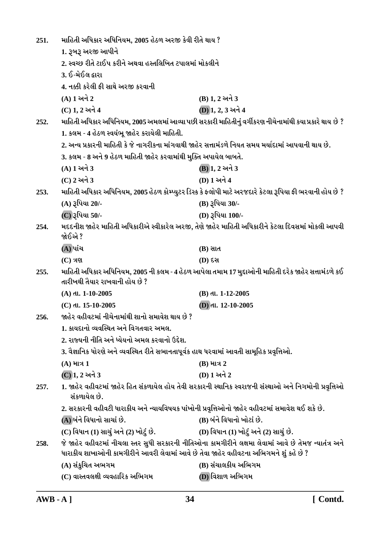| 251. | માહિતી અધિકાર અધિનિયમ, 2005 હેઠળ અરજી કેવી રીતે થાય ?                                                                                                                                         |                                                                                                         |
|------|-----------------------------------------------------------------------------------------------------------------------------------------------------------------------------------------------|---------------------------------------------------------------------------------------------------------|
|      | 1. રૂબરૂ અરજી આપીને                                                                                                                                                                           |                                                                                                         |
|      | 2. સ્વચ્છ રીતે ટાઈપ કરીને અથવા હસ્તલિખિત ટપાલમાં મોકલીને                                                                                                                                      |                                                                                                         |
|      | 3. ઈ-મેઈલ દ્વારા                                                                                                                                                                              |                                                                                                         |
|      | 4. નક્કી કરેલી ફી સાથે અરજી કરવાની                                                                                                                                                            |                                                                                                         |
|      | $(A) 1 $ અને 2                                                                                                                                                                                | (B) 1, 2 અને 3                                                                                          |
|      | (C) 1, 2 અને 4                                                                                                                                                                                | (D) 1, 2, 3 અને 4                                                                                       |
| 252. |                                                                                                                                                                                               | માહિતી અધિકાર અધિનિયમ, 2005 અમલમાં આવ્યા પછી સરકારી માહિતીનું વર્ગીકરણ નીચેનામાંથી કયા પ્રકારે થાય છે ? |
|      | 1. કલમ - 4 હેઠળ સ્વયંભૂ જાહેર કરાયેલી માહિતી.                                                                                                                                                 |                                                                                                         |
|      | 2. અન્ય પ્રકારની માહિતી કે જે નાગરીકના માંગવાથી જાહેર સત્તામંડળે નિયત સમય મર્યાદામાં આપવાની થાય છે.                                                                                           |                                                                                                         |
|      | 3. કલમ - 8 અને 9 હેઠળ માહિતી જાહેર કરવામાંથી મુક્તિ અપાયેલ બાબતે.                                                                                                                             |                                                                                                         |
|      | (A) 1 અને 3                                                                                                                                                                                   | (B) 1, 2 અને 3                                                                                          |
|      | (C) 2 અને 3                                                                                                                                                                                   | (D) 1 અને 4                                                                                             |
| 253. | માહિતી અધિકાર અધિનિયમ, 2005 હેઠળ કોમ્પ્યુટર ડિસ્ક કે ફ્લોપી માટે અરજદારે કેટલા રૂપિયા ફી ભરવાની હોય છે ?                                                                                      |                                                                                                         |
|      | (A) રૂપિયા 20/-                                                                                                                                                                               | (B) રૂપિયા 30/-                                                                                         |
|      | (C) રૂપિયા 50/-                                                                                                                                                                               | (D) રૂપિયા 100/-                                                                                        |
| 254. | જોઈએ ?                                                                                                                                                                                        | મદદનીશ જાહેર માહિતી અધિકારીએ સ્વીકારેલ અરજી, તેણે જાહેર માહિતી અધિકારીને કેટલા દિવસમાં મોકલી આપવી       |
|      | (A) પાંચ                                                                                                                                                                                      | $(B)$ સાત                                                                                               |
|      | $(C)$ ત્રણ                                                                                                                                                                                    | (D) દસ                                                                                                  |
| 255. | માહિતી અધિકાર અધિનિયમ, 2005 ની કલમ - 4 હેઠળ આપેલા તમામ 17 મુદ્દાઓની માહિતી દરેક જાહેર સત્તામંડળે કઈ<br>તારીખથી તૈયાર રાખવાની હોય છે ?                                                         |                                                                                                         |
|      | $(A)$ dl. 1-10-2005                                                                                                                                                                           | (B) તા. 1-12-2005                                                                                       |
|      | (C) dl. 15-10-2005                                                                                                                                                                            | $(D)$ dl. $12-10-2005$                                                                                  |
| 256. | જાહેર વહીવટમાં નીચેનામાંથી શાનો સમાવેશ થાય છે ?                                                                                                                                               |                                                                                                         |
|      | 1. કાયદાનો વ્યવસ્થિત અને વિગતવાર અમલ.                                                                                                                                                         |                                                                                                         |
|      | 2. રાજ્યની નીતિ અને ધ્યેયનો અમલ કરવાનો ઉદ્દેશ.                                                                                                                                                |                                                                                                         |
|      | 3. વૈજ્ઞાનિક ધોરણે અને વ્યવસ્થિત રીતે સભાનતાપૂર્વક હાથ ધરવામાં આવતી સામૂહિક પ્રવૃત્તિઓ.                                                                                                       |                                                                                                         |
|      | $(A)$ માત્ર 1                                                                                                                                                                                 | $(B)$ માત્ર 2                                                                                           |
|      | (C) 1, 2 અને 3                                                                                                                                                                                | (D) 1 અને 2                                                                                             |
| 257. | 1. જાહેર વહીવટમાં જાહેર હિત સંકળાયેલ હોય તેવી સરકારની સ્થાનિક સ્વરાજની સંસ્થાઓ અને નિગમોની પ્રવૃત્તિઓ<br>સંકળાયેલ છે.                                                                         |                                                                                                         |
|      | 2. સરકારની વહીવટી ધારાકીય અને ન્યાયવિષયક પાંખોની પ્રવૃત્તિઓનો જાહેર વહીવટમાં સમાવેશ થઈ શકે છે.                                                                                                |                                                                                                         |
|      | (A) બંને વિધાનો સાચાં છે.                                                                                                                                                                     | (B) બંને વિધાનો ખોટાં છે.                                                                               |
|      | (C) વિધાન (1) સાચું અને (2) ખોટું છે.                                                                                                                                                         | (D) વિધાન (1) ખોટું અને (2) સાચું છે.                                                                   |
| 258. | જે જાહેર વહીવટમાં નીચલા સ્તર સુધી સરકારની નીતિઓના કામગીરીને લક્ષમા લેવામાં આવે છે તેમજ ન્યાતંત્ર અને<br>ધારાકીય શાખાઓની કામગીરીને આવરી લેવામાં આવે છે તેવા જાહેર વહીવટના અભિગમને શું કહે છે ? |                                                                                                         |
|      | (A) સંકુચિત અભગમ                                                                                                                                                                              | (B) સંચાલકીય અભિગમ                                                                                      |
|      | (C) વાસ્તવલક્ષી વ્યવહારિક અભિગમ                                                                                                                                                               | (D) વિશાળ અભિગમ                                                                                         |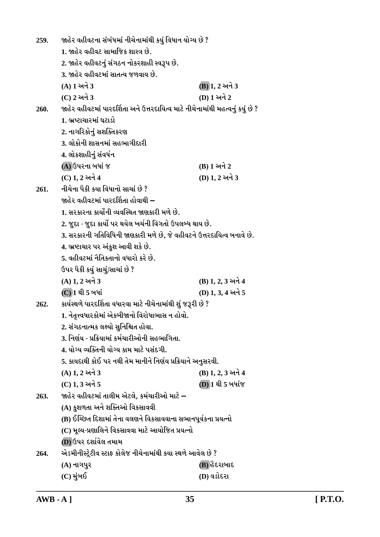| 259.                                                                                                                    | જાહેર વહીવટના સંબંધમાં નીચેનામાંથી કયું વિધાન યોગ્ય છે ?                       |                   |  |
|-------------------------------------------------------------------------------------------------------------------------|--------------------------------------------------------------------------------|-------------------|--|
|                                                                                                                         | 1. જાહેર વહીવટ સામાજિક શાસ્ત્ર છે.                                             |                   |  |
|                                                                                                                         | 2. જાહેર વહીવટનું સંગઠન નોકરશાહી સ્વરૂપ છે.                                    |                   |  |
|                                                                                                                         | 3. જાહેર વહીવટમાં સાતત્ય જળવાય છે.                                             |                   |  |
|                                                                                                                         | (A) 1 અને 3                                                                    | (B) 1, 2 અને 3    |  |
|                                                                                                                         | (C) 2 અને 3                                                                    | (D) 1 અને 2       |  |
| 260.                                                                                                                    | જાહેર વહીવટમાં પારદર્શિતા અને ઉત્તરદાયિત્વ માટે નીચેનામાંથી મહત્વનું કયું છે ? |                   |  |
|                                                                                                                         | 1. ભ્રષ્ટાચારમાં ઘટાડો                                                         |                   |  |
|                                                                                                                         | 2. નાગરિકોનું સશક્તિકરણ                                                        |                   |  |
|                                                                                                                         | 3. લોકોની શાસનમાં સહભાગીદારી                                                   |                   |  |
|                                                                                                                         | 4. લોકશાહીનું સંવર્ધન                                                          |                   |  |
|                                                                                                                         | (A) ઉપરના બધાં જ                                                               | (B) 1 અને 2       |  |
|                                                                                                                         | (C) 1, 2 અને 4                                                                 | (D) 1, 2 અને 3    |  |
| 261.                                                                                                                    | નીચેના પૈકી કયા વિધાનો સાચાં છે ?                                              |                   |  |
|                                                                                                                         | જાહેર વહીવટમાં પારદર્શિતા હોવાથી –                                             |                   |  |
|                                                                                                                         | 1. સરકારના કાર્યોની વ્યવસ્થિત જાણકારી મળે છે.                                  |                   |  |
|                                                                                                                         | 2. જુદા - જુદા કાર્યો પર થયેલ ખર્ચની વિગતો ઉપલબ્ધ થાય છે.                      |                   |  |
|                                                                                                                         | 3. સરકારની ગતિવિધિની જાણકારી મળે છે, જે વહીવટને ઉત્તરદાયિત્વ બનાવે છે.         |                   |  |
|                                                                                                                         | 4. ભ્રષ્ટાચાર પર અંકુશ આવી શકે છે.                                             |                   |  |
|                                                                                                                         | 5. વહીવટમાં નૈતિકતાનો વધારો કરે છે.                                            |                   |  |
|                                                                                                                         | ઉપર પૈકી કયું સાચું/સાચાં છે ?                                                 |                   |  |
|                                                                                                                         | (A) 1, 2 અને 3                                                                 | (B) 1, 2, 3 અને 4 |  |
|                                                                                                                         | (C) 1 થી 5 બધાં                                                                | (D) 1, 3, 4 અને 5 |  |
| કાર્યસ્થળે પારદર્શિતા વધારવા માટે નીચેનામાંથી શું જરૂરી છે ?<br>262.<br>1. નેતૃત્ત્વધારકોમાં એકબીજાનો વિરોધાભાસ ન હોવો. |                                                                                |                   |  |
|                                                                                                                         |                                                                                |                   |  |
|                                                                                                                         | 2. સંગઠનાત્મક લક્ષ્યો સુનિશ્ચિત હોવા.                                          |                   |  |
|                                                                                                                         | 3. નિર્ણય - પ્રક્રિયામાં કર્મચારીઓની સહભાગિતા.                                 |                   |  |
|                                                                                                                         | 4. યોગ્ય વ્યક્તિની યોગ્ય કામ માટે પસંદગી.                                      |                   |  |
|                                                                                                                         | 5. કાયદાથી કોઈ પર નથી તેમ માનીને નિર્ણય પ્રક્રિયાને અનુસરવી.                   |                   |  |
|                                                                                                                         | (A) 1, 2 અને 3                                                                 | (B) 1, 2, 3 અને 4 |  |
|                                                                                                                         | (C) 1, 3 અને 5                                                                 | (D) 1 થી 5 બધાંજ  |  |
| 263.                                                                                                                    | જાહેર વહીવટમાં તાલીમ એટલે, કર્મચારીઓ માટે –                                    |                   |  |
|                                                                                                                         | (A) કુશળતા અને શક્તિઓ વિકસાવવી                                                 |                   |  |
|                                                                                                                         | (B) ઈચ્છિત દિશામાં તેના વલણને વિકસાવવાના સભાનપૂર્વકના પ્રયત્નો                 |                   |  |
|                                                                                                                         | (C) મૂલ્ય-પ્રણાલિને વિકસાવવા માટે આયોજિત પ્રયત્નો                              |                   |  |
|                                                                                                                         | (D) ઉપર દર્શાવેલ તમામ                                                          |                   |  |
| 264.                                                                                                                    | એડમીનીસ્ટ્રેટીવ સ્ટાફ કોલેજ નીચેનામાંથી કયા સ્થળે આવેલ છે ?                    |                   |  |
|                                                                                                                         | (A) નાગપુર                                                                     | (B) હૈદરાબાદ      |  |
|                                                                                                                         | (C) મુંબઈ                                                                      | (D) વડોદરા        |  |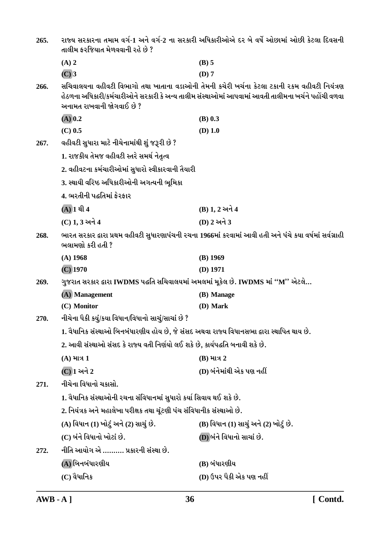| 265. | રાજ્ય સરકારના તમામ વર્ગ-1 અને વર્ગ-2 ના સરકારી અધિકારીઓએ દર બે વર્ષે ઓછામાં ઓછી કેટલા દિવસની<br>તાલીમ ફરજિયાત મેળવવાની રહે છે ? |                                                                                                                                                                                                    |
|------|---------------------------------------------------------------------------------------------------------------------------------|----------------------------------------------------------------------------------------------------------------------------------------------------------------------------------------------------|
|      | $(A)$ 2                                                                                                                         | $(B)$ 5                                                                                                                                                                                            |
|      | $(C)$ 3                                                                                                                         | $(D)$ 7                                                                                                                                                                                            |
| 266. | અનામત રાખવાની જોગવાઈ છે ?                                                                                                       | સચિવાલયના વહીવટી વિભાગો તથા ખાતાના વડાઓની તેમની કચેરી ખર્ચના કેટલા ટકાની રકમ વહીવટી નિયંત્રણ<br>હેઠળના અધિકારી/કર્મચારીઓને સરકારી કે અન્ય તાલીમ સંસ્થાઓમાં આપવામાં આવતી તાલીમના ખર્ચને પહોંચી વળવા |
|      | $(A)$ 0.2                                                                                                                       | $(B)$ 0.3                                                                                                                                                                                          |
|      | $(C)$ 0.5                                                                                                                       | $(D)$ 1.0                                                                                                                                                                                          |
| 267. | વહીવટી સુધારા માટે નીચેનામાંથી શું જરૂરી છે ?                                                                                   |                                                                                                                                                                                                    |
|      | 1. રાજકીય તેમજ વહીવટી સ્તરે સમર્થ નેતૃત્વ                                                                                       |                                                                                                                                                                                                    |
|      | 2. વહીવટના કર્મચારીઓમાં સુધારો સ્વીકારવાની તૈયારી                                                                               |                                                                                                                                                                                                    |
|      | 3. સ્થાયી વરિષ્ઠ અધિકારીઓની અગત્યની ભૂમિકા                                                                                      |                                                                                                                                                                                                    |
|      | 4. ભરતીની પદ્ધતિમાં ફેરફાર                                                                                                      |                                                                                                                                                                                                    |
|      | $(A)$ 1 થી 4                                                                                                                    | (B) 1, 2 અને 4                                                                                                                                                                                     |
|      | (C) 1, 3 અને 4                                                                                                                  | (D) 2 અને 3                                                                                                                                                                                        |
| 268. | ભારત સરકાર દ્વારા પ્રથમ વહીવટી સુધારણાપંચની રચના 1966માં કરવામાં આવી હતી અને પંચે કયા વર્ષમાં સર્વગ્રાહી<br>ભલામણો કરી હતી ?    |                                                                                                                                                                                                    |
|      | $(A)$ 1968                                                                                                                      | $(B)$ 1969                                                                                                                                                                                         |
|      | $(C)$ 1970                                                                                                                      | $(D)$ 1971                                                                                                                                                                                         |
| 269. | ગુજરાત સરકાર દ્વારા IWDMS પદ્ધતિ સચિવાલયમાં અમલમાં મૂકેલ છે. IWDMS માં ''M'' એટલે…                                              |                                                                                                                                                                                                    |
|      | (A) Management                                                                                                                  | (B) Manage                                                                                                                                                                                         |
|      | (C) Monitor                                                                                                                     | (D) Mark                                                                                                                                                                                           |
| 270. | નીચેના પૈકી કયું/કયા વિધાન/વિધાનો સાચું/સાચાં છે ?                                                                              |                                                                                                                                                                                                    |
|      | 1. વૈધાનિક સંસ્થાઓ બિનબંધારણીય હોય છે, જે સંસદ અથવા રાજ્ય વિધાનસભા દ્વારા સ્થાપિત થાય છે.                                       |                                                                                                                                                                                                    |
|      | 2. આવી સંસ્થાઓ સંસદ કે રાજ્ય વતી નિર્ણયો લઈ શકે છે, કાર્યપદ્ધતિ બનાવી શકે છે.                                                   |                                                                                                                                                                                                    |
|      | $(A)$ માત્ર 1                                                                                                                   | $(B)$ માત્ર 2                                                                                                                                                                                      |
|      | (C) 1 અને 2                                                                                                                     | (D) બંનેમાંથી એક પણ નહીં                                                                                                                                                                           |
| 271. | નીચેના વિધાનો ચકાસો.                                                                                                            |                                                                                                                                                                                                    |
|      | 1. વૈધાનિક સંસ્થાઓની રચના સંવિધાનમાં સુધારો કર્યા સિવાય થઈ શકે છે.                                                              |                                                                                                                                                                                                    |
|      | 2. નિયંત્રક અને મહાલેખા પરીક્ષક તથા ચૂંટણી પંચ સંવિધાનીક સંસ્થાઓ છે.                                                            |                                                                                                                                                                                                    |
|      | (A) વિધાન (1) ખોટું અને (2) સાચું છે.                                                                                           | (B) વિધાન (1) સાચું અને (2) ખોટું છે.                                                                                                                                                              |
|      | (C) બંને વિધાનો ખોટાં છે.                                                                                                       | (D) બંને વિધાનો સાચાં છે.                                                                                                                                                                          |
| 272. | નીતિ આયોગ એ ………. પ્રકારની સંસ્થા છે.                                                                                            |                                                                                                                                                                                                    |
|      | (A) બિનબંધારણીય                                                                                                                 | (B) બંધારણીય                                                                                                                                                                                       |
|      | (C) વૈધાનિક                                                                                                                     | (D) ઉપર પૈકી એક પણ નહીં                                                                                                                                                                            |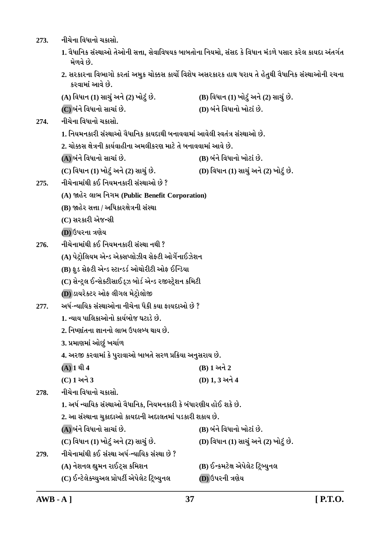- 273. **નીચેના વિધાનો ચકા**સો. 1. વૈધાનિક સંસ્થાઓ તેઓની સત્તા, સેવાવિષયક બાબતોના નિયમો, સંસદ કે વિધાન મંડળે પસાર કરેલ કાયદા અંતર્ગત *<u>મેળવે છે.</u>* 2. સરકારના વિભાગો કરતાં અમુક ચોક્કસ કાર્યો વિશેષ અસરકારક હાથ ધરાય તે હેતુથી વૈધાનિક સંસ્થાઓની રચના **કરવામાં આવે છે. (A) rðÄkLk (1) Mkk[wt yLku (2) ¾kuxwt Au. (B) rðÄkLk (1) ¾kuxwt yLku (2) Mkk[wt Au. (C) çktLku rðÄkLkku Mkk[kt Au. (D) çktLku rðÄkLkku ¾kuxkt Au.** 274. **નીચેના વિધાનો ચકાસો.** 1. નિયમનકારી સંસ્થાઓ વૈધાનિક કાયદાથી બનાવવામાં આવેલી સ્વતંત્ર સંસ્થાઓ છે. <u>2. ચોક્કસ ક્ષેત્રની કાર્યવાહીના અમલીકરણ માટે તે બનાવવામાં આવે છે.</u> **(A) çktLku rðÄkLkku Mkk[kt Au. (B) çktLku rðÄkLkku ¾kuxkt Au. (C) rðÄkLk (1) ¾kuxwt yLku (2) Mkk[wt Au. (D) rðÄkLk (1) Mkk[wt yLku (2) ¾kuxwt Au.** 275. **Halk**ull કઈ નિયમનકારી સંસ્થાઓ છે ? **(A) ònuh ÷k¼ rLkøk{ (Public Benefit Corporation) (B) જાહેર સત્તા / અધિકારક્ષેત્રની સંસ્થા** (C) સરકારી એજન્સી  $(D)$  ઉપરના ત્રણેય 276. **નીચેનામાંથી કઈ નિયમનકારી સંસ્થા** નથી ? (A) પેટ્રોલિયમ એન્ડ એક્સપ્લોઝીવ સેફ્ટી ઓર્ગેનાઈઝેશન (B) ફૂડ સેફ્ટી એન્ડ સ્ટાન્ડર્ડ ઓથોરીટી ઓફ ઈન્ડિયા (C) સેન્ટ્રલ ઈન્સેક્ટીસાઈડ્ઝ બોર્ડ એન્ડ રજીસ્ટ્રેશન કમિટી  $(D)$  ડાયરેક્ટર ઓફ લીગલ મેટોલોજી 277. અર્ધ-<del>ન્</del>યાયિક સંસ્થાઓના નીચેના પૈકી કયા કાયદાઓ છે ? <u>1. ત્યાય પાલિકાઓનો કાર્યબોજ ઘટાડે છે.</u> <u>2. નિષ્ણાંતના જ્ઞાનનો લાભ ઉપલબ્ધ થાય છે.</u>  $3.$  પ્રમાણમાં ઓછું ખર્ચાળ 4. અરજી કરવામાં કે પુરાવાઓ બાબતે સરળ પ્રક્રિયા અનુસરાય છે.  $(A) 1 21 4$  **(B)**  $1 34 2$ **(C) 1 yLku 3 (D) 1, 3 yLku 4** 278. **નીચેના વિધાનો ચકા**સો. 1. અર્ધ ન્યાયિક સંસ્થાઓ વૈધાનિક, નિયમનકારી કે બંધારણીય હોઈ શકે છે. 2. આ સંસ્થાના ચુકાદાઓ કાયદાની અદાલતમાં પડકારી શકાય છે. **(A) çktLku rðÄkLkku Mkk[kt Au. (B) çktLku rðÄkLkku ¾kuxkt Au. (C) rðÄkLk (1) ¾kuxwt yLku (2) Mkk[wt Au. (D) rðÄkLk (1) Mkk[wt yLku (2) ¾kuxwt Au. 279. Lke[uLkk{ktÚke fE MktMÚkk yÄo-LÞkrÞf MktMÚkk Au ? (A) LkuþLk÷ Ìkw{Lk hkExTMk fr{þLk (B) ELf{xuûk yuÃku÷ux rxÙçÞwLk÷**
	- **(C) ELxu÷uõåÞwy÷ «kuÃkxeo yuÃku÷ux rxÙçÞwLk÷ (D) WÃkhLke ºkýuÞ**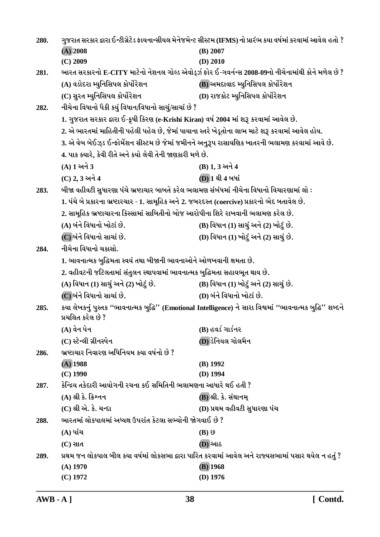| 280. | ગુજરાત સરકાર દ્વારા ઈન્ટીગ્રેટેડ ફાયનાન્સીયલ મેનેજમેન્ટ સીસ્ટમ (IFMS) નો પ્રારંભ કયા વર્ષમાં કરવામાં આવેલ હતો ?                |                                                                                                     |
|------|--------------------------------------------------------------------------------------------------------------------------------|-----------------------------------------------------------------------------------------------------|
|      | $(A)$ 2008                                                                                                                     | $(B)$ 2007                                                                                          |
|      | $(C)$ 2009                                                                                                                     | $(D)$ 2010                                                                                          |
| 281. |                                                                                                                                | ભારત સરકારનો E-CITY માટેનો નેશનલ ગોલ્ડ એવોર્ડ્ઝ ફોર ઈ-ગવર્નન્સ 2008-09નો નીચેનામાંથી કોને મળેલ છે ? |
|      | (A) વડોદરા મ્યુનિસિપલ કોર્પોરેશન                                                                                               | (B) અમદાવાદ મ્યુનિસિપલ કોર્પોરેશન                                                                   |
|      | (C) સુરત મ્યુનિસિપલ કોર્પોરેશન                                                                                                 | (D) રાજકોટ મ્યુનિસિપલ કોર્પોરેશન                                                                    |
| 282. | નીચેના વિધાનો પૈકી કયું વિધાન/વિધાનો સાચું/સાચાં છે ?                                                                          |                                                                                                     |
|      | 1. ગુજરાત સરકાર દ્વારા ઈ-કૃષી કિરણ (e-Krishi Kiran) વર્ષ 2004 માં શરૂ કરવામાં આવેલ છે.                                         |                                                                                                     |
|      | 2. એ ભારતમાં માહિતીની પહેલી પહેલ છે, જેમાં પાયાના સ્તરે ખેડૂતોના લાભ માટે શરૂ કરવામાં આવેલ હોય.                                |                                                                                                     |
|      | 3. એ વેબ બેઈઝ્ડ ઈન્ફોર્મેશન સીસ્ટમ છે જેમાં જમીનને અનુરૂપ રાસાયણિક ખાતરની ભલામણ કરવામાં આવે છે.                                |                                                                                                     |
|      | 4. પાક ક્યારે, કેવી રીતે અને કયો લેવી તેની જાણકારી મળે છે.                                                                     |                                                                                                     |
|      | (A) 1 અને 3                                                                                                                    | (B) 1, 3 અને 4                                                                                      |
|      | (C) 2, 3 અને 4                                                                                                                 | (D) 1 થી 4 બધાં                                                                                     |
| 283. | બીજા વહીવટી સુધારણા પંચે ભ્રષ્ટાચાર બાબતે કરેલ ભલામણ સંબંધમાં નીચેના વિધાનો વિચારણામાં લો :                                    |                                                                                                     |
|      | 1. પંચે બે પ્રકારના ભ્રષ્ટારચાર - 1. સામૂહિક અને 2. જબરદસ્ત (coercive) પ્રકારનો ભેદ બતાવેલ છે.                                 |                                                                                                     |
|      | 2. સામૂહિક ભ્રષ્ટાચારના કિસ્સામાં સાબિતીનો બોજ આરોપીના શિરે રાખવાની ભલામણ કરેલ છે.                                             |                                                                                                     |
|      | (A) બંને વિધાનો ખોટાં છે.                                                                                                      | (B) વિધાન (1) સાચું અને (2) ખોટું છે.                                                               |
|      | (C)બંને વિધાનો સાચાં છે.                                                                                                       | (D) વિધાન (1) ખોટું અને (2) સાચું છે.                                                               |
| 284. | નીચેના વિધાનો ચકાસો.                                                                                                           |                                                                                                     |
|      | 1. ભાવનાત્મક બુદ્ધિમતા સ્વયં તથા બીજાની ભાવનાઓને ઓળખવાની ક્ષમતા છે.                                                            |                                                                                                     |
|      | 2. વહીવટની જટિલતામાં સંતુલન સ્થાપવામાં ભાવનાત્મક બુદ્ધિમતા સહાયભૂત થાય છે.                                                     |                                                                                                     |
|      | (A) વિધાન (1) સાચું અને (2) ખોટું છે.                                                                                          | (B) વિધાન (1) ખોટું અને (2) સાચું છે.                                                               |
|      | (C) બંને વિધાનો સાચાં છે.                                                                                                      | (D) બંને વિધાનો ખોટાં છે.                                                                           |
| 285. | કયા લેખકનું પુસ્તક "ભાવનાત્મક બુદ્ધિ" (Emotional Intelligence) ને સારા વિશ્વમાં "ભાવનાત્મક બુદ્ધિ" શબ્દને<br>પ્રચલિત કરેલ છે ? |                                                                                                     |
|      | (A) વેન પેન                                                                                                                    | (B) હવર્ડ ગાર્ડનર                                                                                   |
|      | (C) સ્ટેન્લી ગ્રીનસ્પેન                                                                                                        | (D) ડેનિયલ ગોલમૈન                                                                                   |
| 286. | ભ્રષ્ટાચાર નિવારણ અધિનિયમ કયા વર્ષનો છે ?                                                                                      |                                                                                                     |
|      | $(A)$ 1988                                                                                                                     | $(B)$ 1992                                                                                          |
|      | $(C)$ 1990                                                                                                                     | $(D)$ 1994                                                                                          |
| 287. | કેન્દ્રિય તકેદારી આયોગની રચના કઈ સમિતિની ભલામણના આધારે થઈ હતી ?                                                                |                                                                                                     |
|      | $(A)$ શ્રી કે. ક્રિશ્નન                                                                                                        | (B) શ્રી. કે. સંથાનમ્                                                                               |
|      | (C) શ્રી એ. કે. ચન્દા                                                                                                          | (D) પ્રથમ વહીવટી સુધારણા પંચ                                                                        |
| 288. | ભારતમાં લોકપાલમાં અધ્યક્ષ ઉપરાંત કેટલા સભ્યોની જોગવાઈ છે ?                                                                     |                                                                                                     |
|      | $(A)$ પાંચ                                                                                                                     | $(B)$ $\Omega$                                                                                      |
|      | $(C)$ સાત                                                                                                                      | <b>(D)</b> આઠ                                                                                       |
| 289. |                                                                                                                                | પ્રથમ જન લોકપાલ બીલ કયા વર્ષમાં લોકસભા દ્વારા પારિત કરવામાં આવેલ અને રાજ્યસભામાં પસાર થયેલ ન હતું ? |
|      | $(A)$ 1970                                                                                                                     | $(B)$ 1968                                                                                          |
|      | $(C)$ 1972                                                                                                                     | $(D)$ 1976                                                                                          |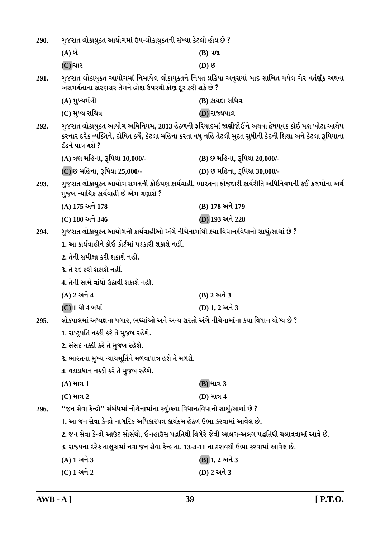| 290.                                                                                          | ગુજરાત લોકાયુક્ત આયોગમાં ઉપ-લોકાયુક્તની સંખ્યા કેટલી હોય છે ?                                                                                                                                                                             |                              |
|-----------------------------------------------------------------------------------------------|-------------------------------------------------------------------------------------------------------------------------------------------------------------------------------------------------------------------------------------------|------------------------------|
|                                                                                               | $(A)$ બે                                                                                                                                                                                                                                  | $(B)$ ત્રણ                   |
|                                                                                               | (C) ચાર                                                                                                                                                                                                                                   | $(D)$ છ                      |
| 291.                                                                                          | ગુજરાત લોકાયુક્ત આયોગમાં નિમાયેલ લોકાયુક્તને નિયત પ્રક્રિયા અનુસર્યા બાદ સાબિત થયેલ ગેર વર્તણૂંક અથવા<br>અસમર્થતાના કારણસર તેમને હોદા ઉપરથી કોણ દૂર કરી શકે છે ?                                                                          |                              |
|                                                                                               | (A) મુખ્યમંત્રી                                                                                                                                                                                                                           | (B) કાયદા સચિવ               |
|                                                                                               | (C) મુખ્ય સચિવ                                                                                                                                                                                                                            | (D) રાજ્યપાલ                 |
| 292.                                                                                          | ગુજરાત લોકાયુક્ત આયોગ અધિનિયમ, 2013 હેઠળની ફરિયાદમાં જાણીજોઈને અથવા દ્વેષપૂર્વક કોઈ પણ ખોટા આક્ષેપ<br>કરનાર દરેક વ્યક્તિને, દોષિત ઠર્યે, કેટલા મહિના કરતા વધુ નહિં તેટલી મુદત સુધીની કેદની શિક્ષા અને કેટલા રૂપિયાના<br>દંડને પાત્ર થશે ? |                              |
|                                                                                               | (A) ત્રણ મહિના, રૂપિયા 10,000/-                                                                                                                                                                                                           | (B) છ મહિના, રૂપિયા 20,000/- |
|                                                                                               | (C) છ મહિના, રૂપિયા 25,000/-                                                                                                                                                                                                              | (D) છ મહિના, રૂપિયા 30,000/- |
| 293.                                                                                          | ગુજરાત લોકાયુક્ત આયોગ સમક્ષની કોઈપણ કાર્યવાહી, ભારતના ફોજદારી કાર્યરીતિ અધિનિયમની કઈ કલમોના અર્થ<br>મુજબ ન્યાયિક કાર્યવાહી છે એમ ગણાશે ?                                                                                                  |                              |
|                                                                                               | (A) 175 અને 178                                                                                                                                                                                                                           | (B) 178 અને 179              |
|                                                                                               | (C) 180 અને 346                                                                                                                                                                                                                           | (D) 193 અને 228              |
| 294.                                                                                          | ગુજરાત લોકાયુક્ત આયોગની કાર્યવાહીઓ અંગે નીચેનામાંથી કયા વિધાન/વિધાનો સાચું/સાચાં છે ?                                                                                                                                                     |                              |
|                                                                                               | 1. આ કાર્યવાહીને કોઈ કોર્ટમાં પડકારી શકાશે નહીં.                                                                                                                                                                                          |                              |
|                                                                                               | 2. તેની સમીક્ષા કરી શકાશે નહીં.                                                                                                                                                                                                           |                              |
|                                                                                               | 3. તે રદ કરી શકાશે નહીં.                                                                                                                                                                                                                  |                              |
|                                                                                               | 4. તેની સામે વાંધો ઉઠાવી શકાશે નહીં.                                                                                                                                                                                                      |                              |
|                                                                                               | (A) 2 અને 4                                                                                                                                                                                                                               | (B) 2 અને 3                  |
|                                                                                               | (C) 1 થી 4 બધાં                                                                                                                                                                                                                           | (D) 1, 2 અને 3               |
| લોકપાલમાં અધ્યક્ષના પગાર, ભથ્થાંઓ અને અન્ય શરતો અંગે નીચેનામાંના કયા વિધાન યોગ્ય છે ?<br>295. |                                                                                                                                                                                                                                           |                              |
|                                                                                               | 1. રાષ્ટ્રપતિ નક્કી કરે તે મુજબ રહેશે.                                                                                                                                                                                                    |                              |
|                                                                                               | 2. સંસદ નક્કી કરે તે મુજબ રહેશે.                                                                                                                                                                                                          |                              |
|                                                                                               | 3. ભારતના મુખ્ય ન્યાયમૂર્તિને મળવાપાત્ર હશે તે મળશે.                                                                                                                                                                                      |                              |
|                                                                                               | 4. વડાપ્રધાન નક્કી કરે તે મુજબ રહેશે.                                                                                                                                                                                                     |                              |
|                                                                                               | $(A)$ માત્ર 1                                                                                                                                                                                                                             | <b>(B)</b> માત્ર 3           |
|                                                                                               | $(C)$ માત્ર 2                                                                                                                                                                                                                             | <b>(D) માત્ર 4</b>           |
| 296.                                                                                          | ''જન સેવા કેન્દ્રો'' સંબંધમાં નીચેનામાંના કયું/કયા વિધાન/વિધાનો સાચું/સાચાં છે ?                                                                                                                                                          |                              |
|                                                                                               | 1. આ જન સેવા કેન્દ્રો નાગરિક અધિકારપત્ર કાર્યક્રમ હેઠળ ઉભા કરવામાં આવેલ છે.                                                                                                                                                               |                              |
|                                                                                               | 2. જન સેવા કેન્દ્રો આઉટ સોર્સથી, ઈનહાઉસ પદ્ધતિથી વિગેરે જેવી આલગ-અલગ પદ્ધતિથી ચલાવવામાં આવે છે.                                                                                                                                           |                              |
|                                                                                               | 3. રાજ્યના દરેક તાલુકામાં નવા જન સેવા કેન્દ્ર તા. 13-4-11 ના ઠરાવથી ઉભા કરવામાં આવેલ છે.                                                                                                                                                  |                              |
|                                                                                               | (A) 1 અને 3                                                                                                                                                                                                                               | (B) 1, 2 અને 3               |
|                                                                                               | (C) 1 અને 2                                                                                                                                                                                                                               | (D) 2 અને 3                  |